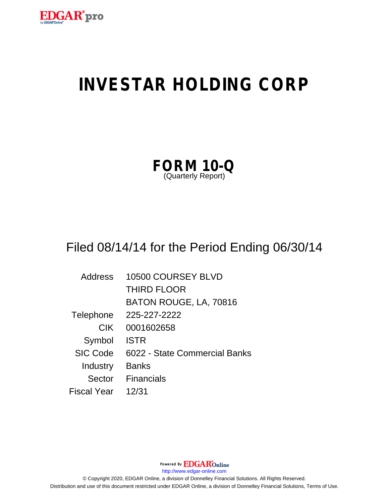

# **INVESTAR HOLDING CORP**

| <b>FORM 10-Q</b>   |  |  |
|--------------------|--|--|
| (Quarterly Report) |  |  |

# Filed 08/14/14 for the Period Ending 06/30/14

| Address         | 10500 COURSEY BLVD            |
|-----------------|-------------------------------|
|                 | <b>THIRD FLOOR</b>            |
|                 | BATON ROUGE, LA, 70816        |
| Telephone       | 225-227-2222                  |
| <b>CIK</b>      | 0001602658                    |
| Symbol          | <b>ISTR</b>                   |
| <b>SIC Code</b> | 6022 - State Commercial Banks |
| Industry        | <b>Banks</b>                  |
| Sector          | Financials                    |
| Fiscal Year     | 12/31                         |

Powered By **EDGAR**Online http://www.edgar-online.com © Copyright 2020, EDGAR Online, a division of Donnelley Financial Solutions. All Rights Reserved. Distribution and use of this document restricted under EDGAR Online, a division of Donnelley Financial Solutions, Terms of Use.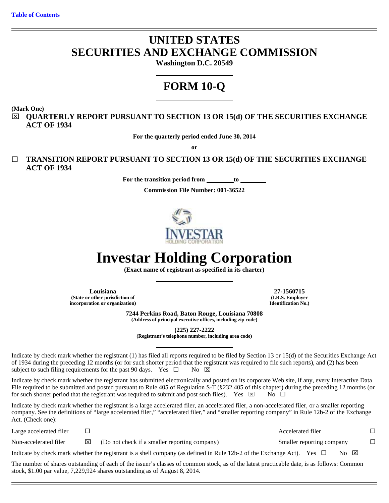$\overline{a}$ Ē

# **UNITED STATES SECURITIES AND EXCHANGE COMMISSION**

**Washington D.C. 20549**  L

# **FORM 10-Q**  L

**(Mark One)** 

 $\overline{a}$ Ē

 **QUARTERLY REPORT PURSUANT TO SECTION 13 OR 15(d) OF THE SECURITIES EXCHANGE ACT OF 1934** 

**For the quarterly period ended June 30, 2014** 

**or** 

 **TRANSITION REPORT PURSUANT TO SECTION 13 OR 15(d) OF THE SECURITIES EXCHANGE ACT OF 1934** 

**For the transition period from to** 

**Commission File Number: 001-36522**  L



# **Investar Holding Corporation**

**(Exact name of registrant as specified in its charter)**  L

**Louisiana 27-1560715 (State or other jurisdiction of incorporation or organization)** 

**(I.R.S. Employer Identification No.)** 

**7244 Perkins Road, Baton Rouge, Louisiana 70808 (Address of principal executive offices, including zip code)** 

**(225) 227-2222** 

**(Registrant's telephone number, including area code)**  L

Indicate by check mark whether the registrant (1) has filed all reports required to be filed by Section 13 or 15(d) of the Securities Exchange Act of 1934 during the preceding 12 months (or for such shorter period that the registrant was required to file such reports), and (2) has been subject to such filing requirements for the past 90 days. Yes  $\Box$  No  $\boxtimes$ 

Indicate by check mark whether the registrant has submitted electronically and posted on its corporate Web site, if any, every Interactive Data File required to be submitted and posted pursuant to Rule 405 of Regulation S-T (§232.405 of this chapter) during the preceding 12 months (or for such shorter period that the registrant was required to submit and post such files). Yes  $\boxtimes$  No  $\Box$ 

Indicate by check mark whether the registrant is a large accelerated filer, an accelerated filer, a non-accelerated filer, or a smaller reporting company. See the definitions of "large accelerated filer," "accelerated filer," and "smaller reporting company" in Rule 12b-2 of the Exchange Act. (Check one):

| Large accelerated filer |   |                                                                                                                                                                                                                           | Accelerated filer                        |  |
|-------------------------|---|---------------------------------------------------------------------------------------------------------------------------------------------------------------------------------------------------------------------------|------------------------------------------|--|
| Non-accelerated filer   | ⊠ | (Do not check if a smaller reporting company)                                                                                                                                                                             | Smaller reporting company                |  |
|                         |   | Indicate by check mark whether the registrant is a shell company (as defined in Rule 12b-2 of the Exchange Act). Yes $\Box$                                                                                               | $\overline{N_0}$ $\overline{\mathbb{Z}}$ |  |
|                         |   | The number of shares outstanding of each of the issuer's classes of common stock, as of the latest practicable date, is as follows: Common<br>stock, \$1.00 par value, 7,229,924 shares outstanding as of August 8, 2014. |                                          |  |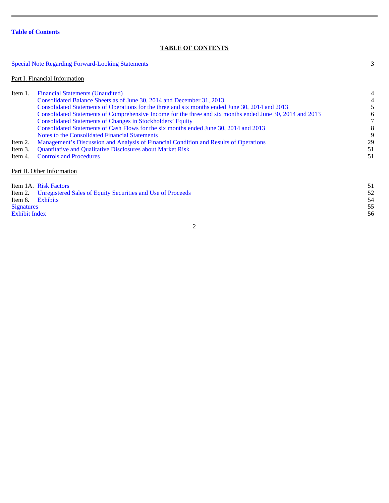# **TABLE OF CONTENTS**

|                                                                 | <b>Special Note Regarding Forward-Looking Statements</b>                                                                                                                                                                                                                                                                                                                                                                                                                                       | 3                          |
|-----------------------------------------------------------------|------------------------------------------------------------------------------------------------------------------------------------------------------------------------------------------------------------------------------------------------------------------------------------------------------------------------------------------------------------------------------------------------------------------------------------------------------------------------------------------------|----------------------------|
|                                                                 | Part I. Financial Information                                                                                                                                                                                                                                                                                                                                                                                                                                                                  |                            |
| Item 1.                                                         | <b>Financial Statements (Unaudited)</b><br>Consolidated Balance Sheets as of June 30, 2014 and December 31, 2013<br>Consolidated Statements of Operations for the three and six months ended June 30, 2014 and 2013<br>Consolidated Statements of Comprehensive Income for the three and six months ended June 30, 2014 and 2013<br><b>Consolidated Statements of Changes in Stockholders' Equity</b><br>Consolidated Statements of Cash Flows for the six months ended June 30, 2014 and 2013 | 5<br>6<br>8                |
| Item 2.<br>Item 3.<br>Item 4.                                   | <b>Notes to the Consolidated Financial Statements</b><br>Management's Discussion and Analysis of Financial Condition and Results of Operations<br>Quantitative and Qualitative Disclosures about Market Risk<br><b>Controls and Procedures</b><br>Part II. Other Information                                                                                                                                                                                                                   | 9<br>29<br>51<br>51        |
| Item 2.<br>Item 6.<br><b>Signatures</b><br><b>Exhibit Index</b> | Item 1A. Risk Factors<br>Unregistered Sales of Equity Securities and Use of Proceeds<br><b>Exhibits</b>                                                                                                                                                                                                                                                                                                                                                                                        | 51<br>52<br>54<br>55<br>56 |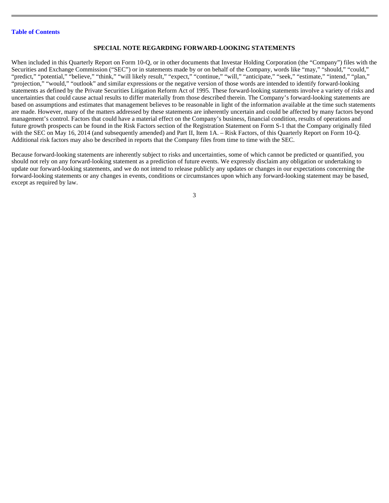#### **SPECIAL NOTE REGARDING FORWARD-LOOKING STATEMENTS**

When included in this Quarterly Report on Form 10-Q, or in other documents that Investar Holding Corporation (the "Company") files with the Securities and Exchange Commission ("SEC") or in statements made by or on behalf of the Company, words like "may," "should," "could," "predict," "potential," "believe," "think," "will likely result," "expect," "continue," "will," "anticipate," "seek," "estimate," "intend," "plan," "projection," "would," "outlook" and similar expressions or the negative version of those words are intended to identify forward-looking statements as defined by the Private Securities Litigation Reform Act of 1995. These forward-looking statements involve a variety of risks and uncertainties that could cause actual results to differ materially from those described therein. The Company's forward-looking statements are based on assumptions and estimates that management believes to be reasonable in light of the information available at the time such statements are made. However, many of the matters addressed by these statements are inherently uncertain and could be affected by many factors beyond management's control. Factors that could have a material effect on the Company's business, financial condition, results of operations and future growth prospects can be found in the Risk Factors section of the Registration Statement on Form S-1 that the Company originally filed with the SEC on May 16, 2014 (and subsequently amended) and Part II, Item 1A. – Risk Factors, of this Quarterly Report on Form 10-Q. Additional risk factors may also be described in reports that the Company files from time to time with the SEC.

Because forward-looking statements are inherently subject to risks and uncertainties, some of which cannot be predicted or quantified, you should not rely on any forward-looking statement as a prediction of future events. We expressly disclaim any obligation or undertaking to update our forward-looking statements, and we do not intend to release publicly any updates or changes in our expectations concerning the forward-looking statements or any changes in events, conditions or circumstances upon which any forward-looking statement may be based, except as required by law.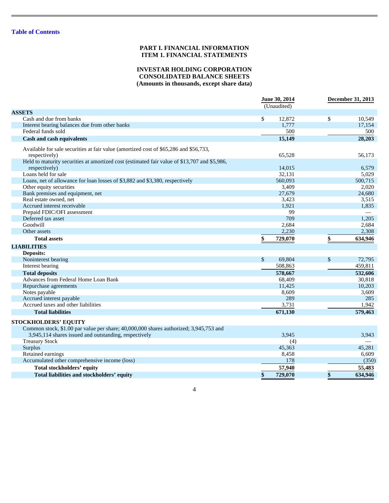# **PART I. FINANCIAL INFORMATION ITEM 1. FINANCIAL STATEMENTS**

# **INVESTAR HOLDING CORPORATION CONSOLIDATED BALANCE SHEETS (Amounts in thousands, except share data)**

|                                                                                              | June 30, 2014                | December 31, 2013      |
|----------------------------------------------------------------------------------------------|------------------------------|------------------------|
| <b>ASSETS</b>                                                                                | (Unaudited)                  |                        |
| Cash and due from banks                                                                      | \$                           |                        |
|                                                                                              | 12,872<br>1,777              | \$<br>10,549<br>17,154 |
| Interest bearing balances due from other banks<br>Federal funds sold                         | 500                          | 500                    |
|                                                                                              |                              |                        |
| <b>Cash and cash equivalents</b>                                                             | 15,149                       | 28,203                 |
| Available for sale securities at fair value (amortized cost of \$65,286 and \$56,733,        |                              |                        |
| respectively)                                                                                | 65,528                       | 56,173                 |
| Held to maturity securities at amortized cost (estimated fair value of \$13,707 and \$5,986, |                              |                        |
| respectively)                                                                                | 14,015                       | 6,579                  |
| Loans held for sale                                                                          | 32,131                       | 5,029                  |
| Loans, net of allowance for loan losses of \$3,882 and \$3,380, respectively                 | 560,093                      | 500,715                |
| Other equity securities                                                                      | 3,409                        | 2,020                  |
| Bank premises and equipment, net                                                             | 27,679                       | 24,680                 |
| Real estate owned, net                                                                       | 3,423                        | 3,515                  |
| Accrued interest receivable                                                                  | 1,921                        | 1,835                  |
| Prepaid FDIC/OFI assessment                                                                  | 99                           |                        |
| Deferred tax asset                                                                           | 709                          | 1,205                  |
| Goodwill                                                                                     | 2,684                        | 2,684                  |
| Other assets                                                                                 | 2,230                        | 2,308                  |
| <b>Total assets</b>                                                                          | \$<br>729,070                | \$<br>634,946          |
| <b>LIABILITIES</b>                                                                           |                              |                        |
| Deposits:                                                                                    |                              |                        |
| Noninterest bearing                                                                          | $\mathbf{\hat{S}}$<br>69,804 | \$<br>72,795           |
| Interest bearing                                                                             | 508,863                      | 459,811                |
| <b>Total deposits</b>                                                                        | 578,667                      | 532,606                |
| Advances from Federal Home Loan Bank                                                         | 68,409                       | 30,818                 |
| Repurchase agreements                                                                        | 11,425                       | 10,203                 |
| Notes payable                                                                                | 8,609                        | 3,609                  |
| Accrued interest payable                                                                     | 289                          | 285                    |
| Accrued taxes and other liabilities                                                          | 3,731                        | 1,942                  |
| <b>Total liabilities</b>                                                                     | 671,130                      | 579,463                |
| <b>STOCKHOLDERS' EQUITY</b>                                                                  |                              |                        |
| Common stock, \$1.00 par value per share; 40,000,000 shares authorized; 3,945,753 and        |                              |                        |
| 3,945,114 shares issued and outstanding, respectively                                        | 3,945                        | 3,943                  |
| <b>Treasury Stock</b>                                                                        | (4)                          |                        |
| Surplus                                                                                      | 45,363                       | 45,281                 |
| Retained earnings                                                                            | 8,458                        | 6,609                  |
| Accumulated other comprehensive income (loss)                                                | 178                          | (350)                  |
| <b>Total stockholders' equity</b>                                                            | 57,940                       | 55,483                 |
|                                                                                              |                              |                        |
| Total liabilities and stockholders' equity                                                   | \$<br>729,070                | 634,946<br>\$          |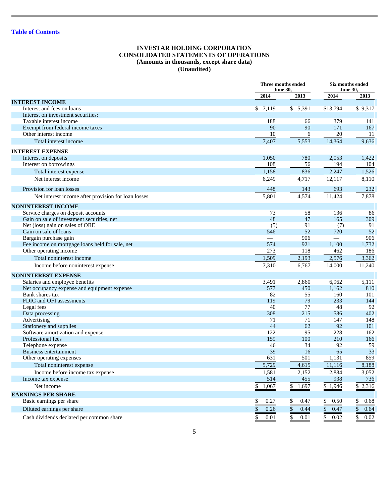# **INVESTAR HOLDING CORPORATION CONSOLIDATED STATEMENTS OF OPERATIONS (Amounts in thousands, except share data) (Unaudited)**

|                                                     |             | Three months ended<br><b>June 30,</b> |            |                |
|-----------------------------------------------------|-------------|---------------------------------------|------------|----------------|
|                                                     | 2014        | 2013                                  | 2014       | 2013           |
| <b>INTEREST INCOME</b>                              |             |                                       |            |                |
| Interest and fees on loans                          | \$7,119     | \$5,391                               | \$13,794   | \$9,317        |
| Interest on investment securities:                  |             |                                       |            |                |
| Taxable interest income                             | 188         | 66                                    | 379        | 141            |
| Exempt from federal income taxes                    | 90          | 90                                    | 171        | 167            |
| Other interest income                               | 10          | 6                                     | 20         | 11             |
| Total interest income                               | 7,407       | 5,553                                 | 14,364     | 9,636          |
| <b>INTEREST EXPENSE</b>                             |             |                                       |            |                |
| Interest on deposits                                | 1,050       | 780                                   | 2,053      | 1,422          |
| Interest on borrowings                              | 108         | 56                                    | 194        | 104            |
| Total interest expense                              | 1,158       | 836                                   | 2,247      | 1,526          |
| Net interest income                                 | 6,249       | 4,717                                 | 12,117     | 8,110          |
| Provision for loan losses                           | 448         | 143                                   | 693        | 232            |
| Net interest income after provision for loan losses | 5,801       | 4,574                                 | 11,424     | 7,878          |
| <b>NONINTEREST INCOME</b>                           |             |                                       |            |                |
| Service charges on deposit accounts                 | 73          | 58                                    | 136        | 86             |
| Gain on sale of investment securities, net          | 48          | 47                                    | 165        | 309            |
| Net (loss) gain on sales of ORE                     | (5)         | 91                                    | (7)        | 91             |
| Gain on sale of loans                               | 546         | 52                                    | 720        | 52             |
| Bargain purchase gain                               |             | 906                                   |            | 906            |
| Fee income on mortgage loans held for sale, net     | 574         | 921                                   | 1,100      | 1,732          |
| Other operating income                              | 273         | 118                                   | 462        | 186            |
| Total noninterest income                            | 1,509       | 2,193                                 | 2,576      | 3,362          |
| Income before noninterest expense                   | 7,310       | 6,767                                 | 14,000     | 11,240         |
| <b>NONINTEREST EXPENSE</b>                          |             |                                       |            |                |
| Salaries and employee benefits                      | 3,491       | 2,860                                 | 6,962      | 5,111          |
| Net occupancy expense and equipment expense         | 577         | 450                                   | 1,162      | 810            |
| Bank shares tax                                     | 82          | 55                                    | 160        | 101            |
| FDIC and OFI assessments                            | 119         | 79                                    | 233        | 144            |
| Legal fees                                          | 40          | 77                                    | 48         | 92             |
| Data processing                                     | 308         | 215                                   | 586        | 402            |
| Advertising                                         | 71          | 71                                    | 147        | 148            |
| Stationery and supplies                             | 44          | 62                                    | 92         | 101            |
| Software amortization and expense                   | 122         | 95                                    | 228        | 162            |
| Professional fees                                   | 159         | 100                                   | 210        | 166            |
| Telephone expense                                   | 46          | 34                                    | 92         | 59             |
| Business entertainment                              | 39          | 16                                    | 65         | 33             |
| Other operating expenses                            | 631         | 501                                   | 1,131      | 859            |
| Total noninterest expense                           | 5,729       | 4,615                                 | 11,116     | 8,188          |
| Income before income tax expense                    | 1,581       | 2,152                                 | 2,884      | 3,052          |
| Income tax expense                                  | 514         | 455                                   | 938        | 736            |
| Net income                                          | 1,067<br>\$ | \$<br>1,697                           | \$1,946    | \$2,316        |
| <b>EARNINGS PER SHARE</b>                           |             |                                       |            |                |
| Basic earnings per share                            | 0.27<br>\$  | 0.47<br>\$                            | 0.50<br>\$ | 0.68<br>\$     |
| Diluted earnings per share                          | 0.26<br>\$  | 0.44<br>\$                            | \$<br>0.47 | \$<br>0.64     |
| Cash dividends declared per common share            | \$<br>0.01  | \$<br>0.01                            | \$ 0.02    | $0.02\,$<br>\$ |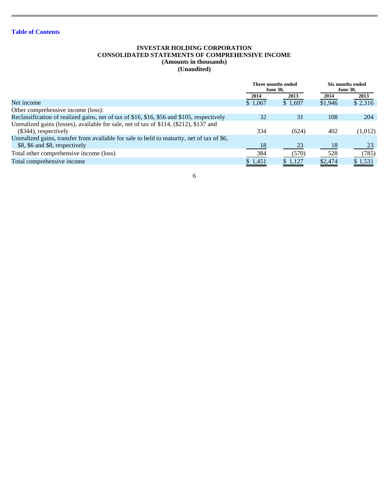# **INVESTAR HOLDING CORPORATION CONSOLIDATED STATEMENTS OF COMPREHENSIVE INCOME (Amounts in thousands) (Unaudited)**

|                                                                                            | Three months ended<br><b>June 30,</b> |         | Six months ended<br><b>June 30,</b> |         |
|--------------------------------------------------------------------------------------------|---------------------------------------|---------|-------------------------------------|---------|
|                                                                                            | 2014                                  | 2013    | 2014                                | 2013    |
| Net income                                                                                 | \$1.067                               | \$1,697 | \$1,946                             | \$2,316 |
| Other comprehensive income (loss):                                                         |                                       |         |                                     |         |
| Reclassification of realized gains, net of tax of \$16, \$16, \$56 and \$105, respectively | 32                                    | 31      | 108                                 | 204     |
| Unrealized gains (losses), available for sale, net of tax of \$114, (\$212), \$137 and     |                                       |         |                                     |         |
| $(\$344)$ , respectively                                                                   | 334                                   | (624)   | 402                                 | (1,012) |
| Unrealized gains, transfer from available for sale to held to maturity, net of tax of \$6, |                                       |         |                                     |         |
| \$8, \$6 and \$8, respectively                                                             | 18                                    | 23      | 18                                  | 23      |
| Total other comprehensive income (loss)                                                    | 384                                   | (570)   | 528                                 | (785)   |
| Total comprehensive income                                                                 | \$1,451                               | \$1,127 | \$2,474                             | \$1,531 |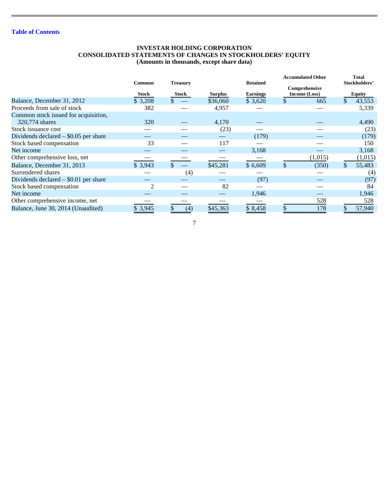# **INVESTAR HOLDING CORPORATION CONSOLIDATED STATEMENTS OF CHANGES IN STOCKHOLDERS' EQUITY (Amounts in thousands, except share data)**

|                                         | Common       | <b>Treasury</b> |          | <b>Retained</b> |     | <b>Accumulated Other</b>              |               | <b>Total</b><br>Stockholders' |
|-----------------------------------------|--------------|-----------------|----------|-----------------|-----|---------------------------------------|---------------|-------------------------------|
|                                         | <b>Stock</b> | Stock           | Surplus  | <b>Earnings</b> |     | Comprehensive<br><b>Income</b> (Loss) |               | Equity                        |
| Balance, December 31, 2012              | \$3,208      |                 | \$36,060 | \$3,620         |     | 665                                   | $\mathbb{S}$  | 43,553                        |
| Proceeds from sale of stock             | 382          |                 | 4,957    |                 |     |                                       |               | 5,339                         |
| Common stock issued for acquisition,    |              |                 |          |                 |     |                                       |               |                               |
| 320,774 shares                          | 320          |                 | 4,170    |                 |     |                                       |               | 4,490                         |
| Stock issuance cost                     |              |                 | (23)     |                 |     |                                       |               | (23)                          |
| Dividends declared $-$ \$0.05 per share |              |                 |          | (179)           |     |                                       |               | (179)                         |
| Stock based compensation                | 33           |                 | 117      |                 |     |                                       |               | 150                           |
| Net income                              |              |                 |          | 3,168           |     |                                       |               | 3,168                         |
| Other comprehensive loss, net           |              |                 |          |                 |     | (1,015)                               |               | (1,015)                       |
| Balance, December 31, 2013              | \$3,943      | \$.             | \$45,281 | \$6,609         | \$. | (350)                                 | $\mathcal{S}$ | 55,483                        |
| Surrendered shares                      |              | (4)             |          |                 |     |                                       |               | (4)                           |
| Dividends declared $-$ \$0.01 per share |              |                 |          | (97)            |     |                                       |               | (97)                          |
| Stock based compensation                | 2            |                 | 82       |                 |     |                                       |               | 84                            |
| Net income                              |              |                 |          | 1,946           |     |                                       |               | 1,946                         |
| Other comprehensive income, net         |              |                 |          |                 |     | 528                                   |               | 528                           |
| Balance, June 30, 2014 (Unaudited)      | \$3,945      | (4)             | \$45,363 | \$8,458         |     | 178                                   |               | 57,940                        |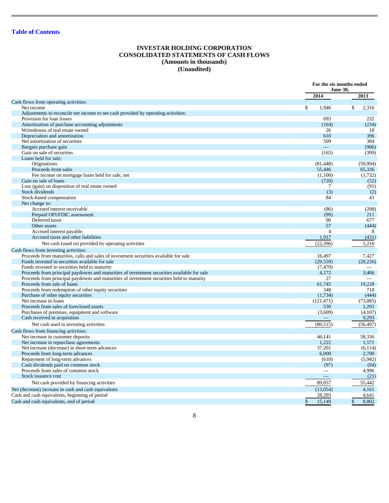# **INVESTAR HOLDING CORPORATION CONSOLIDATED STATEMENTS OF CASH FLOWS (Amounts in thousands) (Unaudited)**

|                                                                                             | For the six months ended<br><b>June 30.</b> |                       |
|---------------------------------------------------------------------------------------------|---------------------------------------------|-----------------------|
|                                                                                             | 2014                                        | 2013                  |
| Cash flows from operating activities:                                                       |                                             |                       |
| Net income                                                                                  | \$<br>1,946                                 | \$<br>2,316           |
| Adjustments to reconcile net income to net cash provided by operating activities:           | 693                                         | 232                   |
| Provision for loan losses                                                                   | (164)                                       | (234)                 |
| Amortization of purchase accounting adjustments<br>Writedowns of real estate owned          | 26                                          |                       |
| Depreciation and amortization                                                               | 610                                         | 18<br>396             |
| Net amortization of securities                                                              | 509                                         | 384                   |
| Bargain purchase gain                                                                       |                                             | (906)                 |
| Gain on sale of securities                                                                  | (165)                                       | (309)                 |
| Loans held for sale:                                                                        |                                             |                       |
| Originations                                                                                | (81, 448)                                   | (59,994)              |
| Proceeds from sales                                                                         | 55,446                                      | 65,336                |
| Fee income on mortgage loans held for sale, net                                             | (1,100)                                     | (1,732)               |
| Gain on sale of loans                                                                       | (720)                                       | (52)                  |
| Loss (gain) on disposition of real estate owned                                             | 7                                           | (91)                  |
| Stock dividends                                                                             | (3)                                         | (2)                   |
| Stock-based compensation                                                                    | 84                                          | 41                    |
| Net change in:                                                                              |                                             |                       |
| Accrued interest receivable                                                                 | (86)                                        | (208)                 |
| Prepaid OFI/FDIC assessment                                                                 | (99)                                        | 211                   |
| Deferred taxes                                                                              | 90                                          | 677                   |
| Other assets                                                                                | 57                                          | (444)                 |
| Accrued interest payable                                                                    | $\overline{4}$                              | 8                     |
| Accrued taxes and other liabilities                                                         | 1,917                                       | (431)                 |
| Net cash (used in) provided by operating activities                                         | (22, 396)                                   | 5,216                 |
| Cash flows from investing activities:                                                       |                                             |                       |
| Proceeds from maturities, calls and sales of investment securities available for sale       | 16,497                                      | 7,427                 |
| Funds invested in securities available for sale                                             | (29, 559)                                   | (20, 226)             |
| Funds invested in securities held to maturity                                               | (7, 470)                                    |                       |
| Proceeds from principal paydowns and maturities of investment securities available for sale | 4.172                                       | 3,406                 |
| Proceeds from principal paydowns and maturities of investment securities held to maturity   | 27                                          |                       |
| Proceeds from sale of loans                                                                 | 61,745                                      | 19,228                |
| Proceeds from redemption of other equity securities                                         | 348                                         | 718                   |
| Purchase of other equity securities                                                         | (1,734)                                     | (444)                 |
| Net increase in loans                                                                       | (121, 471)                                  | (73,085)              |
| Proceeds from sales of foreclosed assets                                                    | 539                                         | 1,293                 |
| Purchases of premises, equipment and software                                               | (3,609)                                     | (4,107)               |
| Cash received in acquisition                                                                |                                             | 9,293                 |
| Net cash used in investing activities                                                       | (80, 515)                                   | (56, 497)             |
| Cash flows from financing activities:                                                       |                                             |                       |
| Net increase in customer deposits                                                           | 46,141                                      | 58,336                |
| Net increase in repurchase agreements                                                       | 1,222                                       | 1,571                 |
| Net increase (decrease) in short-term advances                                              | 37,201                                      | (6,114)               |
| Proceeds from long-term advances                                                            | 6,000                                       | 2,700                 |
| Repayment of long-term advances                                                             | (610)                                       | (5,942)               |
| Cash dividends paid on common stock                                                         | (97)                                        | (84)                  |
| Proceeds from sales of common stock                                                         |                                             | 4,996                 |
| Stock issuance cost                                                                         |                                             | (21)                  |
| Net cash provided by financing activities                                                   | 89,857                                      | 55,442                |
| Net (decrease) increase in cash and cash equivalents                                        | (13,054)                                    | 4.161                 |
| Cash and cash equivalents, beginning of period                                              | 28,203                                      | 4,641                 |
| Cash and cash equivalents, end of period                                                    | \$<br>15.149                                | 8.802<br>$\mathbb{S}$ |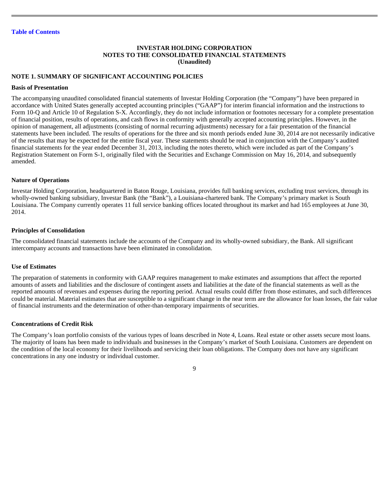#### **NOTE 1. SUMMARY OF SIGNIFICANT ACCOUNTING POLICIES**

#### **Basis of Presentation**

The accompanying unaudited consolidated financial statements of Investar Holding Corporation (the "Company") have been prepared in accordance with United States generally accepted accounting principles ("GAAP") for interim financial information and the instructions to Form 10-Q and Article 10 of Regulation S-X. Accordingly, they do not include information or footnotes necessary for a complete presentation of financial position, results of operations, and cash flows in conformity with generally accepted accounting principles. However, in the opinion of management, all adjustments (consisting of normal recurring adjustments) necessary for a fair presentation of the financial statements have been included. The results of operations for the three and six month periods ended June 30, 2014 are not necessarily indicative of the results that may be expected for the entire fiscal year. These statements should be read in conjunction with the Company's audited financial statements for the year ended December 31, 2013, including the notes thereto, which were included as part of the Company's Registration Statement on Form S-1, originally filed with the Securities and Exchange Commission on May 16, 2014, and subsequently amended.

#### **Nature of Operations**

Investar Holding Corporation, headquartered in Baton Rouge, Louisiana, provides full banking services, excluding trust services, through its wholly-owned banking subsidiary, Investar Bank (the "Bank"), a Louisiana-chartered bank. The Company's primary market is South Louisiana. The Company currently operates 11 full service banking offices located throughout its market and had 165 employees at June 30, 2014.

#### **Principles of Consolidation**

The consolidated financial statements include the accounts of the Company and its wholly-owned subsidiary, the Bank. All significant intercompany accounts and transactions have been eliminated in consolidation.

#### **Use of Estimates**

The preparation of statements in conformity with GAAP requires management to make estimates and assumptions that affect the reported amounts of assets and liabilities and the disclosure of contingent assets and liabilities at the date of the financial statements as well as the reported amounts of revenues and expenses during the reporting period. Actual results could differ from those estimates, and such differences could be material. Material estimates that are susceptible to a significant change in the near term are the allowance for loan losses, the fair value of financial instruments and the determination of other-than-temporary impairments of securities.

#### **Concentrations of Credit Risk**

The Company's loan portfolio consists of the various types of loans described in Note 4, Loans. Real estate or other assets secure most loans. The majority of loans has been made to individuals and businesses in the Company's market of South Louisiana. Customers are dependent on the condition of the local economy for their livelihoods and servicing their loan obligations. The Company does not have any significant concentrations in any one industry or individual customer.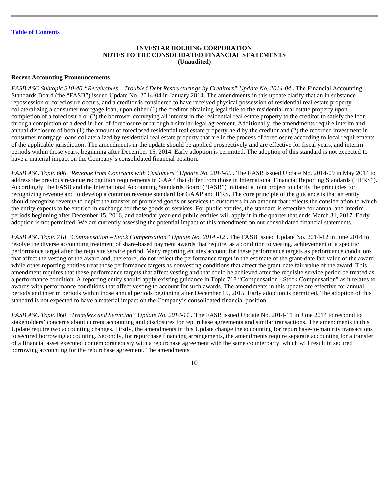#### **Recent Accounting Pronouncements**

*FASB ASC Subtopic 310-40 "Receivables – Troubled Debt Restructurings by Creditors" Update No. 2014-04 .* The Financial Accounting Standards Board (the "FASB") issued Update No. 2014-04 in January 2014. The amendments in this update clarify that an in substance repossession or foreclosure occurs, and a creditor is considered to have received physical possession of residential real estate property collateralizing a consumer mortgage loan, upon either (1) the creditor obtaining legal title to the residential real estate property upon completion of a foreclosure or (2) the borrower conveying all interest in the residential real estate property to the creditor to satisfy the loan through completion of a deed in lieu of foreclosure or through a similar legal agreement. Additionally, the amendments require interim and annual disclosure of both (1) the amount of foreclosed residential real estate property held by the creditor and (2) the recorded investment in consumer mortgage loans collateralized by residential real estate property that are in the process of foreclosure according to local requirements of the applicable jurisdiction. The amendments in the update should be applied prospectively and are effective for fiscal years, and interim periods within those years, beginning after December 15, 2014. Early adoption is permitted. The adoption of this standard is not expected to have a material impact on the Company's consolidated financial position.

*FASB ASC Topic 606 "Revenue from Contracts with Customers" Update No. 2014-09* **.** The FASB issued Update No. 2014-09 in May 2014 to address the previous revenue recognition requirements in GAAP that differ from those in International Financial Reporting Standards ("IFRS"). Accordingly, the FASB and the International Accounting Standards Board ("IASB") initiated a joint project to clarify the principles for recognizing revenue and to develop a common revenue standard for GAAP and IFRS. The core principle of the guidance is that an entity should recognize revenue to depict the transfer of promised goods or services to customers in an amount that reflects the consideration to which the entity expects to be entitled in exchange for those goods or services. For public entities, the standard is effective for annual and interim periods beginning after December 15, 2016, and calendar year-end public entities will apply it in the quarter that ends March 31, 2017. Early adoption is not permitted. We are currently assessing the potential impact of this amendment on our consolidated financial statements.

*FASB ASC Topic 718 "Compensation – Stock Compensation" Update No. 2014 -12* **.** The FASB issued Update No. 2014-12 in June 2014 to resolve the diverse accounting treatment of share-based payment awards that require, as a condition to vesting, achievement of a specific performance target after the requisite service period. Many reporting entities account for these performance targets as performance conditions that affect the vesting of the award and, therefore, do not reflect the performance target in the estimate of the grant-date fair value of the award, while other reporting entities treat those performance targets as nonvesting conditions that affect the grant-date fair value of the award. This amendment requires that these performance targets that affect vesting and that could be achieved after the requisite service period be treated as a performance condition. A reporting entity should apply existing guidance in Topic 718 "Compensation - Stock Compensation" as it relates to awards with performance conditions that affect vesting to account for such awards. The amendments in this update are effective for annual periods and interim periods within those annual periods beginning after December 15, 2015. Early adoption is permitted. The adoption of this standard is not expected to have a material impact on the Company's consolidated financial position.

*FASB ASC Topic 860 "Transfers and Servicing" Update No. 2014-11* **.** The FASB issued Update No. 2014-11 in June 2014 to respond to stakeholders' concerns about current accounting and disclosures for repurchase agreements and similar transactions. The amendments in this Update require two accounting changes. Firstly, the amendments in this Update change the accounting for repurchase-to-maturity transactions to secured borrowing accounting. Secondly, for repurchase financing arrangements, the amendments require separate accounting for a transfer of a financial asset executed contemporaneously with a repurchase agreement with the same counterparty, which will result in secured borrowing accounting for the repurchase agreement. The amendments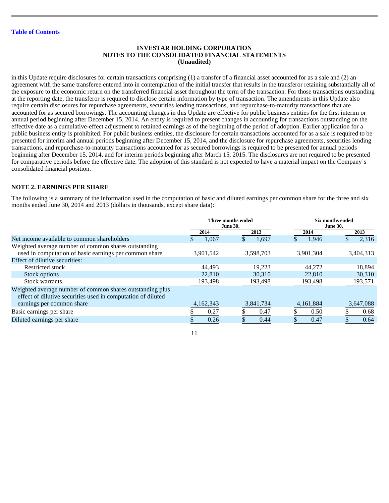in this Update require disclosures for certain transactions comprising (1) a transfer of a financial asset accounted for as a sale and (2) an agreement with the same transferee entered into in contemplation of the initial transfer that results in the transferor retaining substantially all of the exposure to the economic return on the transferred financial asset throughout the term of the transaction. For those transactions outstanding at the reporting date, the transferor is required to disclose certain information by type of transaction. The amendments in this Update also require certain disclosures for repurchase agreements, securities lending transactions, and repurchase-to-maturity transactions that are accounted for as secured borrowings. The accounting changes in this Update are effective for public business entities for the first interim or annual period beginning after December 15, 2014. An entity is required to present changes in accounting for transactions outstanding on the effective date as a cumulative-effect adjustment to retained earnings as of the beginning of the period of adoption. Earlier application for a public business entity is prohibited. For public business entities, the disclosure for certain transactions accounted for as a sale is required to be presented for interim and annual periods beginning after December 15, 2014, and the disclosure for repurchase agreements, securities lending transactions, and repurchase-to-maturity transactions accounted for as secured borrowings is required to be presented for annual periods beginning after December 15, 2014, and for interim periods beginning after March 15, 2015. The disclosures are not required to be presented for comparative periods before the effective date. The adoption of this standard is not expected to have a material impact on the Company's consolidated financial position.

#### **NOTE 2. EARNINGS PER SHARE**

The following is a summary of the information used in the computation of basic and diluted earnings per common share for the three and six months ended June 30, 2014 and 2013 (dollars in thousands, except share data):

|                                                                                                                           |           | Three months ended<br><b>June 30,</b> | <b>Six months ended</b><br><b>June 30,</b> |           |  |
|---------------------------------------------------------------------------------------------------------------------------|-----------|---------------------------------------|--------------------------------------------|-----------|--|
|                                                                                                                           | 2014      | 2013                                  | 2014                                       | 2013      |  |
| Net income available to common shareholders                                                                               | 1,067     | 1,697                                 | 1,946                                      | 2,316     |  |
| Weighted average number of common shares outstanding<br>used in computation of basic earnings per common share            | 3,901,542 | 3,598,703                             | 3.901.304                                  | 3,404,313 |  |
| Effect of dilutive securities:                                                                                            |           |                                       |                                            |           |  |
| Restricted stock                                                                                                          | 44.493    | 19.223                                | 44,272                                     | 18.894    |  |
| Stock options                                                                                                             | 22,810    | 30.310                                | 22,810                                     | 30,310    |  |
| Stock warrants                                                                                                            | 193,498   | 193,498                               | 193,498                                    | 193,571   |  |
| Weighted average number of common shares outstanding plus<br>effect of dilutive securities used in computation of diluted |           |                                       |                                            |           |  |
| earnings per common share                                                                                                 | 4,162,343 | 3,841,734                             | 4,161,884                                  | 3,647,088 |  |
| Basic earnings per share                                                                                                  | 0.27      | 0.47                                  | 0.50                                       | 0.68      |  |
| Diluted earnings per share                                                                                                | 0.26      | 0.44                                  | 0.47                                       | 0.64      |  |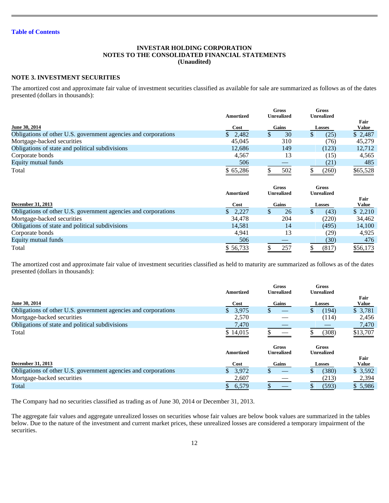# **NOTE 3. INVESTMENT SECURITIES**

The amortized cost and approximate fair value of investment securities classified as available for sale are summarized as follows as of the dates presented (dollars in thousands):

|                                                                | <b>Amortized</b> | <b>Gross</b><br><b>Unrealized</b> | Gross<br><b>Unrealized</b> |                      |
|----------------------------------------------------------------|------------------|-----------------------------------|----------------------------|----------------------|
| June 30, 2014                                                  | Cost             | Gains                             | Losses                     | Fair<br><b>Value</b> |
| Obligations of other U.S. government agencies and corporations | \$2,482          | 30                                | (25)                       | \$2,487              |
| Mortgage-backed securities                                     | 45,045           | 310                               | (76)                       | 45,279               |
| Obligations of state and political subdivisions                | 12,686           | 149                               | (123)                      | 12,712               |
| Corporate bonds                                                | 4.567            | 13                                | (15)                       | 4.565                |
| Equity mutual funds                                            | 506              |                                   | (21)                       | 485                  |
| Total                                                          | \$65,286         | 502                               | (260)                      | \$65,528             |

|                                                                | Amortized | Gross<br><b>Unrealized</b> | Gross<br><b>Unrealized</b> |               |
|----------------------------------------------------------------|-----------|----------------------------|----------------------------|---------------|
| December 31, 2013                                              | Cost      | Gains                      | <b>Losses</b>              | Fair<br>Value |
| Obligations of other U.S. government agencies and corporations | \$2,227   | 26                         | (43)                       | \$2,210       |
| Mortgage-backed securities                                     | 34,478    | 204                        | (220)                      | 34,462        |
| Obligations of state and political subdivisions                | 14,581    | 14                         | (495)                      | 14,100        |
| Corporate bonds                                                | 4.941     | 13                         | (29)                       | 4.925         |
| Equity mutual funds                                            | 506       |                            | (30)                       | 476           |
| Total                                                          | \$56,733  | 257                        | (817)                      | \$56,173      |

The amortized cost and approximate fair value of investment securities classified as held to maturity are summarized as follows as of the dates presented (dollars in thousands):

|                                                                | <b>Amortized</b> | <b>Gross</b><br><b>Unrealized</b> | Gross<br><b>Unrealized</b> |                      |
|----------------------------------------------------------------|------------------|-----------------------------------|----------------------------|----------------------|
| June 30, 2014                                                  | Cost             | Gains                             | <b>Losses</b>              | Fair<br><b>Value</b> |
| Obligations of other U.S. government agencies and corporations | \$3,975          |                                   | (194)                      | \$3,781              |
| Mortgage-backed securities                                     | 2,570            |                                   | (114)                      | 2,456                |
| Obligations of state and political subdivisions                | 7,470            |                                   |                            | 7,470                |
| Total                                                          | \$14,015         |                                   | (308)                      | \$13,707             |
|                                                                | <b>Amortized</b> | Gross<br><b>Unrealized</b>        | Gross<br><b>Unrealized</b> | Fair                 |
| December 31, 2013                                              | Cost             | Gains                             | <b>Losses</b>              | <b>Value</b>         |
| Obligations of other U.S. government agencies and corporations | \$3,972          |                                   | (380)                      | \$3,592              |
| Mortgage-backed securities                                     | 2,607            |                                   | (213)                      | 2,394                |
| Total                                                          | 6,579            |                                   | (593)                      | \$5,986              |

The Company had no securities classified as trading as of June 30, 2014 or December 31, 2013.

The aggregate fair values and aggregate unrealized losses on securities whose fair values are below book values are summarized in the tables below. Due to the nature of the investment and current market prices, these unrealized losses are considered a temporary impairment of the securities.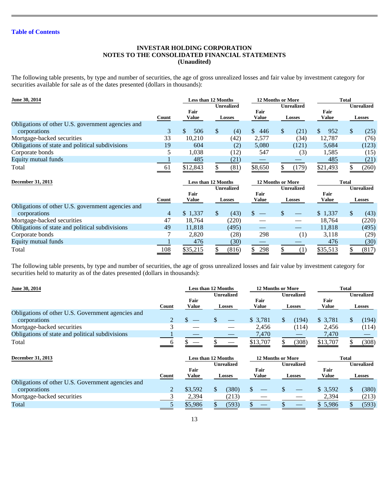The following table presents, by type and number of securities, the age of gross unrealized losses and fair value by investment category for securities available for sale as of the dates presented (dollars in thousands):

| June 30, 2014                                     |       | <b>Less than 12 Months</b> |            |                   | <b>12 Months or More</b> |  |                   | <b>Total</b>         |                   |               |
|---------------------------------------------------|-------|----------------------------|------------|-------------------|--------------------------|--|-------------------|----------------------|-------------------|---------------|
|                                                   |       |                            | Unrealized |                   |                          |  | <b>Unrealized</b> |                      | <b>Unrealized</b> |               |
|                                                   | Count | Fair<br>Value              |            | <b>Losses</b>     | Fair<br><b>Value</b>     |  | <b>Losses</b>     | Fair<br><b>Value</b> |                   | <b>Losses</b> |
| Obligations of other U.S. government agencies and |       |                            |            |                   |                          |  |                   |                      |                   |               |
| corporations                                      |       | 506                        | \$.        | $\left( 4\right)$ | 446<br>S                 |  | (21)              | 952                  |                   | (25)          |
| Mortgage-backed securities                        | 33    | 10.210                     |            | (42)              | 2,577                    |  | (34)              | 12,787               |                   | (76)          |
| Obligations of state and political subdivisions   | 19    | 604                        |            | (2)               | 5,080                    |  | (121)             | 5,684                |                   | (123)         |
| Corporate bonds                                   |       | 1,038                      |            | (12)              | 547                      |  | (3)               | 1,585                |                   | (15)          |
| Equity mutual funds                               |       | 485                        |            | (21)              |                          |  |                   | 485                  |                   | (21)          |
| Total                                             | 61    | \$12,843                   |            | (81)              | \$8,650                  |  | (179)             | \$21,493             |                   | (260)         |

| December 31, 2013                                 |       | <b>Less than 12 Months</b> |  |                   | <b>12 Months or More</b> |  | <b>Total</b>      |                      |  |                   |
|---------------------------------------------------|-------|----------------------------|--|-------------------|--------------------------|--|-------------------|----------------------|--|-------------------|
|                                                   |       |                            |  | <b>Unrealized</b> |                          |  | <b>Unrealized</b> |                      |  | <b>Unrealized</b> |
|                                                   | Count | Fair<br><b>Value</b>       |  | <b>Losses</b>     | Fair<br><b>Value</b>     |  | <b>Losses</b>     | Fair<br><b>Value</b> |  | <b>Losses</b>     |
| Obligations of other U.S. government agencies and |       |                            |  |                   |                          |  |                   |                      |  |                   |
| corporations                                      | 4     | \$1,337                    |  | (43)              |                          |  |                   | \$1.337              |  | (43)              |
| Mortgage-backed securities                        | 47    | 18.764                     |  | (220)             |                          |  |                   | 18.764               |  | (220)             |
| Obligations of state and political subdivisions   | 49    | 11.818                     |  | (495)             |                          |  |                   | 11,818               |  | (495)             |
| Corporate bonds                                   | ⇁     | 2.820                      |  | (28)              | 298                      |  | $\left(1\right)$  | 3,118                |  | (29)              |
| Equity mutual funds                               |       | 476                        |  | (30)              |                          |  |                   | 476                  |  | (30)              |
| Total                                             | 108   | \$35,215                   |  | (816)             | 298<br>\$                |  |                   | \$35,513             |  | (817)             |

The following table presents, by type and number of securities, the age of gross unrealized losses and fair value by investment category for securities held to maturity as of the dates presented (dollars in thousands):

| June 30, 2014                                     |       | Less than 12 Months |                   |               | <b>12 Months or More</b> | <b>Total</b>  |  |                   |
|---------------------------------------------------|-------|---------------------|-------------------|---------------|--------------------------|---------------|--|-------------------|
|                                                   |       |                     | <b>Unrealized</b> |               | <b>Unrealized</b>        |               |  | <b>Unrealized</b> |
|                                                   | Count | Fair<br>Value       | Losses            | Fair<br>Value | <b>Losses</b>            | Fair<br>Value |  | <b>Losses</b>     |
| Obligations of other U.S. Government agencies and |       |                     |                   |               |                          |               |  |                   |
| corporations                                      |       |                     |                   | \$ 3.781      | (194)                    | \$ 3.781      |  | (194)             |
| Mortgage-backed securities                        |       |                     |                   | 2,456         | (114)                    | 2,456         |  | (114)             |
| Obligations of state and political subdivisions   |       |                     |                   | 7,470         |                          | 7,470         |  |                   |
| Total                                             |       |                     |                   | \$13,707      | (308)                    | \$13,707      |  | (308)             |

| December 31, 2013                                 |       |               | Less than 12 Months |               | <b>12 Months or More</b> |                      | <b>Total</b>      |
|---------------------------------------------------|-------|---------------|---------------------|---------------|--------------------------|----------------------|-------------------|
|                                                   |       |               | Unrealized          |               | <b>Unrealized</b>        |                      | <b>Unrealized</b> |
|                                                   | Count | Fair<br>Value | Losses              | Fair<br>Value | <b>Losses</b>            | Fair<br><b>Value</b> | <b>Losses</b>     |
| Obligations of other U.S. Government agencies and |       |               |                     |               |                          |                      |                   |
| corporations                                      |       | \$3.592       | (380)               |               |                          | \$3.592              | (380)             |
| Mortgage-backed securities                        |       | 2,394         | (213)               |               |                          | 2,394                | (213)             |
| Total                                             |       | \$5,986       | (593)               |               |                          | \$5,986              | (593)             |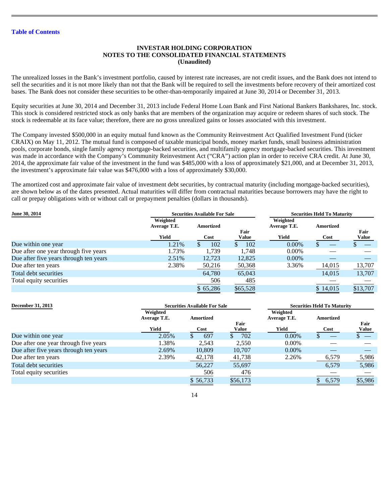The unrealized losses in the Bank's investment portfolio, caused by interest rate increases, are not credit issues, and the Bank does not intend to sell the securities and it is not more likely than not that the Bank will be required to sell the investments before recovery of their amortized cost bases. The Bank does not consider these securities to be other-than-temporarily impaired at June 30, 2014 or December 31, 2013.

Equity securities at June 30, 2014 and December 31, 2013 include Federal Home Loan Bank and First National Bankers Bankshares, Inc. stock. This stock is considered restricted stock as only banks that are members of the organization may acquire or redeem shares of such stock. The stock is redeemable at its face value; therefore, there are no gross unrealized gains or losses associated with this investment.

The Company invested \$500,000 in an equity mutual fund known as the Community Reinvestment Act Qualified Investment Fund (ticker CRAIX) on May 11, 2012. The mutual fund is composed of taxable municipal bonds, money market funds, small business administration pools, corporate bonds, single family agency mortgage-backed securities, and multifamily agency mortgage-backed securities. This investment was made in accordance with the Company's Community Reinvestment Act ("CRA") action plan in order to receive CRA credit. At June 30, 2014, the approximate fair value of the investment in the fund was \$485,000 with a loss of approximately \$21,000, and at December 31, 2013, the investment's approximate fair value was \$476,000 with a loss of approximately \$30,000.

The amortized cost and approximate fair value of investment debt securities, by contractual maturity (including mortgage-backed securities), are shown below as of the dates presented. Actual maturities will differ from contractual maturities because borrowers may have the right to call or prepay obligations with or without call or prepayment penalties (dollars in thousands).

| June 30, 2014                          |                                   | <b>Securities Available For Sale</b> |               | <b>Securities Held To Maturity</b> |                          |               |  |
|----------------------------------------|-----------------------------------|--------------------------------------|---------------|------------------------------------|--------------------------|---------------|--|
|                                        | Weighted<br>Average T.E.<br>Yield | <b>Amortized</b><br>Cost             | Fair<br>Value | Weighted<br>Average T.E.<br>Yield  | <b>Amortized</b><br>Cost | Fair<br>Value |  |
| Due within one year                    | .21%                              | 102                                  | 102           | $0.00\%$                           |                          |               |  |
| Due after one year through five years  | 1.73%                             | 1.739                                | 1.748         | $0.00\%$                           |                          |               |  |
| Due after five years through ten years | 2.51%                             | 12,723                               | 12,825        | $0.00\%$                           |                          |               |  |
| Due after ten years                    | 2.38%                             | 50,216                               | 50,368        | 3.36%                              | 14,015                   | 13,707        |  |
| Total debt securities                  |                                   | 64,780                               | 65,043        |                                    | 14,015                   | 13,707        |  |
| Total equity securities                |                                   | 506                                  | 485           |                                    |                          |               |  |
|                                        |                                   | \$65,286                             | \$65,528      |                                    | \$14,015                 | \$13,707      |  |

| December 31, 2013                      |                          | <b>Securities Available For Sale</b> |              | <b>Securities Held To Maturity</b> |           |              |  |
|----------------------------------------|--------------------------|--------------------------------------|--------------|------------------------------------|-----------|--------------|--|
|                                        | Weighted<br>Average T.E. | Amortized                            | Fair         | Weighted<br>Average T.E.           | Amortized | Fair         |  |
|                                        | Yield                    | Cost                                 | <b>Value</b> | Yield                              | Cost      | <b>Value</b> |  |
| Due within one year                    | 2.05%                    | 697                                  | 702          | $0.00\%$                           |           |              |  |
| Due after one year through five years  | 1.38%                    | 2.543                                | 2.550        | $0.00\%$                           |           |              |  |
| Due after five years through ten years | 2.69%                    | 10,809                               | 10,707       | $0.00\%$                           |           |              |  |
| Due after ten years                    | 2.39%                    | 42,178                               | 41,738       | 2.26%                              | 6,579     | 5,986        |  |
| Total debt securities                  |                          | 56,227                               | 55,697       |                                    | 6,579     | 5,986        |  |
| Total equity securities                |                          | 506                                  | 476          |                                    |           |              |  |
|                                        |                          | \$56,733                             | \$56,173     |                                    | 6,579     | \$5,986      |  |

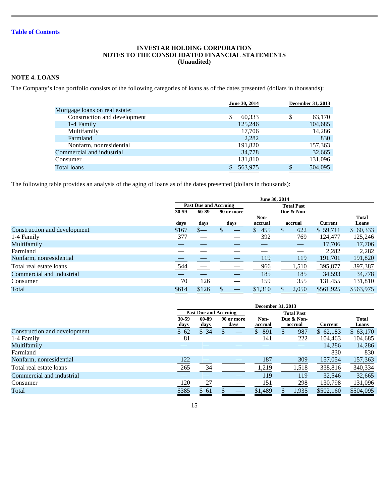# **NOTE 4. LOANS**

The Company's loan portfolio consists of the following categories of loans as of the dates presented (dollars in thousands):

| June 30, 2014 | December 31, 2013 |
|---------------|-------------------|
|               |                   |
| 60,333        | \$<br>63,170      |
| 125,246       | 104,685           |
| 17,706        | 14,286            |
| 2,282         | 830               |
| 191,820       | 157,363           |
| 34,778        | 32,665            |
| 131,810       | 131,096           |
| 563,975       | 504,095           |
|               |                   |

The following table provides an analysis of the aging of loans as of the dates presented (dollars in thousands):

|                              | June 30, 2014 |                              |            |         |                   |           |              |  |  |  |
|------------------------------|---------------|------------------------------|------------|---------|-------------------|-----------|--------------|--|--|--|
|                              |               | <b>Past Due and Accruing</b> |            |         | <b>Total Past</b> |           |              |  |  |  |
|                              | 30-59         | 60-89                        | 90 or more |         | Due & Non-        |           |              |  |  |  |
|                              |               |                              |            | Non-    |                   |           | <b>Total</b> |  |  |  |
|                              | days          | days                         | days       | accrual | accrual           | Current   | Loans        |  |  |  |
| Construction and development | \$167         | $S-$                         |            | \$455   | 622               | \$59,711  | \$60,333     |  |  |  |
| 1-4 Family                   | 377           |                              |            | 392     | 769               | 124,477   | 125,246      |  |  |  |
| Multifamily                  |               |                              |            |         |                   | 17.706    | 17,706       |  |  |  |
| Farmland                     |               |                              |            |         |                   | 2,282     | 2,282        |  |  |  |
| Nonfarm, nonresidential      |               |                              |            | 119     | 119               | 191,701   | 191,820      |  |  |  |
| Total real estate loans      | 544           |                              |            | 966     | 1,510             | 395,877   | 397,387      |  |  |  |
| Commercial and industrial    |               |                              |            | 185     | 185               | 34,593    | 34,778       |  |  |  |
| Consumer                     | 70            | 126                          |            | 159     | 355               | 131,455   | 131,810      |  |  |  |
| Total                        | \$614         | \$126                        |            | \$1,310 | 2,050             | \$561,925 | \$563,975    |  |  |  |

|                              | <b>December 31, 2013</b> |                              |            |           |                   |                |              |  |  |
|------------------------------|--------------------------|------------------------------|------------|-----------|-------------------|----------------|--------------|--|--|
|                              |                          | <b>Past Due and Accruing</b> |            |           | <b>Total Past</b> |                |              |  |  |
|                              | 30-59                    | 60-89                        | 90 or more | Non-      | Due & Non-        |                | <b>Total</b> |  |  |
|                              | <u>days</u>              | days                         | days       | accrual   | accrual           | <b>Current</b> | Loans        |  |  |
| Construction and development | \$62                     | \$34                         | Ж          | 891<br>S. | 987<br>S.         | \$62,183       | \$63,170     |  |  |
| 1-4 Family                   | 81                       |                              |            | 141       | 222               | 104,463        | 104,685      |  |  |
| Multifamily                  |                          |                              |            |           |                   | 14,286         | 14,286       |  |  |
| Farmland                     |                          |                              |            |           |                   | 830            | 830          |  |  |
| Nonfarm, nonresidential      | 122                      | $\overline{\phantom{0}}$     |            | 187       | 309               | 157,054        | 157,363      |  |  |
| Total real estate loans      | 265                      | 34                           |            | 1,219     | 1,518             | 338,816        | 340,334      |  |  |
| Commercial and industrial    |                          |                              |            | 119       | 119               | 32,546         | 32,665       |  |  |
| Consumer                     | 120                      | 27                           |            | 151       | 298               | 130,798        | 131,096      |  |  |
| Total                        | \$385                    | \$61                         |            | \$1,489   | 1,935             | \$502,160      | \$504,095    |  |  |
|                              |                          |                              |            |           |                   |                |              |  |  |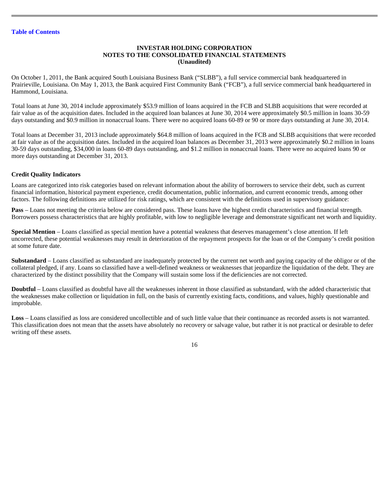On October 1, 2011, the Bank acquired South Louisiana Business Bank ("SLBB"), a full service commercial bank headquartered in Prairieville, Louisiana. On May 1, 2013, the Bank acquired First Community Bank ("FCB"), a full service commercial bank headquartered in Hammond, Louisiana.

Total loans at June 30, 2014 include approximately \$53.9 million of loans acquired in the FCB and SLBB acquisitions that were recorded at fair value as of the acquisition dates. Included in the acquired loan balances at June 30, 2014 were approximately \$0.5 million in loans 30-59 days outstanding and \$0.9 million in nonaccrual loans. There were no acquired loans 60-89 or 90 or more days outstanding at June 30, 2014.

Total loans at December 31, 2013 include approximately \$64.8 million of loans acquired in the FCB and SLBB acquisitions that were recorded at fair value as of the acquisition dates. Included in the acquired loan balances as December 31, 2013 were approximately \$0.2 million in loans 30-59 days outstanding, \$34,000 in loans 60-89 days outstanding, and \$1.2 million in nonaccrual loans. There were no acquired loans 90 or more days outstanding at December 31, 2013.

# **Credit Quality Indicators**

Loans are categorized into risk categories based on relevant information about the ability of borrowers to service their debt, such as current financial information, historical payment experience, credit documentation, public information, and current economic trends, among other factors. The following definitions are utilized for risk ratings, which are consistent with the definitions used in supervisory guidance:

**Pass** – Loans not meeting the criteria below are considered pass. These loans have the highest credit characteristics and financial strength. Borrowers possess characteristics that are highly profitable, with low to negligible leverage and demonstrate significant net worth and liquidity.

**Special Mention** – Loans classified as special mention have a potential weakness that deserves management's close attention. If left uncorrected, these potential weaknesses may result in deterioration of the repayment prospects for the loan or of the Company's credit position at some future date.

**Substandard** – Loans classified as substandard are inadequately protected by the current net worth and paying capacity of the obligor or of the collateral pledged, if any. Loans so classified have a well-defined weakness or weaknesses that jeopardize the liquidation of the debt. They are characterized by the distinct possibility that the Company will sustain some loss if the deficiencies are not corrected.

**Doubtful** – Loans classified as doubtful have all the weaknesses inherent in those classified as substandard, with the added characteristic that the weaknesses make collection or liquidation in full, on the basis of currently existing facts, conditions, and values, highly questionable and improbable.

**Loss** – Loans classified as loss are considered uncollectible and of such little value that their continuance as recorded assets is not warranted. This classification does not mean that the assets have absolutely no recovery or salvage value, but rather it is not practical or desirable to defer writing off these assets.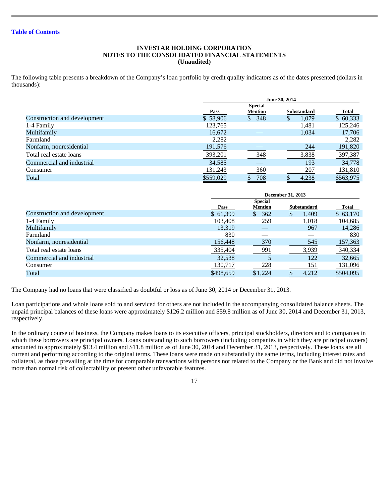The following table presents a breakdown of the Company's loan portfolio by credit quality indicators as of the dates presented (dollars in thousands):

|                              |           | June 30, 2014                            |                                   |                   |  |  |  |  |  |
|------------------------------|-----------|------------------------------------------|-----------------------------------|-------------------|--|--|--|--|--|
|                              |           | <b>Special</b><br><b>Mention</b><br>Pass |                                   |                   |  |  |  |  |  |
| Construction and development | \$58,906  | 348<br>$\mathbb{S}^-$                    | <b>Substandard</b><br>1,079<br>\$ | Total<br>\$60,333 |  |  |  |  |  |
| 1-4 Family                   | 123,765   |                                          | 1.481                             | 125,246           |  |  |  |  |  |
| Multifamily                  | 16,672    |                                          | 1,034                             | 17,706            |  |  |  |  |  |
| Farmland                     | 2,282     |                                          |                                   | 2,282             |  |  |  |  |  |
| Nonfarm, nonresidential      | 191,576   |                                          | 244                               | 191,820           |  |  |  |  |  |
| Total real estate loans      | 393,201   | 348                                      | 3,838                             | 397,387           |  |  |  |  |  |
| Commercial and industrial    | 34,585    |                                          | 193                               | 34,778            |  |  |  |  |  |
| Consumer                     | 131,243   | 360                                      | 207                               | 131,810           |  |  |  |  |  |
| Total                        | \$559,029 | 708                                      | 4,238<br>\$                       | \$563,975         |  |  |  |  |  |

|                              | <b>December 31, 2013</b> |                      |                    |           |  |  |  |  |
|------------------------------|--------------------------|----------------------|--------------------|-----------|--|--|--|--|
|                              |                          |                      |                    |           |  |  |  |  |
|                              | Pass                     | <b>Mention</b>       | <b>Substandard</b> | Total     |  |  |  |  |
| Construction and development | \$61,399                 | 362<br><sup>\$</sup> | 1.409<br>S         | \$63,170  |  |  |  |  |
| 1-4 Family                   | 103,408                  | 259                  | 1,018              | 104,685   |  |  |  |  |
| Multifamily                  | 13,319                   |                      | 967                | 14,286    |  |  |  |  |
| Farmland                     | 830                      |                      |                    | 830       |  |  |  |  |
| Nonfarm, nonresidential      | 156,448                  | 370                  | 545                | 157,363   |  |  |  |  |
| Total real estate loans      | 335,404                  | 991                  | 3,939              | 340,334   |  |  |  |  |
| Commercial and industrial    | 32,538                   |                      | 122                | 32,665    |  |  |  |  |
| Consumer                     | 130,717                  | 228                  | 151                | 131,096   |  |  |  |  |
| Total                        | \$498,659                | \$1,224              | 4,212              | \$504,095 |  |  |  |  |

The Company had no loans that were classified as doubtful or loss as of June 30, 2014 or December 31, 2013.

Loan participations and whole loans sold to and serviced for others are not included in the accompanying consolidated balance sheets. The unpaid principal balances of these loans were approximately \$126.2 million and \$59.8 million as of June 30, 2014 and December 31, 2013, respectively.

In the ordinary course of business, the Company makes loans to its executive officers, principal stockholders, directors and to companies in which these borrowers are principal owners. Loans outstanding to such borrowers (including companies in which they are principal owners) amounted to approximately \$13.4 million and \$11.8 million as of June 30, 2014 and December 31, 2013, respectively. These loans are all current and performing according to the original terms. These loans were made on substantially the same terms, including interest rates and collateral, as those prevailing at the time for comparable transactions with persons not related to the Company or the Bank and did not involve more than normal risk of collectability or present other unfavorable features.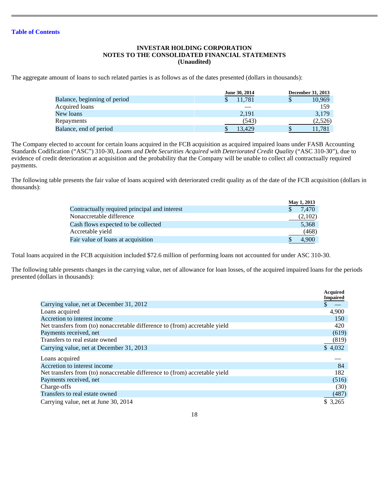The aggregate amount of loans to such related parties is as follows as of the dates presented (dollars in thousands):

|                              | June 30, 2014 | December 31, 2013 |         |  |
|------------------------------|---------------|-------------------|---------|--|
| Balance, beginning of period | 11.781        |                   | 10,969  |  |
| Acquired loans               |               |                   | 159     |  |
| New loans                    | 2,191         |                   | 3,179   |  |
| Repayments                   | (543)         |                   | (2,526) |  |
| Balance, end of period       | 13.429        |                   | 11.781  |  |

The Company elected to account for certain loans acquired in the FCB acquisition as acquired impaired loans under FASB Accounting Standards Codification ("ASC") 310-30, *Loans and Debt Securities Acquired with Deteriorated Credit Quality* ("ASC 310-30"), due to evidence of credit deterioration at acquisition and the probability that the Company will be unable to collect all contractually required payments.

The following table presents the fair value of loans acquired with deteriorated credit quality as of the date of the FCB acquisition (dollars in thousands):

|                                               | May 1, 2013 |
|-----------------------------------------------|-------------|
| Contractually required principal and interest | 7.470       |
| Nonaccretable difference                      | (2,102)     |
| Cash flows expected to be collected           | 5,368       |
| Accretable yield                              | (468)       |
| Fair value of loans at acquisition            | 4.900       |

Total loans acquired in the FCB acquisition included \$72.6 million of performing loans not accounted for under ASC 310-30.

The following table presents changes in the carrying value, net of allowance for loan losses, of the acquired impaired loans for the periods presented (dollars in thousands):

|                                                                             | <b>Acquired</b><br><b>Impaired</b> |
|-----------------------------------------------------------------------------|------------------------------------|
| Carrying value, net at December 31, 2012                                    |                                    |
| Loans acquired                                                              | 4,900                              |
| Accretion to interest income                                                | 150                                |
| Net transfers from (to) nonaccretable difference to (from) accretable yield | 420                                |
| Payments received, net                                                      | (619)                              |
| Transfers to real estate owned                                              | (819)                              |
| Carrying value, net at December 31, 2013                                    | \$4,032                            |
| Loans acquired                                                              |                                    |
| Accretion to interest income                                                | 84                                 |
| Net transfers from (to) nonaccretable difference to (from) accretable yield | 182                                |
| Payments received, net                                                      | (516)                              |
| Charge-offs                                                                 | (30)                               |
| Transfers to real estate owned                                              | (487)                              |
| Carrying value, net at June 30, 2014                                        | \$3.265                            |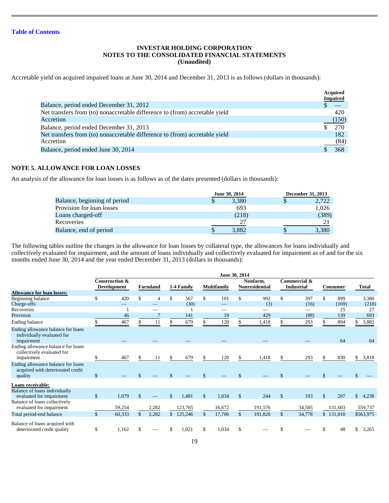Accretable yield on acquired impaired loans at June 30, 2014 and December 31, 2013 is as follows (dollars in thousands):

|                                                                             | <b>Acquired</b><br><b>Impaired</b> |
|-----------------------------------------------------------------------------|------------------------------------|
| Balance, period ended December 31, 2012                                     |                                    |
| Net transfers from (to) nonaccretable difference to (from) accretable yield | 420                                |
| Accretion                                                                   | (150)                              |
| Balance, period ended December 31, 2013                                     | 270                                |
| Net transfers from (to) nonaccretable difference to (from) accretable yield | 182                                |
| Accretion                                                                   | (84)                               |
| Balance, period ended June 30, 2014                                         | 368                                |

# **NOTE 5. ALLOWANCE FOR LOAN LOSSES**

An analysis of the allowance for loan losses is as follows as of the dates presented (dollars in thousands):

|                              | June 30, 2014 | December 31, 2013 |       |  |
|------------------------------|---------------|-------------------|-------|--|
| Balance, beginning of period | 3,380<br>Φ    |                   | 2.722 |  |
| Provision for loan losses    | 693           |                   | 1,026 |  |
| Loans charged-off            | (218)         |                   | (389) |  |
| Recoveries                   | 27            |                   |       |  |
| Balance, end of period       | 3.882         |                   | 3,380 |  |

The following tables outline the changes in the allowance for loan losses by collateral type, the allowances for loans individually and collectively evaluated for impairment, and the amount of loans individually and collectively evaluated for impairment as of and for the six months ended June 30, 2014 and the year ended December 31, 2013 (dollars in thousands):

|                                                                                    | June 30, 2014 |                           |                    |          |    |            |               |                    |               |                       |                    |                   |           |    |              |
|------------------------------------------------------------------------------------|---------------|---------------------------|--------------------|----------|----|------------|---------------|--------------------|---------------|-----------------------|--------------------|-------------------|-----------|----|--------------|
|                                                                                    |               | <b>Construction &amp;</b> |                    |          |    |            |               |                    |               | Nonfarm,              |                    | Commercial &      |           |    |              |
|                                                                                    |               | <b>Development</b>        |                    | Farmland |    | 1-4 Family |               | <b>Multifamily</b> |               | <b>Nonresidential</b> |                    | <b>Industrial</b> | Consumer  |    | <b>Total</b> |
| <b>Allowance for loan losses:</b>                                                  |               |                           |                    |          |    |            |               |                    |               |                       |                    |                   |           |    |              |
| Beginning balance                                                                  | \$            | 420                       | \$                 | 4        | \$ | 567        | \$            | 101                |               | 992                   | \$                 | 397               | \$<br>899 |    | 3,380        |
| Charge-offs                                                                        |               |                           |                    |          |    | (30)       |               |                    |               | (3)                   |                    | (16)              | (169)     |    | (218)        |
| Recoveries                                                                         |               |                           |                    |          |    |            |               |                    |               |                       |                    |                   | 25        |    | 27           |
| Provision                                                                          |               | 46                        |                    |          |    | 141        |               | 19                 |               | 429                   |                    | (88)              | 139       |    | 693          |
| Ending balance                                                                     |               | 467                       |                    | 11       |    | 679        |               | 120                |               | 1,418                 |                    | 293               | 894       |    | 3,882        |
| Ending allowance balance for loans<br>individually evaluated for<br>impairment     |               |                           |                    |          |    |            |               |                    |               |                       |                    |                   | 64        |    | 64           |
| Ending allowance balance for loans<br>collectively evaluated for<br>impairment     | \$            | 467                       |                    | 11       |    | 679        | \$            | 120                |               | 1,418                 | \$.                | 293               | 830       | \$ | 3,818        |
| Ending allowance balance for loans<br>acquired with deteriorated credit<br>quality | $\mathbf{\$}$ |                           |                    |          |    |            |               |                    |               |                       |                    |                   |           |    |              |
| Loans receivable:                                                                  |               |                           |                    |          |    |            |               |                    |               |                       |                    |                   |           |    |              |
| Balance of loans individually<br>evaluated for impairment                          | $\mathsf{\$}$ | 1,079                     | $\mathbf{\hat{S}}$ |          |    | 1.481      | $\mathcal{S}$ | 1,034              | <sup>\$</sup> | 244                   | $\mathbf{\hat{S}}$ | 193               | \$<br>207 | \$ | 4,238        |
| Balance of loans collectively<br>evaluated for impairment                          |               | 59,254                    |                    | 2,282    |    | 123,765    |               | 16,672             |               | 191,576               |                    | 34,585            | 131,603   |    | 559,737      |
| Total period-end balance                                                           | $\mathsf{\$}$ | 60,333                    | $\mathcal{S}$      | 2,282    |    | \$125,246  | \$            | 17,706             |               | 191,820               | $\mathsf{\$}$      | 34,778            | \$131,810 |    | \$563,975    |
| Balance of loans acquired with<br>deteriorated credit quality                      | \$            | 1,162                     |                    |          |    | 1,021      | \$            | 1,034              |               |                       |                    |                   | 48        | \$ | 3,265        |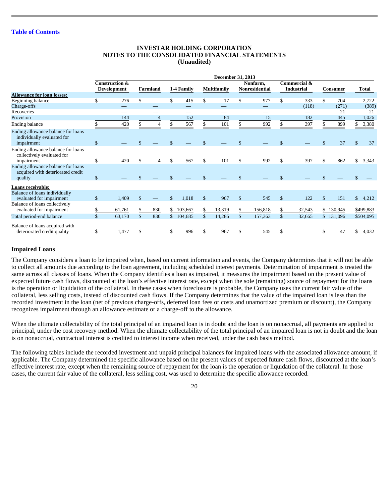|                                                                                    | December 31, 2013 |                                      |              |          |               |            |                    |                    |              |                                   |                                   |               |           |                       |
|------------------------------------------------------------------------------------|-------------------|--------------------------------------|--------------|----------|---------------|------------|--------------------|--------------------|--------------|-----------------------------------|-----------------------------------|---------------|-----------|-----------------------|
|                                                                                    |                   | Construction &<br><b>Development</b> |              | Farmland |               | 1-4 Family |                    | <b>Multifamily</b> |              | Nonfarm,<br><b>Nonresidential</b> | Commercial &<br><b>Industrial</b> |               | Consumer  | <b>Total</b>          |
| <b>Allowance for loan losses:</b>                                                  |                   |                                      |              |          |               |            |                    |                    |              |                                   |                                   |               |           |                       |
| Beginning balance                                                                  | \$                | 276                                  | S            |          | S             | 415        | \$                 | 17                 | \$.          | 977                               | \$<br>333                         | \$            | 704       | 2,722                 |
| Charge-offs                                                                        |                   |                                      |              |          |               |            |                    |                    |              |                                   | (118)                             |               | (271)     | (389)                 |
| Recoveries                                                                         |                   |                                      |              |          |               |            |                    |                    |              |                                   |                                   |               | 21        | 21                    |
| Provision                                                                          |                   | 144                                  |              | 4        |               | 152        |                    | 84                 |              | 15                                | 182                               |               | 445       | 1,026                 |
| Ending balance                                                                     |                   | 420                                  |              |          |               | 567        |                    | 101                |              | 992                               | 397                               |               | 899       | 3,380                 |
| Ending allowance balance for loans<br>individually evaluated for<br>impairment     | \$                |                                      |              |          |               |            |                    |                    |              |                                   |                                   |               | 37        | 37<br><sup>\$</sup>   |
| Ending allowance balance for loans<br>collectively evaluated for<br>impairment     | \$                | 420                                  | \$           | 4        | \$            | 567        | \$                 | 101                | \$.          | 992                               | \$<br>397                         | S.            | 862       | \$<br>3,343           |
| Ending allowance balance for loans<br>acquired with deteriorated credit<br>quality | $\mathcal{S}$     |                                      |              |          |               |            |                    |                    |              |                                   |                                   |               |           |                       |
| Loans receivable:                                                                  |                   |                                      |              |          |               |            |                    |                    |              |                                   |                                   |               |           |                       |
| Balance of loans individually<br>evaluated for impairment                          | \$                | 1,409                                | $\mathbb{S}$ |          | $\mathcal{S}$ | 1,018      | $\mathbf{\hat{S}}$ | 967                | $\mathbb{S}$ | 545                               | \$<br>122                         | $\mathcal{S}$ | 151       | $\mathbb{S}$<br>4,212 |
| Balance of loans collectively<br>evaluated for impairment                          |                   | 61,761                               | \$           | 830      |               | 103,667    |                    | 13,319             |              | 156,818                           | 32,543                            |               | \$130,945 | \$499,883             |
| Total period-end balance                                                           | $\mathcal{S}$     | 63,170                               | \$           | 830      |               | 104,685    |                    | 14,286             |              | 157,363                           | 32,665                            |               | \$131,096 | \$504,095             |
| Balance of loans acquired with<br>deteriorated credit quality                      | \$                | 1,477                                | S            |          | \$.           | 996        | \$                 | 967                | \$           | 545                               | \$                                | \$            | 47        | 4,032<br>\$           |

#### **Impaired Loans**

The Company considers a loan to be impaired when, based on current information and events, the Company determines that it will not be able to collect all amounts due according to the loan agreement, including scheduled interest payments. Determination of impairment is treated the same across all classes of loans. When the Company identifies a loan as impaired, it measures the impairment based on the present value of expected future cash flows, discounted at the loan's effective interest rate, except when the sole (remaining) source of repayment for the loans is the operation or liquidation of the collateral. In these cases when foreclosure is probable, the Company uses the current fair value of the collateral, less selling costs, instead of discounted cash flows. If the Company determines that the value of the impaired loan is less than the recorded investment in the loan (net of previous charge-offs, deferred loan fees or costs and unamortized premium or discount), the Company recognizes impairment through an allowance estimate or a charge-off to the allowance.

When the ultimate collectability of the total principal of an impaired loan is in doubt and the loan is on nonaccrual, all payments are applied to principal, under the cost recovery method. When the ultimate collectability of the total principal of an impaired loan is not in doubt and the loan is on nonaccrual, contractual interest is credited to interest income when received, under the cash basis method.

The following tables include the recorded investment and unpaid principal balances for impaired loans with the associated allowance amount, if applicable. The Company determined the specific allowance based on the present values of expected future cash flows, discounted at the loan's effective interest rate, except when the remaining source of repayment for the loan is the operation or liquidation of the collateral. In those cases, the current fair value of the collateral, less selling cost, was used to determine the specific allowance recorded.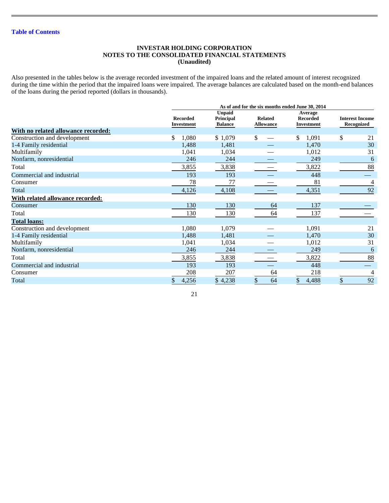Also presented in the tables below is the average recorded investment of the impaired loans and the related amount of interest recognized during the time within the period that the impaired loans were impaired. The average balances are calculated based on the month-end balances of the loans during the period reported (dollars in thousands).

|                                     | As of and for the six months ended June 30, 2014 |                                              |                                    |                                                 |                                      |  |  |  |
|-------------------------------------|--------------------------------------------------|----------------------------------------------|------------------------------------|-------------------------------------------------|--------------------------------------|--|--|--|
|                                     | <b>Recorded</b><br>Investment                    | <b>Unpaid</b><br>Principal<br><b>Balance</b> | <b>Related</b><br><b>Allowance</b> | Average<br><b>Recorded</b><br><b>Investment</b> | <b>Interest Income</b><br>Recognized |  |  |  |
| With no related allowance recorded: |                                                  |                                              |                                    |                                                 |                                      |  |  |  |
| Construction and development        | 1,080<br>\$                                      | \$1,079                                      | \$                                 | \$<br>1,091                                     | \$<br>21                             |  |  |  |
| 1-4 Family residential              | 1,488                                            | 1,481                                        |                                    | 1,470                                           | 30                                   |  |  |  |
| Multifamily                         | 1,041                                            | 1,034                                        |                                    | 1,012                                           | 31                                   |  |  |  |
| Nonfarm, nonresidential             | 246                                              | 244                                          |                                    | 249                                             | 6                                    |  |  |  |
| Total                               | 3,855                                            | 3,838                                        |                                    | 3,822                                           | 88                                   |  |  |  |
| Commercial and industrial           | 193                                              | 193                                          |                                    | 448                                             |                                      |  |  |  |
| Consumer                            | 78                                               | 77                                           |                                    | 81                                              | 4                                    |  |  |  |
| Total                               | 4,126                                            | 4,108                                        |                                    | 4,351                                           | 92                                   |  |  |  |
| With related allowance recorded:    |                                                  |                                              |                                    |                                                 |                                      |  |  |  |
| Consumer                            | 130                                              | 130                                          | 64                                 | 137                                             |                                      |  |  |  |
| Total                               | 130                                              | 130                                          | 64                                 | 137                                             |                                      |  |  |  |
| <b>Total loans:</b>                 |                                                  |                                              |                                    |                                                 |                                      |  |  |  |
| Construction and development        | 1,080                                            | 1,079                                        |                                    | 1,091                                           | 21                                   |  |  |  |
| 1-4 Family residential              | 1,488                                            | 1,481                                        |                                    | 1,470                                           | 30                                   |  |  |  |
| Multifamily                         | 1,041                                            | 1,034                                        |                                    | 1,012                                           | 31                                   |  |  |  |
| Nonfarm, nonresidential             | 246                                              | 244                                          |                                    | 249                                             | 6                                    |  |  |  |
| Total                               | 3,855                                            | 3,838                                        |                                    | 3,822                                           | 88                                   |  |  |  |
| Commercial and industrial           | 193                                              | 193                                          |                                    | 448                                             |                                      |  |  |  |
| Consumer                            | 208                                              | 207                                          | 64                                 | 218                                             | 4                                    |  |  |  |
| Total                               | 4,256<br>\$                                      | \$4,238                                      | \$<br>64                           | \$<br>4,488                                     | 92<br>\$                             |  |  |  |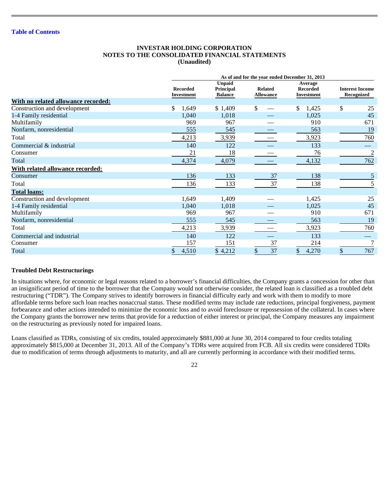|                                     |                               | As of and for the year ended December 31, 2013 |                                    |                                                 |                                      |  |  |  |  |  |
|-------------------------------------|-------------------------------|------------------------------------------------|------------------------------------|-------------------------------------------------|--------------------------------------|--|--|--|--|--|
|                                     | <b>Recorded</b><br>Investment | <b>Unpaid</b><br>Principal<br><b>Balance</b>   | <b>Related</b><br><b>Allowance</b> | Average<br><b>Recorded</b><br><b>Investment</b> | <b>Interest Income</b><br>Recognized |  |  |  |  |  |
| With no related allowance recorded: |                               |                                                |                                    |                                                 |                                      |  |  |  |  |  |
| Construction and development        | 1,649<br>\$.                  | \$1,409                                        | \$                                 | <sup>\$</sup><br>1,425                          | \$<br>25                             |  |  |  |  |  |
| 1-4 Family residential              | 1,040                         | 1,018                                          |                                    | 1,025                                           | 45                                   |  |  |  |  |  |
| Multifamily                         | 969                           | 967                                            |                                    | 910                                             | 671                                  |  |  |  |  |  |
| Nonfarm, nonresidential             | 555                           | 545                                            |                                    | 563                                             | 19                                   |  |  |  |  |  |
| Total                               | 4,213                         | 3,939                                          |                                    | 3,923                                           | 760                                  |  |  |  |  |  |
| Commercial & industrial             | 140                           | 122                                            |                                    | 133                                             |                                      |  |  |  |  |  |
| Consumer                            | 21                            | 18                                             |                                    | 76                                              | $\overline{2}$                       |  |  |  |  |  |
| Total                               | 4,374                         | 4,079                                          |                                    | 4,132                                           | 762                                  |  |  |  |  |  |
| With related allowance recorded:    |                               |                                                |                                    |                                                 |                                      |  |  |  |  |  |
| Consumer                            | 136                           | 133                                            | 37                                 | 138                                             | 5                                    |  |  |  |  |  |
| Total                               | 136                           | 133                                            | 37                                 | 138                                             | 5                                    |  |  |  |  |  |
| <b>Total loans:</b>                 |                               |                                                |                                    |                                                 |                                      |  |  |  |  |  |
| Construction and development        | 1,649                         | 1,409                                          |                                    | 1,425                                           | 25                                   |  |  |  |  |  |
| 1-4 Family residential              | 1,040                         | 1,018                                          |                                    | 1,025                                           | 45                                   |  |  |  |  |  |
| Multifamily                         | 969                           | 967                                            |                                    | 910                                             | 671                                  |  |  |  |  |  |
| Nonfarm, nonresidential             | 555                           | 545                                            |                                    | 563                                             | 19                                   |  |  |  |  |  |
| Total                               | 4,213                         | 3,939                                          |                                    | 3,923                                           | 760                                  |  |  |  |  |  |
| Commercial and industrial           | 140                           | 122                                            |                                    | 133                                             |                                      |  |  |  |  |  |
| Consumer                            | 157                           | 151                                            | 37                                 | 214                                             |                                      |  |  |  |  |  |
| Total                               | \$<br>4,510                   | \$4,212                                        | 37<br>\$                           | $\frac{1}{2}$<br>4,270                          | \$<br>767                            |  |  |  |  |  |

# **Troubled Debt Restructurings**

In situations where, for economic or legal reasons related to a borrower's financial difficulties, the Company grants a concession for other than an insignificant period of time to the borrower that the Company would not otherwise consider, the related loan is classified as a troubled debt restructuring ("TDR"). The Company strives to identify borrowers in financial difficulty early and work with them to modify to more affordable terms before such loan reaches nonaccrual status. These modified terms may include rate reductions, principal forgiveness, payment forbearance and other actions intended to minimize the economic loss and to avoid foreclosure or repossession of the collateral. In cases where the Company grants the borrower new terms that provide for a reduction of either interest or principal, the Company measures any impairment on the restructuring as previously noted for impaired loans.

Loans classified as TDRs, consisting of six credits, totaled approximately \$881,000 at June 30, 2014 compared to four credits totaling approximately \$815,000 at December 31, 2013. All of the Company's TDRs were acquired from FCB. All six credits were considered TDRs due to modification of terms through adjustments to maturity, and all are currently performing in accordance with their modified terms.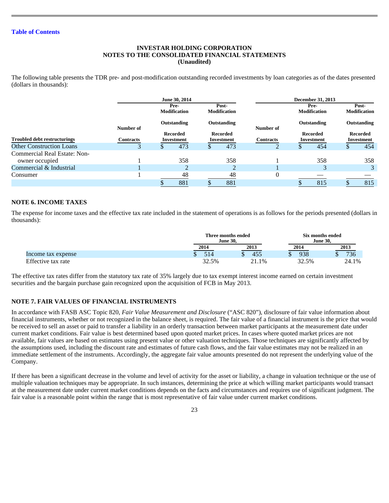The following table presents the TDR pre- and post-modification outstanding recorded investments by loan categories as of the dates presented (dollars in thousands):

|                                     |                  | June 30, 2014               |                              |                  | December 31, 2013           |                              |
|-------------------------------------|------------------|-----------------------------|------------------------------|------------------|-----------------------------|------------------------------|
|                                     |                  | Pre-<br><b>Modification</b> | Post-<br><b>Modification</b> |                  | Pre-<br><b>Modification</b> | Post-<br><b>Modification</b> |
|                                     | Number of        | <b>Outstanding</b>          | Outstanding                  | Number of        | Outstanding                 | Outstanding                  |
|                                     |                  | <b>Recorded</b>             | Recorded                     |                  | <b>Recorded</b>             | <b>Recorded</b>              |
| <b>Troubled debt restructurings</b> | <b>Contracts</b> | Investment                  | Investment                   | <b>Contracts</b> | Investment                  | Investment                   |
| <b>Other Construction Loans</b>     |                  | 473<br>S.                   | 473<br>Φ                     | 2                | 454                         | 454                          |
| Commercial Real Estate: Non-        |                  |                             |                              |                  |                             |                              |
| owner occupied                      |                  | 358                         | 358                          |                  | 358                         | 358                          |
| Commercial & Industrial             |                  |                             |                              |                  | 3                           |                              |
| Consumer                            |                  | 48                          | 48                           | $\theta$         |                             |                              |
|                                     |                  | 881                         | 881                          |                  | 815                         | 815                          |

# **NOTE 6. INCOME TAXES**

The expense for income taxes and the effective tax rate included in the statement of operations is as follows for the periods presented (dollars in thousands):

|                    | Three months ended<br><b>June 30.</b> |              | Six months ended<br><b>June 30.</b> |       |  |  |
|--------------------|---------------------------------------|--------------|-------------------------------------|-------|--|--|
|                    | 2014                                  | 2013         | 2014                                | 2013  |  |  |
| Income tax expense |                                       | 45.          | 938                                 | 736   |  |  |
| Effective tax rate | 32.5%                                 | 21<br>$.1\%$ | 32.5%                               | 24.1% |  |  |

The effective tax rates differ from the statutory tax rate of 35% largely due to tax exempt interest income earned on certain investment securities and the bargain purchase gain recognized upon the acquisition of FCB in May 2013.

# **NOTE 7. FAIR VALUES OF FINANCIAL INSTRUMENTS**

In accordance with FASB ASC Topic 820, *Fair Value Measurement and Disclosure* ("ASC 820"), disclosure of fair value information about financial instruments, whether or not recognized in the balance sheet, is required. The fair value of a financial instrument is the price that would be received to sell an asset or paid to transfer a liability in an orderly transaction between market participants at the measurement date under current market conditions. Fair value is best determined based upon quoted market prices. In cases where quoted market prices are not available, fair values are based on estimates using present value or other valuation techniques. Those techniques are significantly affected by the assumptions used, including the discount rate and estimates of future cash flows, and the fair value estimates may not be realized in an immediate settlement of the instruments. Accordingly, the aggregate fair value amounts presented do not represent the underlying value of the Company.

If there has been a significant decrease in the volume and level of activity for the asset or liability, a change in valuation technique or the use of multiple valuation techniques may be appropriate. In such instances, determining the price at which willing market participants would transact at the measurement date under current market conditions depends on the facts and circumstances and requires use of significant judgment. The fair value is a reasonable point within the range that is most representative of fair value under current market conditions.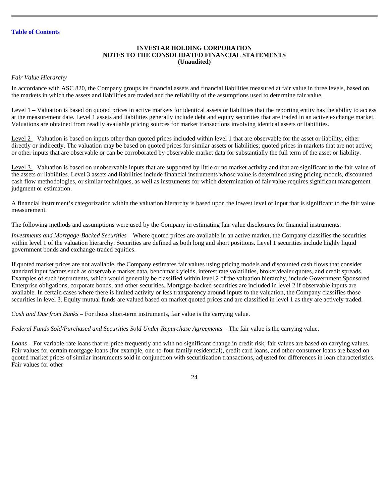#### *Fair Value Hierarchy*

In accordance with ASC 820, the Company groups its financial assets and financial liabilities measured at fair value in three levels, based on the markets in which the assets and liabilities are traded and the reliability of the assumptions used to determine fair value.

Level 1 – Valuation is based on quoted prices in active markets for identical assets or liabilities that the reporting entity has the ability to access at the measurement date. Level 1 assets and liabilities generally include debt and equity securities that are traded in an active exchange market. Valuations are obtained from readily available pricing sources for market transactions involving identical assets or liabilities.

Level 2 – Valuation is based on inputs other than quoted prices included within level 1 that are observable for the asset or liability, either directly or indirectly. The valuation may be based on quoted prices for similar assets or liabilities; quoted prices in markets that are not active; or other inputs that are observable or can be corroborated by observable market data for substantially the full term of the asset or liability.

Level 3 – Valuation is based on unobservable inputs that are supported by little or no market activity and that are significant to the fair value of the assets or liabilities. Level 3 assets and liabilities include financial instruments whose value is determined using pricing models, discounted cash flow methodologies, or similar techniques, as well as instruments for which determination of fair value requires significant management judgment or estimation.

A financial instrument's categorization within the valuation hierarchy is based upon the lowest level of input that is significant to the fair value measurement.

The following methods and assumptions were used by the Company in estimating fair value disclosures for financial instruments:

*Investments and Mortgage-Backed Securities* – Where quoted prices are available in an active market, the Company classifies the securities within level 1 of the valuation hierarchy. Securities are defined as both long and short positions. Level 1 securities include highly liquid government bonds and exchange-traded equities.

If quoted market prices are not available, the Company estimates fair values using pricing models and discounted cash flows that consider standard input factors such as observable market data, benchmark yields, interest rate volatilities, broker/dealer quotes, and credit spreads. Examples of such instruments, which would generally be classified within level 2 of the valuation hierarchy, include Government Sponsored Enterprise obligations, corporate bonds, and other securities. Mortgage-backed securities are included in level 2 if observable inputs are available. In certain cases where there is limited activity or less transparency around inputs to the valuation, the Company classifies those securities in level 3. Equity mutual funds are valued based on market quoted prices and are classified in level 1 as they are actively traded.

*Cash and Due from Banks* – For those short-term instruments, fair value is the carrying value.

Federal Funds Sold/Purchased and Securities Sold Under Repurchase Agreements – The fair value is the carrying value.

*Loans* – For variable-rate loans that re-price frequently and with no significant change in credit risk, fair values are based on carrying values. Fair values for certain mortgage loans (for example, one-to-four family residential), credit card loans, and other consumer loans are based on quoted market prices of similar instruments sold in conjunction with securitization transactions, adjusted for differences in loan characteristics. Fair values for other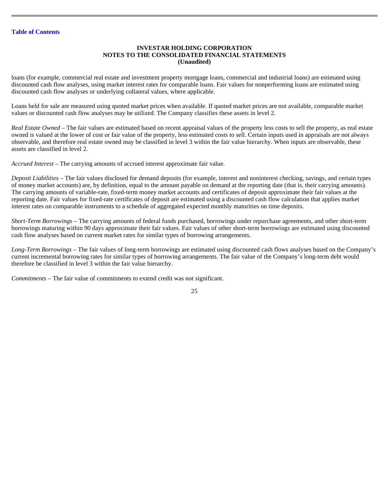loans (for example, commercial real estate and investment property mortgage loans, commercial and industrial loans) are estimated using discounted cash flow analyses, using market interest rates for comparable loans. Fair values for nonperforming loans are estimated using discounted cash flow analyses or underlying collateral values, where applicable.

Loans held for sale are measured using quoted market prices when available. If quoted market prices are not available, comparable market values or discounted cash flow analyses may be utilized. The Company classifies these assets in level 2.

*Real Estate Owned* – The fair values are estimated based on recent appraisal values of the property less costs to sell the property, as real estate owned is valued at the lower of cost or fair value of the property, less estimated costs to sell. Certain inputs used in appraisals are not always observable, and therefore real estate owned may be classified in level 3 within the fair value hierarchy. When inputs are observable, these assets are classified in level 2.

*Accrued Interest* – The carrying amounts of accrued interest approximate fair value.

*Deposit Liabilities –* The fair values disclosed for demand deposits (for example, interest and noninterest checking, savings, and certain types of money market accounts) are, by definition, equal to the amount payable on demand at the reporting date (that is, their carrying amounts). The carrying amounts of variable-rate, fixed-term money market accounts and certificates of deposit approximate their fair values at the reporting date. Fair values for fixed-rate certificates of deposit are estimated using a discounted cash flow calculation that applies market interest rates on comparable instruments to a schedule of aggregated expected monthly maturities on time deposits.

*Short-Term Borrowings* – The carrying amounts of federal funds purchased, borrowings under repurchase agreements, and other short-term borrowings maturing within 90 days approximate their fair values. Fair values of other short-term borrowings are estimated using discounted cash flow analyses based on current market rates for similar types of borrowing arrangements.

*Long-Term Borrowings* – The fair values of long-term borrowings are estimated using discounted cash flows analyses based on the Company's current incremental borrowing rates for similar types of borrowing arrangements. The fair value of the Company's long-term debt would therefore be classified in level 3 within the fair value hierarchy.

*Commitments* – The fair value of commitments to extend credit was not significant.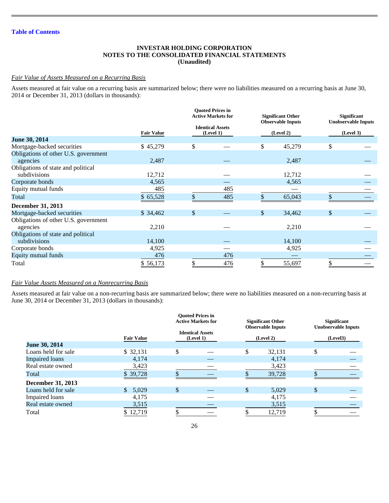#### *Fair Value of Assets Measured on a Recurring Basis*

Assets measured at fair value on a recurring basis are summarized below; there were no liabilities measured on a recurring basis at June 30, 2014 or December 31, 2013 (dollars in thousands):

|                                      |                   |    | <b>Quoted Prices in</b><br><b>Active Markets for</b> |       | <b>Significant Other</b><br><b>Observable Inputs</b> | <b>Significant</b><br><b>Unobservable Inputs</b> |
|--------------------------------------|-------------------|----|------------------------------------------------------|-------|------------------------------------------------------|--------------------------------------------------|
|                                      |                   |    | <b>Identical Assets</b>                              |       |                                                      |                                                  |
|                                      | <b>Fair Value</b> |    | (Level 1)                                            |       | (Level 2)                                            | (Level 3)                                        |
| June 30, 2014                        |                   |    |                                                      |       |                                                      |                                                  |
| Mortgage-backed securities           | \$45,279          | \$ |                                                      | \$    | 45,279                                               | \$                                               |
| Obligations of other U.S. government |                   |    |                                                      |       |                                                      |                                                  |
| agencies                             | 2,487             |    |                                                      |       | 2,487                                                |                                                  |
| Obligations of state and political   |                   |    |                                                      |       |                                                      |                                                  |
| subdivisions                         | 12,712            |    |                                                      |       | 12,712                                               |                                                  |
| Corporate bonds                      | 4,565             |    |                                                      |       | 4,565                                                |                                                  |
| Equity mutual funds                  | 485               |    | 485                                                  |       |                                                      |                                                  |
| Total                                | \$65,528          |    | 485                                                  |       | 65,043                                               |                                                  |
| <b>December 31, 2013</b>             |                   |    |                                                      |       |                                                      |                                                  |
| Mortgage-backed securities           | \$34,462          | \$ |                                                      | $\$\$ | 34,462                                               | \$                                               |
| Obligations of other U.S. government |                   |    |                                                      |       |                                                      |                                                  |
| agencies                             | 2,210             |    |                                                      |       | 2,210                                                |                                                  |
| Obligations of state and political   |                   |    |                                                      |       |                                                      |                                                  |
| subdivisions                         | 14,100            |    |                                                      |       | 14,100                                               |                                                  |
| Corporate bonds                      | 4,925             |    |                                                      |       | 4,925                                                |                                                  |
| Equity mutual funds                  | 476               |    | 476                                                  |       |                                                      |                                                  |
| Total                                | \$56,173          | S. | 476                                                  |       | 55,697                                               | \$                                               |

# *Fair Value Assets Measured on a Nonrecurring Basis*

Assets measured at fair value on a non-recurring basis are summarized below; there were no liabilities measured on a non-recurring basis at June 30, 2014 or December 31, 2013 (dollars in thousands):

|                       |                   |                                      | <b>Ouoted Prices in</b><br><b>Active Markets for</b> | <b>Significant Other</b><br><b>Observable Inputs</b> |        |          | <b>Significant</b><br><b>Unobservable Inputs</b> |
|-----------------------|-------------------|--------------------------------------|------------------------------------------------------|------------------------------------------------------|--------|----------|--------------------------------------------------|
|                       | <b>Fair Value</b> | <b>Identical Assets</b><br>(Level 1) |                                                      | (Level 2)                                            |        | (Level3) |                                                  |
| June 30, 2014         |                   |                                      |                                                      |                                                      |        |          |                                                  |
| Loans held for sale   | \$ 32,131         | \$                                   |                                                      | S                                                    | 32,131 | \$       |                                                  |
| <b>Impaired</b> loans | 4,174             |                                      |                                                      |                                                      | 4,174  |          |                                                  |
| Real estate owned     | 3,423             |                                      |                                                      |                                                      | 3,423  |          |                                                  |
| Total                 | \$39,728          |                                      |                                                      |                                                      | 39,728 |          |                                                  |
| December 31, 2013     |                   |                                      |                                                      |                                                      |        |          |                                                  |
| Loans held for sale   | 5,029             | \$                                   |                                                      | \$                                                   | 5,029  | \$       |                                                  |
| Impaired loans        | 4,175             |                                      |                                                      |                                                      | 4,175  |          |                                                  |
| Real estate owned     | 3,515             |                                      |                                                      |                                                      | 3,515  |          |                                                  |
| Total                 | \$12,719          |                                      |                                                      |                                                      | 12,719 |          |                                                  |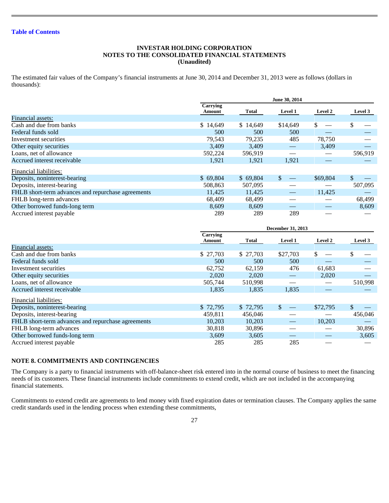The estimated fair values of the Company's financial instruments at June 30, 2014 and December 31, 2013 were as follows (dollars in thousands):

|                                                    |                    | June 30, 2014 |               |          |         |  |  |  |
|----------------------------------------------------|--------------------|---------------|---------------|----------|---------|--|--|--|
|                                                    | Carrying<br>Amount | <b>Total</b>  | Level 1       | Level 2  | Level 3 |  |  |  |
| Financial assets:                                  |                    |               |               |          |         |  |  |  |
| Cash and due from banks                            | \$14,649           | \$14,649      | \$14,649      | \$       | \$      |  |  |  |
| Federal funds sold                                 | 500                | 500           | 500           |          |         |  |  |  |
| Investment securities                              | 79,543             | 79,235        | 485           | 78,750   |         |  |  |  |
| Other equity securities                            | 3,409              | 3,409         |               | 3,409    |         |  |  |  |
| Loans, net of allowance                            | 592,224            | 596,919       |               |          | 596,919 |  |  |  |
| Accrued interest receivable                        | 1,921              | 1,921         | 1,921         |          |         |  |  |  |
| Financial liabilities:                             |                    |               |               |          |         |  |  |  |
| Deposits, noninterest-bearing                      | \$69,804           | \$69,804      | $\mathcal{S}$ | \$69,804 | S.      |  |  |  |
| Deposits, interest-bearing                         | 508,863            | 507,095       |               |          | 507,095 |  |  |  |
| FHLB short-term advances and repurchase agreements | 11,425             | 11,425        |               | 11,425   |         |  |  |  |
| FHLB long-term advances                            | 68,409             | 68,499        |               |          | 68,499  |  |  |  |
| Other borrowed funds-long term                     | 8.609              | 8.609         |               |          | 8,609   |  |  |  |
| Accrued interest payable                           | 289                | 289           | 289           |          |         |  |  |  |

|                                                    |                    | December 31, 2013 |                                          |          |         |  |  |  |
|----------------------------------------------------|--------------------|-------------------|------------------------------------------|----------|---------|--|--|--|
|                                                    | Carrying<br>Amount | <b>Total</b>      | Level 1                                  | Level 2  | Level 3 |  |  |  |
| Financial assets:                                  |                    |                   |                                          |          |         |  |  |  |
| Cash and due from banks                            | \$27,703           | \$27,703          | \$27,703                                 | \$       | \$      |  |  |  |
| Federal funds sold                                 | 500                | 500               | 500                                      |          |         |  |  |  |
| Investment securities                              | 62,752             | 62,159            | 476                                      | 61,683   |         |  |  |  |
| Other equity securities                            | 2,020              | 2,020             |                                          | 2,020    |         |  |  |  |
| Loans, net of allowance                            | 505,744            | 510,998           |                                          |          | 510,998 |  |  |  |
| Accrued interest receivable                        | 1,835              | 1,835             | 1,835                                    |          |         |  |  |  |
| Financial liabilities:                             |                    |                   |                                          |          |         |  |  |  |
| Deposits, noninterest-bearing                      | \$72,795           | \$72,795          | $\mathbb{S}$<br>$\overline{\phantom{m}}$ | \$72,795 | S.      |  |  |  |
| Deposits, interest-bearing                         | 459.811            | 456,046           |                                          |          | 456,046 |  |  |  |
| FHLB short-term advances and repurchase agreements | 10,203             | 10,203            |                                          | 10,203   |         |  |  |  |
| FHLB long-term advances                            | 30,818             | 30,896            |                                          |          | 30,896  |  |  |  |
| Other borrowed funds-long term                     | 3,609              | 3,605             |                                          |          | 3,605   |  |  |  |
| Accrued interest payable                           | 285                | 285               | 285                                      |          |         |  |  |  |

#### **NOTE 8. COMMITMENTS AND CONTINGENCIES**

The Company is a party to financial instruments with off-balance-sheet risk entered into in the normal course of business to meet the financing needs of its customers. These financial instruments include commitments to extend credit, which are not included in the accompanying financial statements.

Commitments to extend credit are agreements to lend money with fixed expiration dates or termination clauses. The Company applies the same credit standards used in the lending process when extending these commitments,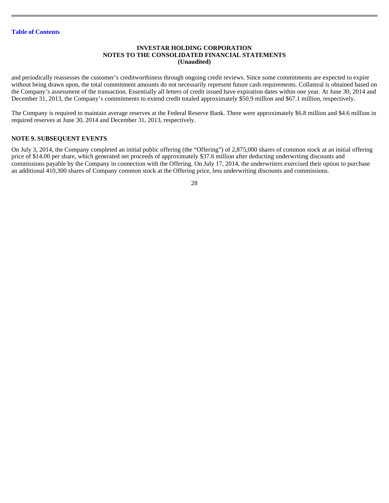and periodically reassesses the customer's creditworthiness through ongoing credit reviews. Since some commitments are expected to expire without being drawn upon, the total commitment amounts do not necessarily represent future cash requirements. Collateral is obtained based on the Company's assessment of the transaction. Essentially all letters of credit issued have expiration dates within one year. At June 30, 2014 and December 31, 2013, the Company's commitments to extend credit totaled approximately \$50.9 million and \$67.1 million, respectively.

The Company is required to maintain average reserves at the Federal Reserve Bank. There were approximately \$6.8 million and \$4.6 million in required reserves at June 30, 2014 and December 31, 2013, respectively.

#### **NOTE 9. SUBSEQUENT EVENTS**

On July 3, 2014, the Company completed an initial public offering (the "Offering") of 2,875,000 shares of common stock at an initial offering price of \$14.00 per share, which generated net proceeds of approximately \$37.6 million after deducting underwriting discounts and commissions payable by the Company in connection with the Offering. On July 17, 2014, the underwriters exercised their option to purchase an additional 410,300 shares of Company common stock at the Offering price, less underwriting discounts and commissions.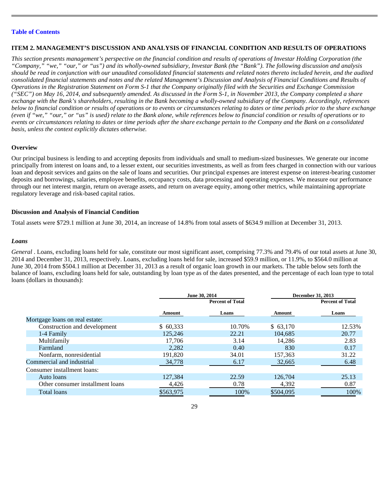#### **ITEM 2. MANAGEMENT'S DISCUSSION AND ANALYSIS OF FINANCIAL CONDITION AND RESULTS OF OPERATIONS**

*This section presents management's perspective on the financial condition and results of operations of Investar Holding Corporation (the "Company," "we," "our," or "us") and its wholly-owned subsidiary, Investar Bank (the "Bank"). The following discussion and analysis should be read in conjunction with our unaudited consolidated financial statements and related notes thereto included herein, and the audited consolidated financial statements and notes and the related Management's Discussion and Analysis of Financial Conditions and Results of Operations in the Registration Statement on Form S-1 that the Company originally filed with the Securities and Exchange Commission ("SEC") on May 16, 2014, and subsequently amended. As discussed in the Form S-1, in November 2013, the Company completed a share exchange with the Bank's shareholders, resulting in the Bank becoming a wholly-owned subsidiary of the Company. Accordingly, references below to financial condition or results of operations or to events or circumstances relating to dates or time periods prior to the share exchange (even if "we," "our," or "us" is used) relate to the Bank alone, while references below to financial condition or results of operations or to events or circumstances relating to dates or time periods after the share exchange pertain to the Company and the Bank on a consolidated basis, unless the context explicitly dictates otherwise.* 

#### **Overview**

Our principal business is lending to and accepting deposits from individuals and small to medium-sized businesses. We generate our income principally from interest on loans and, to a lesser extent, our securities investments, as well as from fees charged in connection with our various loan and deposit services and gains on the sale of loans and securities. Our principal expenses are interest expense on interest-bearing customer deposits and borrowings, salaries, employee benefits, occupancy costs, data processing and operating expenses. We measure our performance through our net interest margin, return on average assets, and return on average equity, among other metrics, while maintaining appropriate regulatory leverage and risk-based capital ratios.

#### **Discussion and Analysis of Financial Condition**

Total assets were \$729.1 million at June 30, 2014, an increase of 14.8% from total assets of \$634.9 million at December 31, 2013.

#### *Loans*

*General* . Loans, excluding loans held for sale, constitute our most significant asset, comprising 77.3% and 79.4% of our total assets at June 30, 2014 and December 31, 2013, respectively. Loans, excluding loans held for sale, increased \$59.9 million, or 11.9%, to \$564.0 million at June 30, 2014 from \$504.1 million at December 31, 2013 as a result of organic loan growth in our markets. The table below sets forth the balance of loans, excluding loans held for sale, outstanding by loan type as of the dates presented, and the percentage of each loan type to total loans (dollars in thousands):

|                                  |           | June 30, 2014           |           | December 31, 2013       |
|----------------------------------|-----------|-------------------------|-----------|-------------------------|
|                                  |           | <b>Percent of Total</b> |           | <b>Percent of Total</b> |
|                                  | Amount    | Loans                   | Amount    | Loans                   |
| Mortgage loans on real estate:   |           |                         |           |                         |
| Construction and development     | \$60.333  | 10.70%                  | \$63,170  | 12.53%                  |
| 1-4 Family                       | 125.246   | 22.21                   | 104.685   | 20.77                   |
| Multifamily                      | 17.706    | 3.14                    | 14,286    | 2.83                    |
| Farmland                         | 2,282     | 0.40                    | 830       | 0.17                    |
| Nonfarm, nonresidential          | 191.820   | 34.01                   | 157,363   | 31.22                   |
| Commercial and industrial        | 34,778    | 6.17                    | 32,665    | 6.48                    |
| Consumer installment loans:      |           |                         |           |                         |
| Auto loans                       | 127,384   | 22.59                   | 126,704   | 25.13                   |
| Other consumer installment loans | 4,426     | 0.78                    | 4,392     | 0.87                    |
| Total loans                      | \$563,975 | 100%                    | \$504,095 | 100%                    |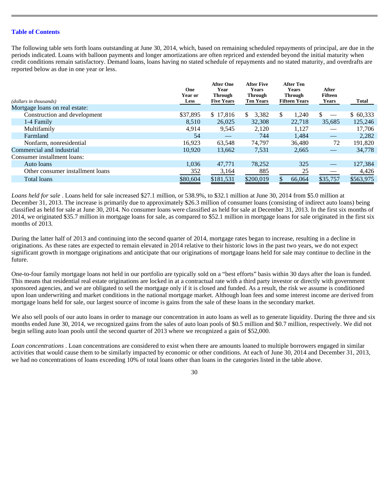The following table sets forth loans outstanding at June 30, 2014, which, based on remaining scheduled repayments of principal, are due in the periods indicated. Loans with balloon payments and longer amortizations are often repriced and extended beyond the initial maturity when credit conditions remain satisfactory. Demand loans, loans having no stated schedule of repayments and no stated maturity, and overdrafts are reported below as due in one year or less.

| (dollars in thousands)           | One<br>Year or<br>Less | <b>After One</b><br>Year<br>Through<br><b>Five Years</b> | <b>After Five</b><br><b>Years</b><br>Through<br><b>Ten Years</b> |     | <b>After Ten</b><br><b>Years</b><br>Through<br><b>Fifteen Years</b> | After<br><b>Fifteen</b><br><b>Years</b> | <b>Total</b> |
|----------------------------------|------------------------|----------------------------------------------------------|------------------------------------------------------------------|-----|---------------------------------------------------------------------|-----------------------------------------|--------------|
| Mortgage loans on real estate:   |                        |                                                          |                                                                  |     |                                                                     |                                         |              |
| Construction and development     | \$37,895               | \$17,816                                                 | 3,382<br>\$                                                      | \$. | 1.240                                                               | S.                                      | \$60,333     |
| 1-4 Family                       | 8,510                  | 26,025                                                   | 32,308                                                           |     | 22,718                                                              | 35,685                                  | 125,246      |
| Multifamily                      | 4,914                  | 9,545                                                    | 2,120                                                            |     | 1,127                                                               |                                         | 17.706       |
| Farmland                         | 54                     |                                                          | 744                                                              |     | 1,484                                                               |                                         | 2,282        |
| Nonfarm, nonresidential          | 16.923                 | 63,548                                                   | 74.797                                                           |     | 36,480                                                              | 72                                      | 191.820      |
| Commercial and industrial        | 10.920                 | 13,662                                                   | 7,531                                                            |     | 2,665                                                               |                                         | 34,778       |
| Consumer installment loans:      |                        |                                                          |                                                                  |     |                                                                     |                                         |              |
| Auto loans                       | 1,036                  | 47,771                                                   | 78,252                                                           |     | 325                                                                 |                                         | 127,384      |
| Other consumer installment loans | 352                    | 3,164                                                    | 885                                                              |     | 25                                                                  |                                         | 4,426        |
| Total loans                      | \$80,604               | \$181,531                                                | \$200,019                                                        |     | 66,064                                                              | \$35,757                                | \$563,975    |

*Loans held for sale* . Loans held for sale increased \$27.1 million, or 538.9%, to \$32.1 million at June 30, 2014 from \$5.0 million at December 31, 2013. The increase is primarily due to approximately \$26.3 million of consumer loans (consisting of indirect auto loans) being classified as held for sale at June 30, 2014. No consumer loans were classified as held for sale at December 31, 2013. In the first six months of 2014, we originated \$35.7 million in mortgage loans for sale, as compared to \$52.1 million in mortgage loans for sale originated in the first six months of 2013.

During the latter half of 2013 and continuing into the second quarter of 2014, mortgage rates began to increase, resulting in a decline in originations. As these rates are expected to remain elevated in 2014 relative to their historic lows in the past two years, we do not expect significant growth in mortgage originations and anticipate that our originations of mortgage loans held for sale may continue to decline in the future.

One-to-four family mortgage loans not held in our portfolio are typically sold on a "best efforts" basis within 30 days after the loan is funded. This means that residential real estate originations are locked in at a contractual rate with a third party investor or directly with government sponsored agencies, and we are obligated to sell the mortgage only if it is closed and funded. As a result, the risk we assume is conditioned upon loan underwriting and market conditions in the national mortgage market. Although loan fees and some interest income are derived from mortgage loans held for sale, our largest source of income is gains from the sale of these loans in the secondary market.

We also sell pools of our auto loans in order to manage our concentration in auto loans as well as to generate liquidity. During the three and six months ended June 30, 2014, we recognized gains from the sales of auto loan pools of \$0.5 million and \$0.7 million, respectively. We did not begin selling auto loan pools until the second quarter of 2013 where we recognized a gain of \$52,000.

*Loan concentrations* . Loan concentrations are considered to exist when there are amounts loaned to multiple borrowers engaged in similar activities that would cause them to be similarly impacted by economic or other conditions. At each of June 30, 2014 and December 31, 2013, we had no concentrations of loans exceeding 10% of total loans other than loans in the categories listed in the table above.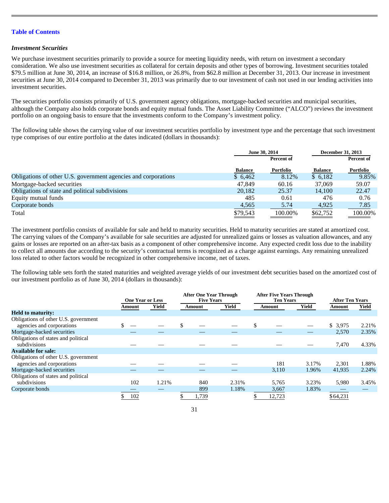#### *Investment Securities*

We purchase investment securities primarily to provide a source for meeting liquidity needs, with return on investment a secondary consideration. We also use investment securities as collateral for certain deposits and other types of borrowing. Investment securities totaled \$79.5 million at June 30, 2014, an increase of \$16.8 million, or 26.8%, from \$62.8 million at December 31, 2013. Our increase in investment securities at June 30, 2014 compared to December 31, 2013 was primarily due to our investment of cash not used in our lending activities into investment securities.

The securities portfolio consists primarily of U.S. government agency obligations, mortgage-backed securities and municipal securities, although the Company also holds corporate bonds and equity mutual funds. The Asset Liability Committee ("ALCO") reviews the investment portfolio on an ongoing basis to ensure that the investments conform to the Company's investment policy.

The following table shows the carrying value of our investment securities portfolio by investment type and the percentage that such investment type comprises of our entire portfolio at the dates indicated (dollars in thousands):

|                                                                |                | June 30, 2014 | <b>December 31, 2013</b> |            |  |
|----------------------------------------------------------------|----------------|---------------|--------------------------|------------|--|
|                                                                |                | Percent of    |                          | Percent of |  |
|                                                                | <b>Balance</b> | Portfolio     | <b>Balance</b>           | Portfolio  |  |
| Obligations of other U.S. government agencies and corporations | \$6,462        | 8.12%         | \$6,182                  | 9.85%      |  |
| Mortgage-backed securities                                     | 47.849         | 60.16         | 37,069                   | 59.07      |  |
| Obligations of state and political subdivisions                | 20.182         | 25.37         | 14.100                   | 22.47      |  |
| Equity mutual funds                                            | 485            | 0.61          | 476                      | 0.76       |  |
| Corporate bonds                                                | 4,565          | 5.74          | 4,925                    | 7.85       |  |
| Total                                                          | \$79,543       | 100.00%       | \$62,752                 | 100.00%    |  |

The investment portfolio consists of available for sale and held to maturity securities. Held to maturity securities are stated at amortized cost. The carrying values of the Company's available for sale securities are adjusted for unrealized gains or losses as valuation allowances, and any gains or losses are reported on an after-tax basis as a component of other comprehensive income. Any expected credit loss due to the inability to collect all amounts due according to the security's contractual terms is recognized as a charge against earnings. Any remaining unrealized loss related to other factors would be recognized in other comprehensive income, net of taxes.

The following table sets forth the stated maturities and weighted average yields of our investment debt securities based on the amortized cost of our investment portfolio as of June 30, 2014 (dollars in thousands):

|                                                                   | <b>One Year or Less</b> |       | <b>After One Year Through</b><br><b>Five Years</b> |       | <b>After Five Years Through</b><br><b>Ten Years</b> |       | <b>After Ten Years</b> |       |
|-------------------------------------------------------------------|-------------------------|-------|----------------------------------------------------|-------|-----------------------------------------------------|-------|------------------------|-------|
|                                                                   | Amount                  | Yield | Amount                                             | Yield | Amount                                              | Yield | Amount                 | Yield |
| <b>Held to maturity:</b>                                          |                         |       |                                                    |       |                                                     |       |                        |       |
| Obligations of other U.S. government<br>agencies and corporations |                         |       |                                                    |       | \$                                                  |       | \$3,975                | 2.21% |
| Mortgage-backed securities                                        |                         |       |                                                    |       |                                                     |       | 2,570                  | 2.35% |
| Obligations of states and political<br>subdivisions               |                         |       |                                                    |       |                                                     |       | 7,470                  | 4.33% |
| <b>Available for sale:</b>                                        |                         |       |                                                    |       |                                                     |       |                        |       |
| Obligations of other U.S. government<br>agencies and corporations |                         |       |                                                    |       | 181                                                 | 3.17% | 2,301                  | 1.88% |
| Mortgage-backed securities                                        |                         |       |                                                    |       | 3,110                                               | 1.96% | 41,935                 | 2.24% |
| Obligations of states and political<br>subdivisions               | 102                     | 1.21% | 840                                                | 2.31% | 5,765                                               | 3.23% | 5,980                  | 3.45% |
| Corporate bonds                                                   |                         |       | 899                                                | 1.18% | 3,667                                               | 1.83% |                        |       |
|                                                                   | 102                     |       | 1,739                                              |       | 12,723                                              |       | \$64,231               |       |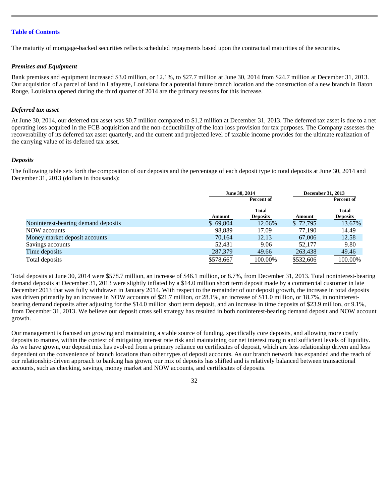The maturity of mortgage-backed securities reflects scheduled repayments based upon the contractual maturities of the securities.

#### *Premises and Equipment*

Bank premises and equipment increased \$3.0 million, or 12.1%, to \$27.7 million at June 30, 2014 from \$24.7 million at December 31, 2013. Our acquisition of a parcel of land in Lafayette, Louisiana for a potential future branch location and the construction of a new branch in Baton Rouge, Louisiana opened during the third quarter of 2014 are the primary reasons for this increase.

#### *Deferred tax asset*

At June 30, 2014, our deferred tax asset was \$0.7 million compared to \$1.2 million at December 31, 2013. The deferred tax asset is due to a net operating loss acquired in the FCB acquisition and the non-deductibility of the loan loss provision for tax purposes. The Company assesses the recoverability of its deferred tax asset quarterly, and the current and projected level of taxable income provides for the ultimate realization of the carrying value of its deferred tax asset.

# *Deposits*

The following table sets forth the composition of our deposits and the percentage of each deposit type to total deposits at June 30, 2014 and December 31, 2013 (dollars in thousands):

|                                     |           | June 30, 2014                   |           |                                 |
|-------------------------------------|-----------|---------------------------------|-----------|---------------------------------|
|                                     |           | Percent of                      |           |                                 |
|                                     | Amount    | <b>Total</b><br><b>Deposits</b> | Amount    | <b>Total</b><br><b>Deposits</b> |
| Noninterest-bearing demand deposits | \$69,804  | 12.06%                          | \$72,795  | 13.67%                          |
| NOW accounts                        | 98.889    | 17.09                           | 77.190    | 14.49                           |
| Money market deposit accounts       | 70.164    | 12.13                           | 67,006    | 12.58                           |
| Savings accounts                    | 52.431    | 9.06                            | 52,177    | 9.80                            |
| Time deposits                       | 287,379   | 49.66                           | 263,438   | 49.46                           |
| Total deposits                      | \$578,667 | 100.00%                         | \$532,606 | 100.00%                         |

Total deposits at June 30, 2014 were \$578.7 million, an increase of \$46.1 million, or 8.7%, from December 31, 2013. Total noninterest-bearing demand deposits at December 31, 2013 were slightly inflated by a \$14.0 million short term deposit made by a commercial customer in late December 2013 that was fully withdrawn in January 2014. With respect to the remainder of our deposit growth, the increase in total deposits was driven primarily by an increase in NOW accounts of \$21.7 million, or 28.1%, an increase of \$11.0 million, or 18.7%, in noninterestbearing demand deposits after adjusting for the \$14.0 million short term deposit, and an increase in time deposits of \$23.9 million, or 9.1%, from December 31, 2013. We believe our deposit cross sell strategy has resulted in both noninterest-bearing demand deposit and NOW account growth.

Our management is focused on growing and maintaining a stable source of funding, specifically core deposits, and allowing more costly deposits to mature, within the context of mitigating interest rate risk and maintaining our net interest margin and sufficient levels of liquidity. As we have grown, our deposit mix has evolved from a primary reliance on certificates of deposit, which are less relationship driven and less dependent on the convenience of branch locations than other types of deposit accounts. As our branch network has expanded and the reach of our relationship-driven approach to banking has grown, our mix of deposits has shifted and is relatively balanced between transactional accounts, such as checking, savings, money market and NOW accounts, and certificates of deposits.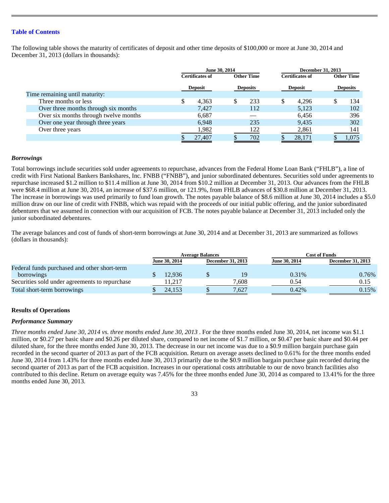The following table shows the maturity of certificates of deposit and other time deposits of \$100,000 or more at June 30, 2014 and December 31, 2013 (dollars in thousands):

|                                       | June 30, 2014          |                |    |                   | <b>December 31, 2013</b> |                        |  |                   |  |
|---------------------------------------|------------------------|----------------|----|-------------------|--------------------------|------------------------|--|-------------------|--|
|                                       | <b>Certificates of</b> |                |    | <b>Other Time</b> |                          | <b>Certificates of</b> |  | <b>Other Time</b> |  |
|                                       |                        | <b>Deposit</b> |    | <b>Deposits</b>   |                          | <b>Deposit</b>         |  | <b>Deposits</b>   |  |
| Time remaining until maturity:        |                        |                |    |                   |                          |                        |  |                   |  |
| Three months or less                  |                        | 4.363          | ъD | 233               | S                        | 4.296                  |  | 134               |  |
| Over three months through six months  |                        | 7,427          |    | 112               |                          | 5,123                  |  | 102               |  |
| Over six months through twelve months |                        | 6,687          |    |                   |                          | 6,456                  |  | 396               |  |
| Over one year through three years     |                        | 6,948          |    | 235               |                          | 9,435                  |  | 302               |  |
| Over three years                      |                        | 1,982          |    | 122               |                          | 2,861                  |  | 141               |  |
|                                       |                        | 27,407         |    | 702               |                          | 28,171                 |  | 1,075             |  |

#### *Borrowings*

Total borrowings include securities sold under agreements to repurchase, advances from the Federal Home Loan Bank ("FHLB"), a line of credit with First National Bankers Bankshares, Inc. FNBB ("FNBB"), and junior subordinated debentures. Securities sold under agreements to repurchase increased \$1.2 million to \$11.4 million at June 30, 2014 from \$10.2 million at December 31, 2013. Our advances from the FHLB were \$68.4 million at June 30, 2014, an increase of \$37.6 million, or 121.9%, from FHLB advances of \$30.8 million at December 31, 2013. The increase in borrowings was used primarily to fund loan growth. The notes payable balance of \$8.6 million at June 30, 2014 includes a \$5.0 million draw on our line of credit with FNBB, which was repaid with the proceeds of our initial public offering, and the junior subordinated debentures that we assumed in connection with our acquisition of FCB. The notes payable balance at December 31, 2013 included only the junior subordinated debentures.

The average balances and cost of funds of short-term borrowings at June 30, 2014 and at December 31, 2013 are summarized as follows (dollars in thousands):

|                                                |               | <b>Average Balances</b> |                          | Cost of Funds |                   |  |  |
|------------------------------------------------|---------------|-------------------------|--------------------------|---------------|-------------------|--|--|
|                                                | June 30, 2014 |                         | <b>December 31, 2013</b> | June 30, 2014 | December 31, 2013 |  |  |
| Federal funds purchased and other short-term   |               |                         |                          |               |                   |  |  |
| borrowings                                     | 12.936        |                         |                          | $0.31\%$      | 0.76%             |  |  |
| Securities sold under agreements to repurchase | 11.217        |                         | 7,608                    | 0.54          | 0.15              |  |  |
| Total short-term borrowings                    | 24.153        |                         | 7.627                    | 0.42%         | 0.15%             |  |  |

# **Results of Operations**

#### *Performance Summary*

*Three months ended June 30, 2014 vs. three months ended June 30, 2013*. For the three months ended June 30, 2014, net income was \$1.1 million, or \$0.27 per basic share and \$0.26 per diluted share, compared to net income of \$1.7 million, or \$0.47 per basic share and \$0.44 per diluted share, for the three months ended June 30, 2013. The decrease in our net income was due to a \$0.9 million bargain purchase gain recorded in the second quarter of 2013 as part of the FCB acquisition. Return on average assets declined to 0.61% for the three months ended June 30, 2014 from 1.43% for three months ended June 30, 2013 primarily due to the \$0.9 million bargain purchase gain recorded during the second quarter of 2013 as part of the FCB acquisition. Increases in our operational costs attributable to our de novo branch facilities also contributed to this decline. Return on average equity was 7.45% for the three months ended June 30, 2014 as compared to 13.41% for the three months ended June 30, 2013.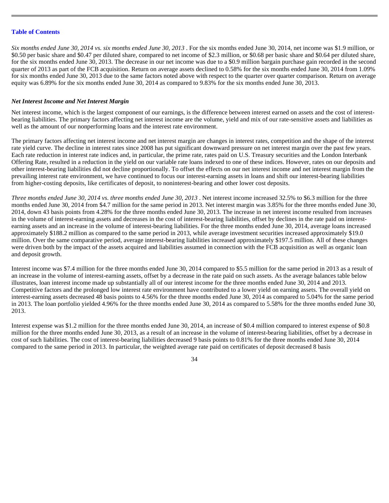*Six months ended June 30, 2014 vs. six months ended June 30, 2013*. For the six months ended June 30, 2014, net income was \$1.9 million, or \$0.50 per basic share and \$0.47 per diluted share, compared to net income of \$2.3 million, or \$0.68 per basic share and \$0.64 per diluted share, for the six months ended June 30, 2013. The decrease in our net income was due to a \$0.9 million bargain purchase gain recorded in the second quarter of 2013 as part of the FCB acquisition. Return on average assets declined to 0.58% for the six months ended June 30, 2014 from 1.09% for six months ended June 30, 2013 due to the same factors noted above with respect to the quarter over quarter comparison. Return on average equity was 6.89% for the six months ended June 30, 2014 as compared to 9.83% for the six months ended June 30, 2013.

#### *Net Interest Income and Net Interest Margin*

Net interest income, which is the largest component of our earnings, is the difference between interest earned on assets and the cost of interestbearing liabilities. The primary factors affecting net interest income are the volume, yield and mix of our rate-sensitive assets and liabilities as well as the amount of our nonperforming loans and the interest rate environment.

The primary factors affecting net interest income and net interest margin are changes in interest rates, competition and the shape of the interest rate yield curve. The decline in interest rates since 2008 has put significant downward pressure on net interest margin over the past few years. Each rate reduction in interest rate indices and, in particular, the prime rate, rates paid on U.S. Treasury securities and the London Interbank Offering Rate, resulted in a reduction in the yield on our variable rate loans indexed to one of these indices. However, rates on our deposits and other interest-bearing liabilities did not decline proportionally. To offset the effects on our net interest income and net interest margin from the prevailing interest rate environment, we have continued to focus our interest-earning assets in loans and shift our interest-bearing liabilities from higher-costing deposits, like certificates of deposit, to noninterest-bearing and other lower cost deposits.

*Three months ended June 30, 2014 vs. three months ended June 30, 2013*. Net interest income increased 32.5% to \$6.3 million for the three months ended June 30, 2014 from \$4.7 million for the same period in 2013. Net interest margin was 3.85% for the three months ended June 30, 2014, down 43 basis points from 4.28% for the three months ended June 30, 2013. The increase in net interest income resulted from increases in the volume of interest-earning assets and decreases in the cost of interest-bearing liabilities, offset by declines in the rate paid on interestearning assets and an increase in the volume of interest-bearing liabilities. For the three months ended June 30, 2014, average loans increased approximately \$188.2 million as compared to the same period in 2013, while average investment securities increased approximately \$19.0 million. Over the same comparative period, average interest-bearing liabilities increased approximately \$197.5 million. All of these changes were driven both by the impact of the assets acquired and liabilities assumed in connection with the FCB acquisition as well as organic loan and deposit growth.

Interest income was \$7.4 million for the three months ended June 30, 2014 compared to \$5.5 million for the same period in 2013 as a result of an increase in the volume of interest-earning assets, offset by a decrease in the rate paid on such assets. As the average balances table below illustrates, loan interest income made up substantially all of our interest income for the three months ended June 30, 2014 and 2013. Competitive factors and the prolonged low interest rate environment have contributed to a lower yield on earning assets. The overall yield on interest-earning assets decreased 48 basis points to 4.56% for the three months ended June 30, 2014 as compared to 5.04% for the same period in 2013. The loan portfolio yielded 4.96% for the three months ended June 30, 2014 as compared to 5.58% for the three months ended June 30, 2013.

Interest expense was \$1.2 million for the three months ended June 30, 2014, an increase of \$0.4 million compared to interest expense of \$0.8 million for the three months ended June 30, 2013, as a result of an increase in the volume of interest-bearing liabilities, offset by a decrease in cost of such liabilities. The cost of interest-bearing liabilities decreased 9 basis points to 0.81% for the three months ended June 30, 2014 compared to the same period in 2013. In particular, the weighted average rate paid on certificates of deposit decreased 8 basis

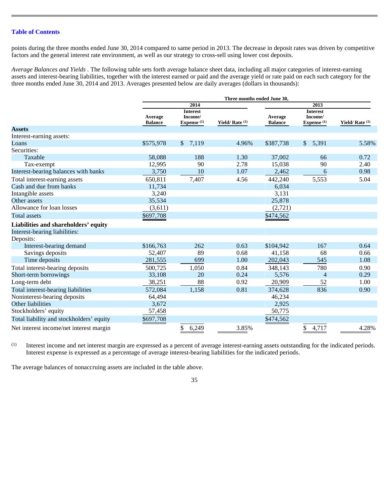points during the three months ended June 30, 2014 compared to same period in 2013. The decrease in deposit rates was driven by competitive factors and the general interest rate environment, as well as our strategy to cross-sell using lower cost deposits.

*Average Balances and Yields* . The following table sets forth average balance sheet data, including all major categories of interest-earning assets and interest-bearing liabilities, together with the interest earned or paid and the average yield or rate paid on each such category for the three months ended June 30, 2014 and 2013. Averages presented below are daily averages (dollars in thousands):

|                                          | Three months ended June 30, |                                             |                           |                           |                                             |                           |  |
|------------------------------------------|-----------------------------|---------------------------------------------|---------------------------|---------------------------|---------------------------------------------|---------------------------|--|
|                                          |                             | $\sqrt{2014}$                               |                           |                           | $\overline{2013}$                           |                           |  |
|                                          | Average<br><b>Balance</b>   | <b>Interest</b><br>Income/<br>Expense $(1)$ | Yield/Rate <sup>(1)</sup> | Average<br><b>Balance</b> | <b>Interest</b><br>Income/<br>Expense $(1)$ | Yield/Rate <sup>(1)</sup> |  |
| <b>Assets</b>                            |                             |                                             |                           |                           |                                             |                           |  |
| Interest-earning assets:                 |                             |                                             |                           |                           |                                             |                           |  |
| Loans                                    | \$575,978                   | 7,119<br>$\mathbb{S}$                       | 4.96%                     | \$387,738                 | \$5,391                                     | 5.58%                     |  |
| Securities:                              |                             |                                             |                           |                           |                                             |                           |  |
| Taxable                                  | 58,088                      | 188                                         | 1.30                      | 37,002                    | 66                                          | 0.72                      |  |
| Tax-exempt                               | 12,995                      | 90                                          | 2.78                      | 15,038                    | 90                                          | 2.40                      |  |
| Interest-bearing balances with banks     | 3,750                       | 10                                          | 1.07                      | 2,462                     | 6                                           | 0.98                      |  |
| Total interest-earning assets            | 650,811                     | 7,407                                       | 4.56                      | 442,240                   | 5,553                                       | 5.04                      |  |
| Cash and due from banks                  | 11,734                      |                                             |                           | 6,034                     |                                             |                           |  |
| Intangible assets                        | 3,240                       |                                             |                           | 3,131                     |                                             |                           |  |
| Other assets                             | 35,534                      |                                             |                           | 25,878                    |                                             |                           |  |
| Allowance for loan losses                | (3,611)                     |                                             |                           | (2,721)                   |                                             |                           |  |
| <b>Total assets</b>                      | \$697,708                   |                                             |                           | \$474,562                 |                                             |                           |  |
| Liabilities and shareholders' equity     |                             |                                             |                           |                           |                                             |                           |  |
| Interest-bearing liabilities:            |                             |                                             |                           |                           |                                             |                           |  |
| Deposits:                                |                             |                                             |                           |                           |                                             |                           |  |
| Interest-bearing demand                  | \$166,763                   | 262                                         | 0.63                      | \$104,942                 | 167                                         | 0.64                      |  |
| Savings deposits                         | 52,407                      | 89                                          | 0.68                      | 41,158                    | 68                                          | 0.66                      |  |
| Time deposits                            | 281,555                     | 699                                         | 1.00                      | 202,043                   | 545                                         | 1.08                      |  |
| Total interest-bearing deposits          | 500,725                     | 1,050                                       | 0.84                      | 348,143                   | 780                                         | 0.90                      |  |
| Short-term borrowings                    | 33,108                      | 20                                          | 0.24                      | 5,576                     | $\overline{4}$                              | 0.29                      |  |
| Long-term debt                           | 38,251                      | 88                                          | 0.92                      | 20,909                    | 52                                          | 1.00                      |  |
| Total interest-bearing liabilities       | 572,084                     | 1,158                                       | 0.81                      | 374,628                   | 836                                         | 0.90                      |  |
| Noninterest-bearing deposits             | 64,494                      |                                             |                           | 46,234                    |                                             |                           |  |
| Other liabilities                        | 3,672                       |                                             |                           | 2,925                     |                                             |                           |  |
| Stockholders' equity                     | 57,458                      |                                             |                           | 50,775                    |                                             |                           |  |
| Total liability and stockholders' equity | \$697,708                   |                                             |                           | \$474,562                 |                                             |                           |  |
| Net interest income/net interest margin  |                             | 6,249<br>\$                                 | 3.85%                     |                           | 4,717<br>\$                                 | 4.28%                     |  |

(1) Interest income and net interest margin are expressed as a percent of average interest-earning assets outstanding for the indicated periods. Interest expense is expressed as a percentage of average interest-bearing liabilities for the indicated periods.

The average balances of nonaccruing assets are included in the table above.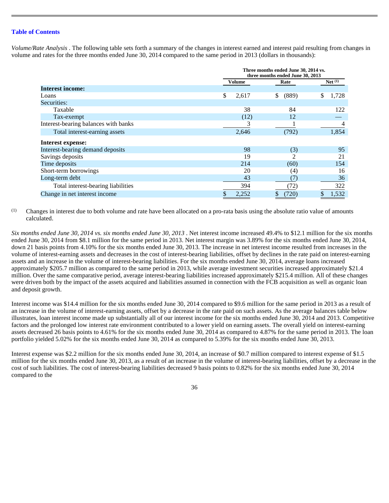*Volume/Rate Analysis* . The following table sets forth a summary of the changes in interest earned and interest paid resulting from changes in volume and rates for the three months ended June 30, 2014 compared to the same period in 2013 (dollars in thousands):

|                                      | Three months ended June 30, 2014 vs.<br>three months ended June 30, 2013 |             |                    |  |  |
|--------------------------------------|--------------------------------------------------------------------------|-------------|--------------------|--|--|
|                                      | Volume                                                                   |             | Net <sup>(1)</sup> |  |  |
| <b>Interest income:</b>              |                                                                          |             |                    |  |  |
| Loans                                | \$<br>2,617                                                              | \$<br>(889) | 1,728<br>\$        |  |  |
| Securities:                          |                                                                          |             |                    |  |  |
| Taxable                              | 38                                                                       | 84          | 122                |  |  |
| Tax-exempt                           | (12)                                                                     | 12          |                    |  |  |
| Interest-bearing balances with banks | 3                                                                        |             | 4                  |  |  |
| Total interest-earning assets        | 2,646                                                                    | (792)       | 1,854              |  |  |
| <b>Interest expense:</b>             |                                                                          |             |                    |  |  |
| Interest-bearing demand deposits     | 98                                                                       | (3)         | 95                 |  |  |
| Savings deposits                     | 19                                                                       |             | 21                 |  |  |
| Time deposits                        | 214                                                                      | (60)        | 154                |  |  |
| Short-term borrowings                | 20                                                                       | (4)         | 16                 |  |  |
| Long-term debt                       | 43                                                                       | (7)         | 36                 |  |  |
| Total interest-bearing liabilities   | 394                                                                      | (72)        | 322                |  |  |
| Change in net interest income        | 2,252                                                                    | \$<br>(720) | 1,532              |  |  |

(1) Changes in interest due to both volume and rate have been allocated on a pro-rata basis using the absolute ratio value of amounts calculated.

*Six months ended June 30, 2014 vs. six months ended June 30, 2013* . Net interest income increased 49.4% to \$12.1 million for the six months ended June 30, 2014 from \$8.1 million for the same period in 2013. Net interest margin was 3.89% for the six months ended June 30, 2014, down 21 basis points from 4.10% for the six months ended June 30, 2013. The increase in net interest income resulted from increases in the volume of interest-earning assets and decreases in the cost of interest-bearing liabilities, offset by declines in the rate paid on interest-earning assets and an increase in the volume of interest-bearing liabilities. For the six months ended June 30, 2014, average loans increased approximately \$205.7 million as compared to the same period in 2013, while average investment securities increased approximately \$21.4 million. Over the same comparative period, average interest-bearing liabilities increased approximately \$215.4 million. All of these changes were driven both by the impact of the assets acquired and liabilities assumed in connection with the FCB acquisition as well as organic loan and deposit growth.

Interest income was \$14.4 million for the six months ended June 30, 2014 compared to \$9.6 million for the same period in 2013 as a result of an increase in the volume of interest-earning assets, offset by a decrease in the rate paid on such assets. As the average balances table below illustrates, loan interest income made up substantially all of our interest income for the six months ended June 30, 2014 and 2013. Competitive factors and the prolonged low interest rate environment contributed to a lower yield on earning assets. The overall yield on interest-earning assets decreased 26 basis points to 4.61% for the six months ended June 30, 2014 as compared to 4.87% for the same period in 2013. The loan portfolio yielded 5.02% for the six months ended June 30, 2014 as compared to 5.39% for the six months ended June 30, 2013.

Interest expense was \$2.2 million for the six months ended June 30, 2014, an increase of \$0.7 million compared to interest expense of \$1.5 million for the six months ended June 30, 2013, as a result of an increase in the volume of interest-bearing liabilities, offset by a decrease in the cost of such liabilities. The cost of interest-bearing liabilities decreased 9 basis points to 0.82% for the six months ended June 30, 2014 compared to the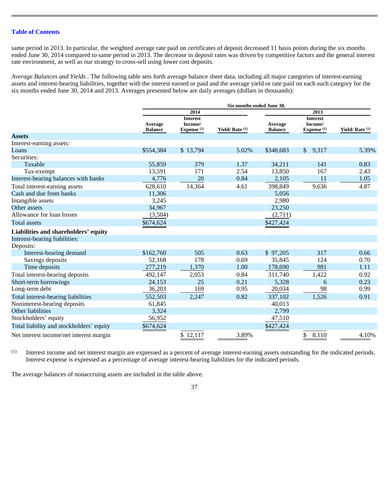same period in 2013. In particular, the weighted average rate paid on certificates of deposit decreased 11 basis points during the six months ended June 30, 2014 compared to same period in 2013. The decrease in deposit rates was driven by competitive factors and the general interest rate environment, as well as our strategy to cross-sell using lower cost deposits.

*Average Balances and Yields* . The following table sets forth average balance sheet data, including all major categories of interest-earning assets and interest-bearing liabilities, together with the interest earned or paid and the average yield or rate paid on each such category for the six months ended June 30, 2014 and 2013. Averages presented below are daily averages (dollars in thousands):

|                                          | Six months ended June 30, |                                           |                |                           |                                           |                |
|------------------------------------------|---------------------------|-------------------------------------------|----------------|---------------------------|-------------------------------------------|----------------|
|                                          | 2014                      |                                           |                | 2013                      |                                           |                |
|                                          | Average<br><b>Balance</b> | <b>Interest</b><br>Income/<br>Expense (1) | Yield/Rate (1) | Average<br><b>Balance</b> | <b>Interest</b><br>Income/<br>Expense (1) | Yield/Rate (1) |
| <b>Assets</b>                            |                           |                                           |                |                           |                                           |                |
| Interest-earning assets:                 |                           |                                           |                |                           |                                           |                |
| Loans                                    | \$554,384                 | \$13,794                                  | 5.02%          | \$348,683                 | 9,317<br>$\mathcal{S}$                    | 5.39%          |
| Securities:                              |                           |                                           |                |                           |                                           |                |
| Taxable                                  | 55,859                    | 379                                       | 1.37           | 34,211                    | 141                                       | 0.83           |
| Tax-exempt                               | 13.591                    | 171                                       | 2.54           | 13,850                    | 167                                       | 2.43           |
| Interest-bearing balances with banks     | 4,776                     | 20                                        | 0.84           | 2,105                     | <sup>11</sup>                             | 1.05           |
| Total interest-earning assets            | 628,610                   | 14,364                                    | 4.61           | 398,849                   | 9,636                                     | 4.87           |
| Cash and due from banks                  | 11,306                    |                                           |                | 5,056                     |                                           |                |
| Intangible assets                        | 3,245                     |                                           |                | 2,980                     |                                           |                |
| Other assets                             | 34,967                    |                                           |                | 23,250                    |                                           |                |
| Allowance for loan losses                | (3,504)                   |                                           |                | (2,711)                   |                                           |                |
| <b>Total assets</b>                      | \$674,624                 |                                           |                | \$427,424                 |                                           |                |
| Liabilities and shareholders' equity     |                           |                                           |                |                           |                                           |                |
| Interest-bearing liabilities:            |                           |                                           |                |                           |                                           |                |
| Deposits:                                |                           |                                           |                |                           |                                           |                |
| Interest-bearing demand                  | \$162,760                 | 505                                       | 0.63           | \$97,205                  | 317                                       | 0.66           |
| Savings deposits                         | 52,168                    | 178                                       | 0.69           | 35,845                    | 124                                       | 0.70           |
| Time deposits                            | 277,219                   | 1,370                                     | 1.00           | 178,690                   | 981                                       | 1.11           |
| Total interest-bearing deposits          | 492,147                   | 2,053                                     | 0.84           | 311,740                   | 1,422                                     | 0.92           |
| Short-term borrowings                    | 24,153                    | 25                                        | 0.21           | 5,328                     | 6                                         | 0.23           |
| Long-term debt                           | 36,203                    | 169                                       | 0.95           | 20,034                    | 98                                        | 0.99           |
| Total interest-bearing liabilities       | 552,503                   | 2,247                                     | 0.82           | 337,102                   | 1,526                                     | 0.91           |
| Noninterest-bearing deposits             | 61,845                    |                                           |                | 40,013                    |                                           |                |
| Other liabilities                        | 3,324                     |                                           |                | 2,799                     |                                           |                |
| Stockholders' equity                     | 56,952                    |                                           |                | 47,510                    |                                           |                |
| Total liability and stockholders' equity | \$674,624                 |                                           |                | \$427,424                 |                                           |                |
| Net interest income/net interest margin  |                           | \$12,117                                  | 3.89%          |                           | 8,110<br>\$                               | 4.10%          |

(1) Interest income and net interest margin are expressed as a percent of average interest-earning assets outstanding for the indicated periods. Interest expense is expressed as a percentage of average interest-bearing liabilities for the indicated periods.

The average balances of nonaccruing assets are included in the table above.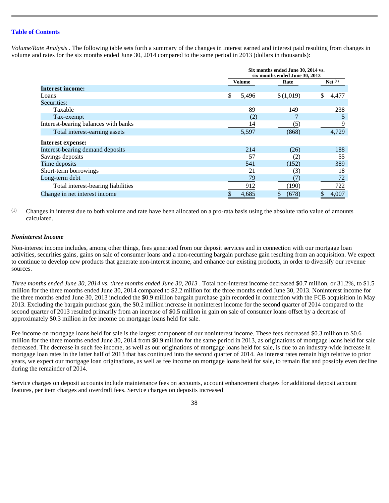*Volume/Rate Analysis* . The following table sets forth a summary of the changes in interest earned and interest paid resulting from changes in volume and rates for the six months ended June 30, 2014 compared to the same period in 2013 (dollars in thousands):

|                                      |               | Six months ended June 30, 2014 vs.<br>six months ended June 30, 2013 |                    |  |
|--------------------------------------|---------------|----------------------------------------------------------------------|--------------------|--|
|                                      | <b>Volume</b> | Rate                                                                 | Net <sup>(1)</sup> |  |
| <b>Interest income:</b>              |               |                                                                      |                    |  |
| Loans                                | \$<br>5,496   | \$(1,019)                                                            | \$<br>4,477        |  |
| Securities:                          |               |                                                                      |                    |  |
| Taxable                              |               | 89<br>149                                                            | 238                |  |
| Tax-exempt                           |               | (2)<br>7                                                             |                    |  |
| Interest-bearing balances with banks |               | (5)<br>14                                                            | 9                  |  |
| Total interest-earning assets        | 5,597         | (868)                                                                | 4,729              |  |
| Interest expense:                    |               |                                                                      |                    |  |
| Interest-bearing demand deposits     |               | 214<br>(26)                                                          | 188                |  |
| Savings deposits                     |               | 57<br>(2)                                                            | 55                 |  |
| Time deposits                        |               | 541<br>(152)                                                         | 389                |  |
| Short-term borrowings                |               | 21<br>(3)                                                            | 18                 |  |
| Long-term debt                       |               | 79<br>(7)                                                            | 72                 |  |
| Total interest-bearing liabilities   |               | 912<br>(190)                                                         | 722                |  |
| Change in net interest income        | \$<br>4,685   | (678)<br>\$                                                          | 4,007<br>\$        |  |

(1) Changes in interest due to both volume and rate have been allocated on a pro-rata basis using the absolute ratio value of amounts calculated.

# *Noninterest Income*

Non-interest income includes, among other things, fees generated from our deposit services and in connection with our mortgage loan activities, securities gains, gains on sale of consumer loans and a non-recurring bargain purchase gain resulting from an acquisition. We expect to continue to develop new products that generate non-interest income, and enhance our existing products, in order to diversify our revenue sources.

*Three months ended June 30, 2014 vs. three months ended June 30, 2013*. Total non-interest income decreased \$0.7 million, or 31.2%, to \$1.5 million for the three months ended June 30, 2014 compared to \$2.2 million for the three months ended June 30, 2013. Noninterest income for the three months ended June 30, 2013 included the \$0.9 million bargain purchase gain recorded in connection with the FCB acquisition in May 2013. Excluding the bargain purchase gain, the \$0.2 million increase in noninterest income for the second quarter of 2014 compared to the second quarter of 2013 resulted primarily from an increase of \$0.5 million in gain on sale of consumer loans offset by a decrease of approximately \$0.3 million in fee income on mortgage loans held for sale.

Fee income on mortgage loans held for sale is the largest component of our noninterest income. These fees decreased \$0.3 million to \$0.6 million for the three months ended June 30, 2014 from \$0.9 million for the same period in 2013, as originations of mortgage loans held for sale decreased. The decrease in such fee income, as well as our originations of mortgage loans held for sale, is due to an industry-wide increase in mortgage loan rates in the latter half of 2013 that has continued into the second quarter of 2014. As interest rates remain high relative to prior years, we expect our mortgage loan originations, as well as fee income on mortgage loans held for sale, to remain flat and possibly even decline during the remainder of 2014.

Service charges on deposit accounts include maintenance fees on accounts, account enhancement charges for additional deposit account features, per item charges and overdraft fees. Service charges on deposits increased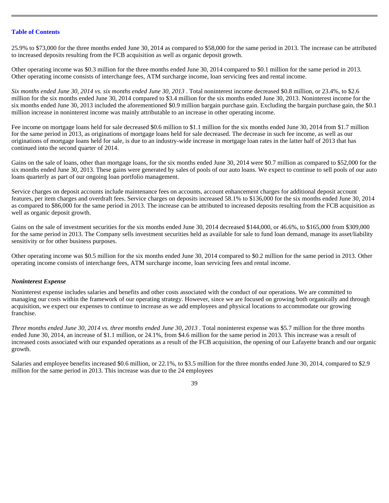25.9% to \$73,000 for the three months ended June 30, 2014 as compared to \$58,000 for the same period in 2013. The increase can be attributed to increased deposits resulting from the FCB acquisition as well as organic deposit growth.

Other operating income was \$0.3 million for the three months ended June 30, 2014 compared to \$0.1 million for the same period in 2013. Other operating income consists of interchange fees, ATM surcharge income, loan servicing fees and rental income.

*Six months ended June 30, 2014 vs. six months ended June 30, 2013* . Total noninterest income decreased \$0.8 million, or 23.4%, to \$2.6 million for the six months ended June 30, 2014 compared to \$3.4 million for the six months ended June 30, 2013. Noninterest income for the six months ended June 30, 2013 included the aforementioned \$0.9 million bargain purchase gain. Excluding the bargain purchase gain, the \$0.1 million increase in noninterest income was mainly attributable to an increase in other operating income.

Fee income on mortgage loans held for sale decreased \$0.6 million to \$1.1 million for the six months ended June 30, 2014 from \$1.7 million for the same period in 2013, as originations of mortgage loans held for sale decreased. The decrease in such fee income, as well as our originations of mortgage loans held for sale, is due to an industry-wide increase in mortgage loan rates in the latter half of 2013 that has continued into the second quarter of 2014.

Gains on the sale of loans, other than mortgage loans, for the six months ended June 30, 2014 were \$0.7 million as compared to \$52,000 for the six months ended June 30, 2013. These gains were generated by sales of pools of our auto loans. We expect to continue to sell pools of our auto loans quarterly as part of our ongoing loan portfolio management.

Service charges on deposit accounts include maintenance fees on accounts, account enhancement charges for additional deposit account features, per item charges and overdraft fees. Service charges on deposits increased 58.1% to \$136,000 for the six months ended June 30, 2014 as compared to \$86,000 for the same period in 2013. The increase can be attributed to increased deposits resulting from the FCB acquisition as well as organic deposit growth.

Gains on the sale of investment securities for the six months ended June 30, 2014 decreased \$144,000, or 46.6%, to \$165,000 from \$309,000 for the same period in 2013. The Company sells investment securities held as available for sale to fund loan demand, manage its asset/liability sensitivity or for other business purposes.

Other operating income was \$0.5 million for the six months ended June 30, 2014 compared to \$0.2 million for the same period in 2013. Other operating income consists of interchange fees, ATM surcharge income, loan servicing fees and rental income.

#### *Noninterest Expense*

Noninterest expense includes salaries and benefits and other costs associated with the conduct of our operations. We are committed to managing our costs within the framework of our operating strategy. However, since we are focused on growing both organically and through acquisition, we expect our expenses to continue to increase as we add employees and physical locations to accommodate our growing franchise.

*Three months ended June 30, 2014 vs. three months ended June 30, 2013* . Total noninterest expense was \$5.7 million for the three months ended June 30, 2014, an increase of \$1.1 million, or 24.1%, from \$4.6 million for the same period in 2013. This increase was a result of increased costs associated with our expanded operations as a result of the FCB acquisition, the opening of our Lafayette branch and our organic growth.

Salaries and employee benefits increased \$0.6 million, or 22.1%, to \$3.5 million for the three months ended June 30, 2014, compared to \$2.9 million for the same period in 2013. This increase was due to the 24 employees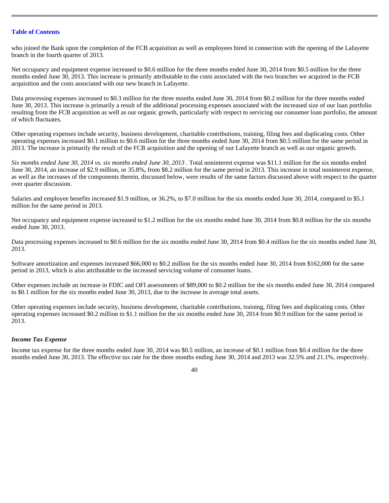who joined the Bank upon the completion of the FCB acquisition as well as employees hired in connection with the opening of the Lafayette branch in the fourth quarter of 2013.

Net occupancy and equipment expense increased to \$0.6 million for the three months ended June 30, 2014 from \$0.5 million for the three months ended June 30, 2013. This increase is primarily attributable to the costs associated with the two branches we acquired in the FCB acquisition and the costs associated with our new branch in Lafayette.

Data processing expenses increased to \$0.3 million for the three months ended June 30, 2014 from \$0.2 million for the three months ended June 30, 2013. This increase is primarily a result of the additional processing expenses associated with the increased size of our loan portfolio resulting from the FCB acquisition as well as our organic growth, particularly with respect to servicing our consumer loan portfolio, the amount of which fluctuates.

Other operating expenses include security, business development, charitable contributions, training, filing fees and duplicating costs. Other operating expenses increased \$0.1 million to \$0.6 million for the three months ended June 30, 2014 from \$0.5 million for the same period in 2013. The increase is primarily the result of the FCB acquisition and the opening of our Lafayette branch as well as our organic growth.

*Six months ended June 30, 2014 vs. six months ended June 30, 2013* . Total noninterest expense was \$11.1 million for the six months ended June 30, 2014, an increase of \$2.9 million, or 35.8%, from \$8.2 million for the same period in 2013. This increase in total noninterest expense, as well as the increases of the components therein, discussed below, were results of the same factors discussed above with respect to the quarter over quarter discussion.

Salaries and employee benefits increased \$1.9 million, or 36.2%, to \$7.0 million for the six months ended June 30, 2014, compared to \$5.1 million for the same period in 2013.

Net occupancy and equipment expense increased to \$1.2 million for the six months ended June 30, 2014 from \$0.8 million for the six months ended June 30, 2013.

Data processing expenses increased to \$0.6 million for the six months ended June 30, 2014 from \$0.4 million for the six months ended June 30, 2013.

Software amortization and expenses increased \$66,000 to \$0.2 million for the six months ended June 30, 2014 from \$162,000 for the same period in 2013, which is also attributable to the increased servicing volume of consumer loans.

Other expenses include an increase in FDIC and OFI assessments of \$89,000 to \$0.2 million for the six months ended June 30, 2014 compared to \$0.1 million for the six months ended June 30, 2013, due to the increase in average total assets.

Other operating expenses include security, business development, charitable contributions, training, filing fees and duplicating costs. Other operating expenses increased \$0.2 million to \$1.1 million for the six months ended June 30, 2014 from \$0.9 million for the same period in 2013.

#### *Income Tax Expense*

Income tax expense for the three months ended June 30, 2014 was \$0.5 million, an increase of \$0.1 million from \$0.4 million for the three months ended June 30, 2013. The effective tax rate for the three months ending June 30, 2014 and 2013 was 32.5% and 21.1%, respectively.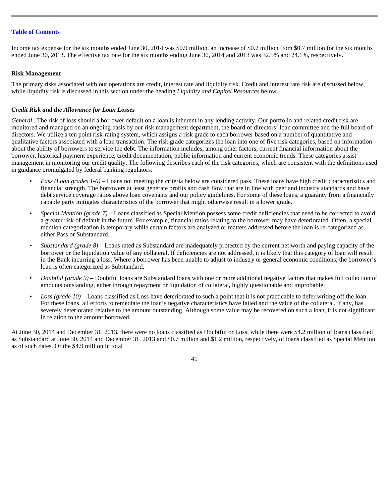Income tax expense for the six months ended June 30, 2014 was \$0.9 million, an increase of \$0.2 million from \$0.7 million for the six months ended June 30, 2013. The effective tax rate for the six months ending June 30, 2014 and 2013 was 32.5% and 24.1%, respectively.

#### **Risk Management**

The primary risks associated with our operations are credit, interest rate and liquidity risk. Credit and interest rate risk are discussed below, while liquidity risk is discussed in this section under the heading *Liquidity and Capital Resources* below.

#### *Credit Risk and the Allowance for Loan Losses*

*General* . The risk of loss should a borrower default on a loan is inherent in any lending activity. Our portfolio and related credit risk are monitored and managed on an ongoing basis by our risk management department, the board of directors' loan committee and the full board of directors. We utilize a ten point risk-rating system, which assigns a risk grade to each borrower based on a number of quantitative and qualitative factors associated with a loan transaction. The risk grade categorizes the loan into one of five risk categories, based on information about the ability of borrowers to service the debt. The information includes, among other factors, current financial information about the borrower, historical payment experience, credit documentation, public information and current economic trends. These categories assist management in monitoring our credit quality. The following describes each of the risk categories, which are consistent with the definitions used in guidance promulgated by federal banking regulators:

- *Pass (Loan grades 1-6)*  Loans not meeting the criteria below are considered pass. These loans have high credit characteristics and financial strength. The borrowers at least generate profits and cash flow that are in line with peer and industry standards and have debt service coverage ratios above loan covenants and our policy guidelines. For some of these loans, a guaranty from a financially capable party mitigates characteristics of the borrower that might otherwise result in a lower grade.
- *Special Mention (grade 7)*  Loans classified as Special Mention possess some credit deficiencies that need to be corrected to avoid a greater risk of default in the future. For example, financial ratios relating to the borrower may have deteriorated. Often, a special mention categorization is temporary while certain factors are analyzed or matters addressed before the loan is re-categorized as either Pass or Substandard.
- *Substandard (grade 8)*  Loans rated as Substandard are inadequately protected by the current net worth and paying capacity of the borrower or the liquidation value of any collateral. If deficiencies are not addressed, it is likely that this category of loan will result in the Bank incurring a loss. Where a borrower has been unable to adjust to industry or general economic conditions, the borrower's loan is often categorized as Substandard.
- *Doubtful (grade 9)*  Doubtful loans are Substandard loans with one or more additional negative factors that makes full collection of amounts outstanding, either through repayment or liquidation of collateral, highly questionable and improbable.
- *Loss (grade 10)* Loans classified as Loss have deteriorated to such a point that it is not practicable to defer writing off the loan. For these loans, all efforts to remediate the loan's negative characteristics have failed and the value of the collateral, if any, has severely deteriorated relative to the amount outstanding. Although some value may be recovered on such a loan, it is not significant in relation to the amount borrowed.

At June 30, 2014 and December 31, 2013, there were no loans classified as Doubtful or Loss, while there were \$4.2 million of loans classified as Substandard at June 30, 2014 and December 31, 2013 and \$0.7 million and \$1.2 million, respectively, of loans classified as Special Mention as of such dates. Of the \$4.9 million in total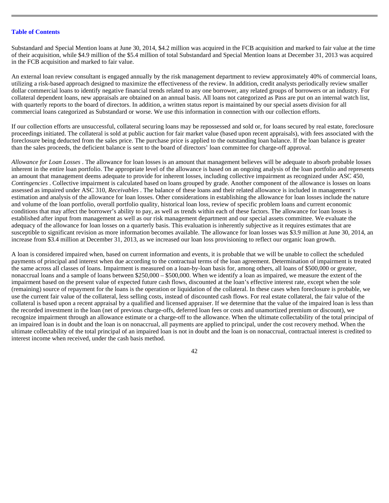Substandard and Special Mention loans at June 30, 2014, \$4.2 million was acquired in the FCB acquisition and marked to fair value at the time of their acquisition, while \$4.9 million of the \$5.4 million of total Substandard and Special Mention loans at December 31, 2013 was acquired in the FCB acquisition and marked to fair value.

An external loan review consultant is engaged annually by the risk management department to review approximately 40% of commercial loans, utilizing a risk-based approach designed to maximize the effectiveness of the review. In addition, credit analysts periodically review smaller dollar commercial loans to identify negative financial trends related to any one borrower, any related groups of borrowers or an industry. For collateral dependent loans, new appraisals are obtained on an annual basis. All loans not categorized as Pass are put on an internal watch list, with quarterly reports to the board of directors. In addition, a written status report is maintained by our special assets division for all commercial loans categorized as Substandard or worse. We use this information in connection with our collection efforts.

If our collection efforts are unsuccessful, collateral securing loans may be repossessed and sold or, for loans secured by real estate, foreclosure proceedings initiated. The collateral is sold at public auction for fair market value (based upon recent appraisals), with fees associated with the foreclosure being deducted from the sales price. The purchase price is applied to the outstanding loan balance. If the loan balance is greater than the sales proceeds, the deficient balance is sent to the board of directors' loan committee for charge-off approval.

*Allowance for Loan Losses* . The allowance for loan losses is an amount that management believes will be adequate to absorb probable losses inherent in the entire loan portfolio. The appropriate level of the allowance is based on an ongoing analysis of the loan portfolio and represents an amount that management deems adequate to provide for inherent losses, including collective impairment as recognized under ASC 450, *Contingencies* . Collective impairment is calculated based on loans grouped by grade. Another component of the allowance is losses on loans assessed as impaired under ASC 310, *Receivables* . The balance of these loans and their related allowance is included in management's estimation and analysis of the allowance for loan losses. Other considerations in establishing the allowance for loan losses include the nature and volume of the loan portfolio, overall portfolio quality, historical loan loss, review of specific problem loans and current economic conditions that may affect the borrower's ability to pay, as well as trends within each of these factors. The allowance for loan losses is established after input from management as well as our risk management department and our special assets committee. We evaluate the adequacy of the allowance for loan losses on a quarterly basis. This evaluation is inherently subjective as it requires estimates that are susceptible to significant revision as more information becomes available. The allowance for loan losses was \$3.9 million at June 30, 2014, an increase from \$3.4 million at December 31, 2013, as we increased our loan loss provisioning to reflect our organic loan growth.

A loan is considered impaired when, based on current information and events, it is probable that we will be unable to collect the scheduled payments of principal and interest when due according to the contractual terms of the loan agreement. Determination of impairment is treated the same across all classes of loans. Impairment is measured on a loan-by-loan basis for, among others, all loans of \$500,000 or greater, nonaccrual loans and a sample of loans between \$250,000 – \$500,000. When we identify a loan as impaired, we measure the extent of the impairment based on the present value of expected future cash flows, discounted at the loan's effective interest rate, except when the sole (remaining) source of repayment for the loans is the operation or liquidation of the collateral. In these cases when foreclosure is probable, we use the current fair value of the collateral, less selling costs, instead of discounted cash flows. For real estate collateral, the fair value of the collateral is based upon a recent appraisal by a qualified and licensed appraiser. If we determine that the value of the impaired loan is less than the recorded investment in the loan (net of previous charge-offs, deferred loan fees or costs and unamortized premium or discount), we recognize impairment through an allowance estimate or a charge-off to the allowance. When the ultimate collectability of the total principal of an impaired loan is in doubt and the loan is on nonaccrual, all payments are applied to principal, under the cost recovery method. When the ultimate collectability of the total principal of an impaired loan is not in doubt and the loan is on nonaccrual, contractual interest is credited to interest income when received, under the cash basis method.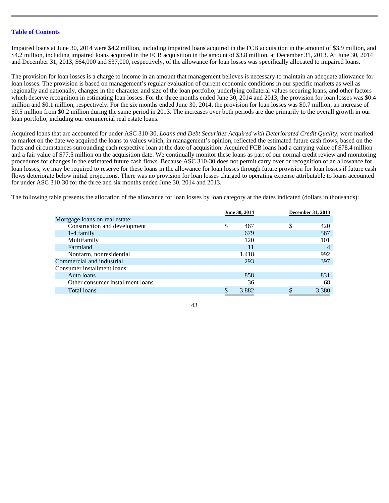Impaired loans at June 30, 2014 were \$4.2 million, including impaired loans acquired in the FCB acquisition in the amount of \$3.9 million, and \$4.2 million, including impaired loans acquired in the FCB acquisition in the amount of \$3.8 million, at December 31, 2013. At June 30, 2014 and December 31, 2013, \$64,000 and \$37,000, respectively, of the allowance for loan losses was specifically allocated to impaired loans.

The provision for loan losses is a charge to income in an amount that management believes is necessary to maintain an adequate allowance for loan losses. The provision is based on management's regular evaluation of current economic conditions in our specific markets as well as regionally and nationally, changes in the character and size of the loan portfolio, underlying collateral values securing loans, and other factors which deserve recognition in estimating loan losses. For the three months ended June 30, 2014 and 2013, the provision for loan losses was \$0.4 million and \$0.1 million, respectively. For the six months ended June 30, 2014, the provision for loan losses was \$0.7 million, an increase of \$0.5 million from \$0.2 million during the same period in 2013. The increases over both periods are due primarily to the overall growth in our loan portfolio, including our commercial real estate loans.

Acquired loans that are accounted for under ASC 310-30, *Loans and Debt Securities Acquired with Deteriorated Credit Quality,* were marked to market on the date we acquired the loans to values which, in management's opinion, reflected the estimated future cash flows, based on the facts and circumstances surrounding each respective loan at the date of acquisition. Acquired FCB loans had a carrying value of \$78.4 million and a fair value of \$77.5 million on the acquisition date. We continually monitor these loans as part of our normal credit review and monitoring procedures for changes in the estimated future cash flows. Because ASC 310-30 does not permit carry over or recognition of an allowance for loan losses, we may be required to reserve for these loans in the allowance for loan losses through future provision for loan losses if future cash flows deteriorate below initial projections. There was no provision for loan losses charged to operating expense attributable to loans accounted for under ASC 310-30 for the three and six months ended June 30, 2014 and 2013.

The following table presents the allocation of the allowance for loan losses by loan category at the dates indicated (dollars in thousands):

|                                  | June 30, 2014 | December 31, 2013 |
|----------------------------------|---------------|-------------------|
| Mortgage loans on real estate:   |               |                   |
| Construction and development     | \$<br>467     | \$<br>420         |
| 1-4 family                       | 679           | 567               |
| Multifamily                      | 120           | 101               |
| Farmland                         | 11            | 4                 |
| Nonfarm, nonresidential          | 1,418         | 992               |
| Commercial and industrial        | 293           | 397               |
| Consumer installment loans:      |               |                   |
| Auto loans                       | 858           | 831               |
| Other consumer installment loans | 36            | 68                |
| Total loans                      | 3,882         | 3,380             |
|                                  |               |                   |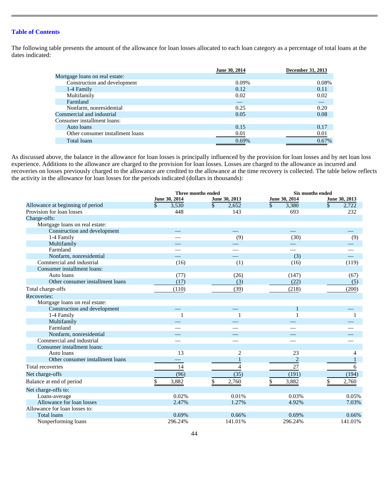The following table presents the amount of the allowance for loan losses allocated to each loan category as a percentage of total loans at the dates indicated:

|                                  | June 30, 2014 | December 31, 2013 |
|----------------------------------|---------------|-------------------|
| Mortgage loans on real estate:   |               |                   |
| Construction and development     | 0.09%         | 0.08%             |
| 1-4 Family                       | 0.12          | 0.11              |
| Multifamily                      | 0.02          | 0.02              |
| Farmland                         | __            |                   |
| Nonfarm, nonresidential          | 0.25          | 0.20              |
| Commercial and industrial        | 0.05          | 0.08              |
| Consumer installment loans:      |               |                   |
| Auto loans                       | 0.15          | 0.17              |
| Other consumer installment loans | 0.01          | 0.01              |
| Total loans                      | 0.69%         | 0.67%             |

As discussed above, the balance in the allowance for loan losses is principally influenced by the provision for loan losses and by net loan loss experience. Additions to the allowance are charged to the provision for loan losses. Losses are charged to the allowance as incurred and recoveries on losses previously charged to the allowance are credited to the allowance at the time recovery is collected. The table below reflects the activity in the allowance for loan losses for the periods indicated (dollars in thousands):

|                                  | Three months ended     |                        | <b>Six months ended</b> |                        |  |
|----------------------------------|------------------------|------------------------|-------------------------|------------------------|--|
|                                  | June 30, 2014          | June 30, 2013          | June 30, 2014           | June 30, 2013          |  |
| Allowance at beginning of period | $\mathbf{\$}$<br>3,530 | $\mathcal{S}$<br>2,652 | $\mathcal{S}$<br>3,380  | $\mathsf{\$}$<br>2,722 |  |
| Provision for loan losses        | 448                    | 143                    | 693                     | 232                    |  |
| Charge-offs:                     |                        |                        |                         |                        |  |
| Mortgage loans on real estate:   |                        |                        |                         |                        |  |
| Construction and development     |                        |                        |                         |                        |  |
| 1-4 Family                       |                        | (9)                    | (30)                    | (9)                    |  |
| Multifamily                      |                        |                        |                         |                        |  |
| Farmland                         |                        |                        |                         |                        |  |
| Nonfarm, nonresidential          |                        |                        | (3)                     |                        |  |
| Commercial and industrial        | (16)                   | (1)                    | (16)                    | (119)                  |  |
| Consumer installment loans:      |                        |                        |                         |                        |  |
| Auto loans                       | (77)                   | (26)                   | (147)                   | (67)                   |  |
| Other consumer installment loans | (17)                   | (3)                    | (22)                    | (5)                    |  |
| Total charge-offs                | (110)                  | (39)                   | (218)                   | (200)                  |  |
| Recoveries:                      |                        |                        |                         |                        |  |
| Mortgage loans on real estate:   |                        |                        |                         |                        |  |
| Construction and development     |                        |                        | 1                       |                        |  |
| 1-4 Family                       | $\mathbf{1}$           | $\mathbf{1}$           | 1                       |                        |  |
| Multifamily                      |                        |                        |                         |                        |  |
| Farmland                         |                        |                        |                         |                        |  |
| Nonfarm, nonresidential          |                        |                        |                         |                        |  |
| Commercial and industrial        |                        |                        |                         |                        |  |
| Consumer installment loans:      |                        |                        |                         |                        |  |
| Auto loans                       | 13                     | $\overline{c}$         | 23                      | 4                      |  |
| Other consumer installment loans |                        |                        | $\overline{2}$          |                        |  |
| Total recoveries                 | 14                     | $\overline{4}$         | 27                      | 6                      |  |
| Net charge-offs                  | (96)                   | (35)                   | (191)                   | (194)                  |  |
| Balance at end of period         | \$<br>3,882            | \$<br>2,760            | \$<br>3,882             | 2,760                  |  |
| Net charge-offs to:              |                        |                        |                         |                        |  |
| Loans-average                    | 0.02%                  | 0.01%                  | 0.03%                   | 0.05%                  |  |
| Allowance for loan losses        | 2.47%                  | 1.27%                  | 4.92%                   | 7.03%                  |  |
| Allowance for loan losses to:    |                        |                        |                         |                        |  |
| <b>Total loans</b>               | 0.69%                  | 0.66%                  | 0.69%                   | 0.66%                  |  |
| Nonperforming loans              | 296.24%                | 141.01%                | 296.24%                 | 141.01%                |  |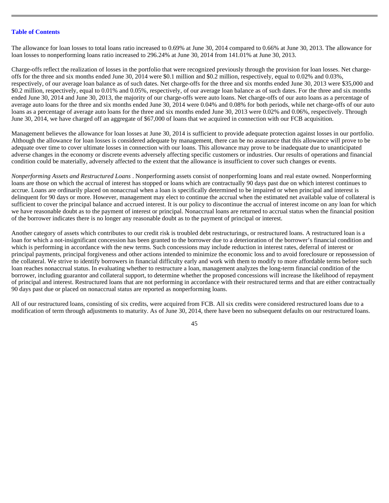The allowance for loan losses to total loans ratio increased to 0.69% at June 30, 2014 compared to 0.66% at June 30, 2013. The allowance for loan losses to nonperforming loans ratio increased to 296.24% at June 30, 2014 from 141.01% at June 30, 2013.

Charge-offs reflect the realization of losses in the portfolio that were recognized previously through the provision for loan losses. Net chargeoffs for the three and six months ended June 30, 2014 were \$0.1 million and \$0.2 million, respectively, equal to 0.02% and 0.03%, respectively, of our average loan balance as of such dates. Net charge-offs for the three and six months ended June 30, 2013 were \$35,000 and \$0.2 million, respectively, equal to 0.01% and 0.05%, respectively, of our average loan balance as of such dates. For the three and six months ended June 30, 2014 and June 30, 2013, the majority of our charge-offs were auto loans. Net charge-offs of our auto loans as a percentage of average auto loans for the three and six months ended June 30, 2014 were 0.04% and 0.08% for both periods, while net charge-offs of our auto loans as a percentage of average auto loans for the three and six months ended June 30, 2013 were 0.02% and 0.06%, respectively. Through June 30, 2014, we have charged off an aggregate of \$67,000 of loans that we acquired in connection with our FCB acquisition.

Management believes the allowance for loan losses at June 30, 2014 is sufficient to provide adequate protection against losses in our portfolio. Although the allowance for loan losses is considered adequate by management, there can be no assurance that this allowance will prove to be adequate over time to cover ultimate losses in connection with our loans. This allowance may prove to be inadequate due to unanticipated adverse changes in the economy or discrete events adversely affecting specific customers or industries. Our results of operations and financial condition could be materially, adversely affected to the extent that the allowance is insufficient to cover such changes or events.

*Nonperforming Assets and Restructured Loans* . Nonperforming assets consist of nonperforming loans and real estate owned. Nonperforming loans are those on which the accrual of interest has stopped or loans which are contractually 90 days past due on which interest continues to accrue. Loans are ordinarily placed on nonaccrual when a loan is specifically determined to be impaired or when principal and interest is delinquent for 90 days or more. However, management may elect to continue the accrual when the estimated net available value of collateral is sufficient to cover the principal balance and accrued interest. It is our policy to discontinue the accrual of interest income on any loan for which we have reasonable doubt as to the payment of interest or principal. Nonaccrual loans are returned to accrual status when the financial position of the borrower indicates there is no longer any reasonable doubt as to the payment of principal or interest.

Another category of assets which contributes to our credit risk is troubled debt restructurings, or restructured loans. A restructured loan is a loan for which a not-insignificant concession has been granted to the borrower due to a deterioration of the borrower's financial condition and which is performing in accordance with the new terms. Such concessions may include reduction in interest rates, deferral of interest or principal payments, principal forgiveness and other actions intended to minimize the economic loss and to avoid foreclosure or repossession of the collateral. We strive to identify borrowers in financial difficulty early and work with them to modify to more affordable terms before such loan reaches nonaccrual status. In evaluating whether to restructure a loan, management analyzes the long-term financial condition of the borrower, including guarantor and collateral support, to determine whether the proposed concessions will increase the likelihood of repayment of principal and interest. Restructured loans that are not performing in accordance with their restructured terms and that are either contractually 90 days past due or placed on nonaccrual status are reported as nonperforming loans.

All of our restructured loans, consisting of six credits, were acquired from FCB. All six credits were considered restructured loans due to a modification of term through adjustments to maturity. As of June 30, 2014, there have been no subsequent defaults on our restructured loans.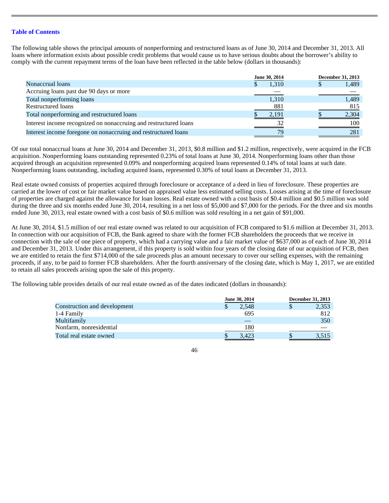The following table shows the principal amounts of nonperforming and restructured loans as of June 30, 2014 and December 31, 2013. All loans where information exists about possible credit problems that would cause us to have serious doubts about the borrower's ability to comply with the current repayment terms of the loan have been reflected in the table below (dollars in thousands):

|                                                                  | June 30, 2014 | December 31, 2013 |
|------------------------------------------------------------------|---------------|-------------------|
| Nonaccrual loans                                                 | 1.310         | 1,489             |
| Accruing loans past due 90 days or more                          |               |                   |
| Total nonperforming loans                                        | 1,310         | 1,489             |
| Restructured loans                                               | 881           | 815               |
| Total nonperforming and restructured loans                       | 2.191         | 2.304             |
| Interest income recognized on nonaccruing and restructured loans | 32            | 100               |
| Interest income foregone on nonaccruing and restructured loans   | 79            | 281               |

Of our total nonaccrual loans at June 30, 2014 and December 31, 2013, \$0.8 million and \$1.2 million, respectively, were acquired in the FCB acquisition. Nonperforming loans outstanding represented 0.23% of total loans at June 30, 2014. Nonperforming loans other than those acquired through an acquisition represented 0.09% and nonperforming acquired loans represented 0.14% of total loans at such date. Nonperforming loans outstanding, including acquired loans, represented 0.30% of total loans at December 31, 2013.

Real estate owned consists of properties acquired through foreclosure or acceptance of a deed in lieu of foreclosure. These properties are carried at the lower of cost or fair market value based on appraised value less estimated selling costs. Losses arising at the time of foreclosure of properties are charged against the allowance for loan losses. Real estate owned with a cost basis of \$0.4 million and \$0.5 million was sold during the three and six months ended June 30, 2014, resulting in a net loss of \$5,000 and \$7,000 for the periods. For the three and six months ended June 30, 2013, real estate owned with a cost basis of \$0.6 million was sold resulting in a net gain of \$91,000.

At June 30, 2014, \$1.5 million of our real estate owned was related to our acquisition of FCB compared to \$1.6 million at December 31, 2013. In connection with our acquisition of FCB, the Bank agreed to share with the former FCB shareholders the proceeds that we receive in connection with the sale of one piece of property, which had a carrying value and a fair market value of \$637,000 as of each of June 30, 2014 and December 31, 2013. Under this arrangement, if this property is sold within four years of the closing date of our acquisition of FCB, then we are entitled to retain the first \$714,000 of the sale proceeds plus an amount necessary to cover our selling expenses, with the remaining proceeds, if any, to be paid to former FCB shareholders. After the fourth anniversary of the closing date, which is May 1, 2017, we are entitled to retain all sales proceeds arising upon the sale of this property.

The following table provides details of our real estate owned as of the dates indicated (dollars in thousands):

|                              | June 30, 2014 | December 31, 2013 |
|------------------------------|---------------|-------------------|
| Construction and development | 2.548         | 2,353             |
| 1-4 Family                   | 695           | 812               |
| Multifamily                  |               | 350               |
| Nonfarm, nonresidential      | 180           |                   |
| Total real estate owned      | 3.423         |                   |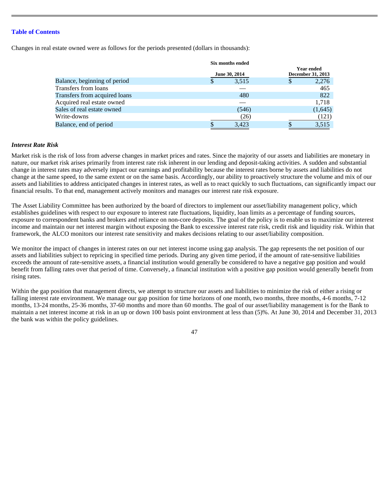Changes in real estate owned were as follows for the periods presented (dollars in thousands):

|                               | Six months ended |                                        |         |  |
|-------------------------------|------------------|----------------------------------------|---------|--|
|                               | June 30, 2014    | <b>Year ended</b><br>December 31, 2013 |         |  |
| Balance, beginning of period  | 3,515            |                                        | 2,276   |  |
| Transfers from loans          |                  |                                        | 465     |  |
| Transfers from acquired loans | 480              |                                        | 822     |  |
| Acquired real estate owned    |                  |                                        | 1.718   |  |
| Sales of real estate owned    | (546)            |                                        | (1,645) |  |
| Write-downs                   | (26)             |                                        | (121)   |  |
| Balance, end of period        | 3,423            |                                        | 3,515   |  |
|                               |                  |                                        |         |  |

#### *Interest Rate Risk*

Market risk is the risk of loss from adverse changes in market prices and rates. Since the majority of our assets and liabilities are monetary in nature, our market risk arises primarily from interest rate risk inherent in our lending and deposit-taking activities. A sudden and substantial change in interest rates may adversely impact our earnings and profitability because the interest rates borne by assets and liabilities do not change at the same speed, to the same extent or on the same basis. Accordingly, our ability to proactively structure the volume and mix of our assets and liabilities to address anticipated changes in interest rates, as well as to react quickly to such fluctuations, can significantly impact our financial results. To that end, management actively monitors and manages our interest rate risk exposure.

The Asset Liability Committee has been authorized by the board of directors to implement our asset/liability management policy, which establishes guidelines with respect to our exposure to interest rate fluctuations, liquidity, loan limits as a percentage of funding sources, exposure to correspondent banks and brokers and reliance on non-core deposits. The goal of the policy is to enable us to maximize our interest income and maintain our net interest margin without exposing the Bank to excessive interest rate risk, credit risk and liquidity risk. Within that framework, the ALCO monitors our interest rate sensitivity and makes decisions relating to our asset/liability composition.

We monitor the impact of changes in interest rates on our net interest income using gap analysis. The gap represents the net position of our assets and liabilities subject to repricing in specified time periods. During any given time period, if the amount of rate-sensitive liabilities exceeds the amount of rate-sensitive assets, a financial institution would generally be considered to have a negative gap position and would benefit from falling rates over that period of time. Conversely, a financial institution with a positive gap position would generally benefit from rising rates.

Within the gap position that management directs, we attempt to structure our assets and liabilities to minimize the risk of either a rising or falling interest rate environment. We manage our gap position for time horizons of one month, two months, three months, 4-6 months, 7-12 months, 13-24 months, 25-36 months, 37-60 months and more than 60 months. The goal of our asset/liability management is for the Bank to maintain a net interest income at risk in an up or down 100 basis point environment at less than (5)%. At June 30, 2014 and December 31, 2013 the bank was within the policy guidelines.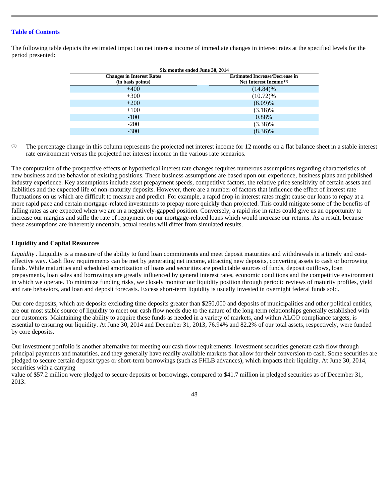The following table depicts the estimated impact on net interest income of immediate changes in interest rates at the specified levels for the period presented:

| Six months ended June 30, 2014                        |                                                                  |  |  |  |
|-------------------------------------------------------|------------------------------------------------------------------|--|--|--|
| <b>Changes in Interest Rates</b><br>(in basis points) | <b>Estimated Increase/Decrease in</b><br>Net Interest Income (1) |  |  |  |
| $+400$                                                | $(14.84)\%$                                                      |  |  |  |
| $+300$                                                | $(10.72)\%$                                                      |  |  |  |
| $+200$                                                | $(6.09)\%$                                                       |  |  |  |
| $+100$                                                | $(3.18)\%$                                                       |  |  |  |
| $-100$                                                | 0.88%                                                            |  |  |  |
| $-200$                                                | $(3.38)\%$                                                       |  |  |  |
| $-300$                                                | $(8.36)\%$                                                       |  |  |  |

(1) The percentage change in this column represents the projected net interest income for 12 months on a flat balance sheet in a stable interest rate environment versus the projected net interest income in the various rate scenarios.

The computation of the prospective effects of hypothetical interest rate changes requires numerous assumptions regarding characteristics of new business and the behavior of existing positions. These business assumptions are based upon our experience, business plans and published industry experience. Key assumptions include asset prepayment speeds, competitive factors, the relative price sensitivity of certain assets and liabilities and the expected life of non-maturity deposits. However, there are a number of factors that influence the effect of interest rate fluctuations on us which are difficult to measure and predict. For example, a rapid drop in interest rates might cause our loans to repay at a more rapid pace and certain mortgage-related investments to prepay more quickly than projected. This could mitigate some of the benefits of falling rates as are expected when we are in a negatively-gapped position. Conversely, a rapid rise in rates could give us an opportunity to increase our margins and stifle the rate of repayment on our mortgage-related loans which would increase our returns. As a result, because these assumptions are inherently uncertain, actual results will differ from simulated results.

#### **Liquidity and Capital Resources**

Liquidity **.** Liquidity is a measure of the ability to fund loan commitments and meet deposit maturities and withdrawals in a timely and costeffective way. Cash flow requirements can be met by generating net income, attracting new deposits, converting assets to cash or borrowing funds. While maturities and scheduled amortization of loans and securities are predictable sources of funds, deposit outflows, loan prepayments, loan sales and borrowings are greatly influenced by general interest rates, economic conditions and the competitive environment in which we operate. To minimize funding risks, we closely monitor our liquidity position through periodic reviews of maturity profiles, yield and rate behaviors, and loan and deposit forecasts. Excess short-term liquidity is usually invested in overnight federal funds sold.

Our core deposits, which are deposits excluding time deposits greater than \$250,000 and deposits of municipalities and other political entities, are our most stable source of liquidity to meet our cash flow needs due to the nature of the long-term relationships generally established with our customers. Maintaining the ability to acquire these funds as needed in a variety of markets, and within ALCO compliance targets, is essential to ensuring our liquidity. At June 30, 2014 and December 31, 2013, 76.94% and 82.2% of our total assets, respectively, were funded by core deposits.

Our investment portfolio is another alternative for meeting our cash flow requirements. Investment securities generate cash flow through principal payments and maturities, and they generally have readily available markets that allow for their conversion to cash. Some securities are pledged to secure certain deposit types or short-term borrowings (such as FHLB advances), which impacts their liquidity. At June 30, 2014, securities with a carrying

value of \$57.2 million were pledged to secure deposits or borrowings, compared to \$41.7 million in pledged securities as of December 31, 2013.

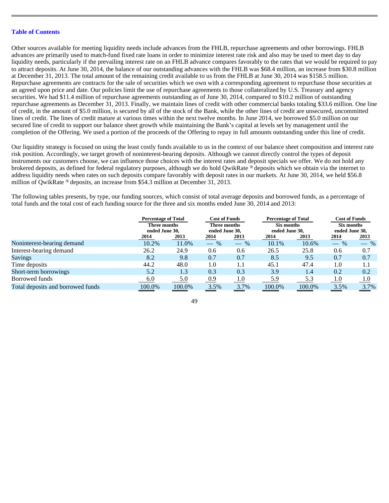Other sources available for meeting liquidity needs include advances from the FHLB, repurchase agreements and other borrowings. FHLB advances are primarily used to match-fund fixed rate loans in order to minimize interest rate risk and also may be used to meet day to day liquidity needs, particularly if the prevailing interest rate on an FHLB advance compares favorably to the rates that we would be required to pay to attract deposits. At June 30, 2014, the balance of our outstanding advances with the FHLB was \$68.4 million, an increase from \$30.8 million at December 31, 2013. The total amount of the remaining credit available to us from the FHLB at June 30, 2014 was \$158.5 million. Repurchase agreements are contracts for the sale of securities which we own with a corresponding agreement to repurchase those securities at an agreed upon price and date. Our policies limit the use of repurchase agreements to those collateralized by U.S. Treasury and agency securities. We had \$11.4 million of repurchase agreements outstanding as of June 30, 2014, compared to \$10.2 million of outstanding repurchase agreements as December 31, 2013. Finally, we maintain lines of credit with other commercial banks totaling \$33.6 million. One line of credit, in the amount of \$5.0 million, is secured by all of the stock of the Bank, while the other lines of credit are unsecured, uncommitted lines of credit. The lines of credit mature at various times within the next twelve months. In June 2014, we borrowed \$5.0 million on our secured line of credit to support our balance sheet growth while maintaining the Bank's capital at levels set by management until the completion of the Offering. We used a portion of the proceeds of the Offering to repay in full amounts outstanding under this line of credit.

Our liquidity strategy is focused on using the least costly funds available to us in the context of our balance sheet composition and interest rate risk position. Accordingly, we target growth of noninterest-bearing deposits. Although we cannot directly control the types of deposit instruments our customers choose, we can influence those choices with the interest rates and deposit specials we offer. We do not hold any brokered deposits, as defined for federal regulatory purposes, although we do hold QwikRate ® deposits which we obtain via the internet to address liquidity needs when rates on such deposits compare favorably with deposit rates in our markets. At June 30, 2014, we held \$56.8 million of QwikRate ® deposits, an increase from \$54.3 million at December 31, 2013.

The following tables presents, by type, our funding sources, which consist of total average deposits and borrowed funds, as a percentage of total funds and the total cost of each funding source for the three and six months ended June 30, 2014 and 2013:

|                                   | <b>Percentage of Total</b><br>Three months<br>ended June 30. |        | <b>Cost of Funds</b><br>Three months<br>ended June 30, |                            | <b>Percentage of Total</b><br>Six months<br>ended June 30. |        | <b>Cost of Funds</b><br>Six months<br>ended June 30, |       |
|-----------------------------------|--------------------------------------------------------------|--------|--------------------------------------------------------|----------------------------|------------------------------------------------------------|--------|------------------------------------------------------|-------|
|                                   | 2014                                                         | 2013   | 2014                                                   | 2013                       | 2014                                                       | 2013   | <u>2014</u>                                          | 2013  |
| Noninterest-bearing demand        | 10.2%                                                        | 11.0%  | $-$ %                                                  | $-$ %                      | 10.1%                                                      | 10.6%  | $-$ %                                                | $-$ % |
| Interest-bearing demand           | 26.2                                                         | 24.9   | 0.6                                                    | 0.6                        | 26.5                                                       | 25.8   | 0.6                                                  | 0.7   |
| <b>Savings</b>                    | 8.2                                                          | 9.8    | 0.7                                                    | 0.7                        | 8.5                                                        | 9.5    | 0.7                                                  | 0.7   |
| Time deposits                     | 44.2                                                         | 48.0   | 1.0                                                    | $\overline{\phantom{a}}$ . | 45.1                                                       | 47.4   | 1.0                                                  | 1.1   |
| Short-term borrowings             | 5.2                                                          | 1.3    | 0.3                                                    | 0.3                        | 3.9                                                        | 1.4    | 0.2                                                  | 0.2   |
| Borrowed funds                    | 6.0                                                          | 5.0    | 0.9                                                    | 1.0                        | 5.9                                                        | 5.3    | 1.0                                                  | 1.0   |
| Total deposits and borrowed funds | 100.0%                                                       | 100.0% | 3.5%                                                   | 3.7%                       | 100.0%                                                     | 100.0% | 3.5%                                                 | 3.7%  |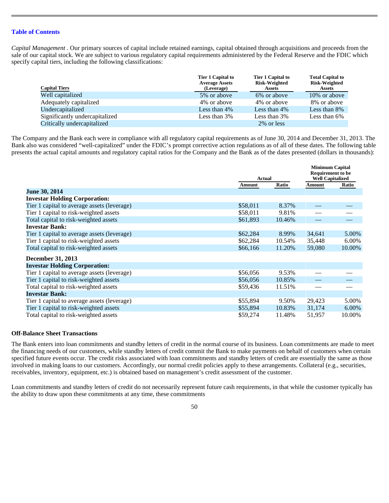*Capital Management* . Our primary sources of capital include retained earnings, capital obtained through acquisitions and proceeds from the sale of our capital stock. We are subject to various regulatory capital requirements administered by the Federal Reserve and the FDIC which specify capital tiers, including the following classifications:

| <b>Capital Tiers</b>           | <b>Tier 1 Capital to</b><br><b>Average Assets</b><br>(Leverage) | <b>Tier 1 Capital to</b><br>Risk-Weighted<br><b>Assets</b> | <b>Total Capital to</b><br><b>Risk-Weighted</b><br>Assets |
|--------------------------------|-----------------------------------------------------------------|------------------------------------------------------------|-----------------------------------------------------------|
| Well capitalized               | 5% or above                                                     | 6\% or above                                               | 10% or above                                              |
| Adequately capitalized         | 4\% or above                                                    | 4\% or above                                               | 8% or above                                               |
| Undercapitalized               | Less than $4\%$                                                 | Less than $4\%$                                            | Less than $8\%$                                           |
| Significantly undercapitalized | Less than $3\%$                                                 | Less than $3\%$                                            | Less than $6\%$                                           |
| Critically undercapitalized    |                                                                 | 2\% or less                                                |                                                           |

The Company and the Bank each were in compliance with all regulatory capital requirements as of June 30, 2014 and December 31, 2013. The Bank also was considered "well-capitalized" under the FDIC's prompt corrective action regulations as of all of these dates. The following table presents the actual capital amounts and regulatory capital ratios for the Company and the Bank as of the dates presented (dollars in thousands):

|                                             |          |        | <b>Minimum Capital</b><br><b>Requirement to be</b> |                         |
|---------------------------------------------|----------|--------|----------------------------------------------------|-------------------------|
|                                             |          | Actual |                                                    | <b>Well Capitalized</b> |
|                                             | Amount   | Ratio  | Amount                                             | Ratio                   |
| <b>June 30, 2014</b>                        |          |        |                                                    |                         |
| <b>Investar Holding Corporation:</b>        |          |        |                                                    |                         |
| Tier 1 capital to average assets (leverage) | \$58,011 | 8.37%  |                                                    |                         |
| Tier 1 capital to risk-weighted assets      | \$58,011 | 9.81%  |                                                    |                         |
| Total capital to risk-weighted assets       | \$61,893 | 10.46% |                                                    |                         |
| <b>Investar Bank:</b>                       |          |        |                                                    |                         |
| Tier 1 capital to average assets (leverage) | \$62,284 | 8.99%  | 34,641                                             | 5.00%                   |
| Tier 1 capital to risk-weighted assets      | \$62,284 | 10.54% | 35,448                                             | 6.00%                   |
| Total capital to risk-weighted assets       | \$66,166 | 11.20% | 59,080                                             | 10.00%                  |
| December 31, 2013                           |          |        |                                                    |                         |
| <b>Investar Holding Corporation:</b>        |          |        |                                                    |                         |
| Tier 1 capital to average assets (leverage) | \$56,056 | 9.53%  |                                                    |                         |
| Tier 1 capital to risk-weighted assets      | \$56,056 | 10.85% |                                                    |                         |
| Total capital to risk-weighted assets       | \$59,436 | 11.51% |                                                    |                         |
| <b>Investar Bank:</b>                       |          |        |                                                    |                         |
| Tier 1 capital to average assets (leverage) | \$55,894 | 9.50%  | 29,423                                             | 5.00%                   |
| Tier 1 capital to risk-weighted assets      | \$55,894 | 10.83% | 31,174                                             | 6.00%                   |
| Total capital to risk-weighted assets       | \$59,274 | 11.48% | 51,957                                             | 10.00%                  |

#### **Off-Balance Sheet Transactions**

The Bank enters into loan commitments and standby letters of credit in the normal course of its business. Loan commitments are made to meet the financing needs of our customers, while standby letters of credit commit the Bank to make payments on behalf of customers when certain specified future events occur. The credit risks associated with loan commitments and standby letters of credit are essentially the same as those involved in making loans to our customers. Accordingly, our normal credit policies apply to these arrangements. Collateral (e.g., securities, receivables, inventory, equipment, etc.) is obtained based on management's credit assessment of the customer.

Loan commitments and standby letters of credit do not necessarily represent future cash requirements, in that while the customer typically has the ability to draw upon these commitments at any time, these commitments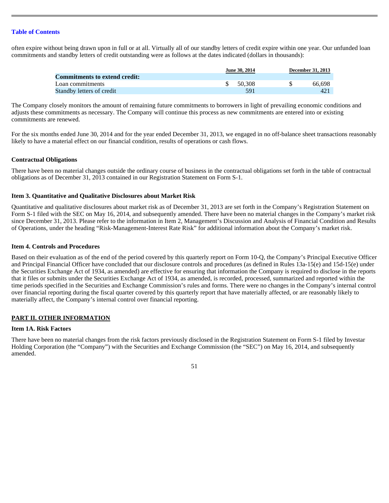often expire without being drawn upon in full or at all. Virtually all of our standby letters of credit expire within one year. Our unfunded loan commitments and standby letters of credit outstanding were as follows at the dates indicated (dollars in thousands):

|                               | June 30, 2014 |  | <b>December 31, 2013</b> |
|-------------------------------|---------------|--|--------------------------|
| Commitments to extend credit: |               |  |                          |
| Loan commitments              | 50.308        |  | 66.698                   |
| Standby letters of credit     | 591           |  | 42 î                     |

The Company closely monitors the amount of remaining future commitments to borrowers in light of prevailing economic conditions and adjusts these commitments as necessary. The Company will continue this process as new commitments are entered into or existing commitments are renewed.

For the six months ended June 30, 2014 and for the year ended December 31, 2013, we engaged in no off-balance sheet transactions reasonably likely to have a material effect on our financial condition, results of operations or cash flows.

#### **Contractual Obligations**

There have been no material changes outside the ordinary course of business in the contractual obligations set forth in the table of contractual obligations as of December 31, 2013 contained in our Registration Statement on Form S-1.

#### **Item 3. Quantitative and Qualitative Disclosures about Market Risk**

Quantitative and qualitative disclosures about market risk as of December 31, 2013 are set forth in the Company's Registration Statement on Form S-1 filed with the SEC on May 16, 2014, and subsequently amended. There have been no material changes in the Company's market risk since December 31, 2013. Please refer to the information in Item 2, Management's Discussion and Analysis of Financial Condition and Results of Operations, under the heading "Risk-Management-Interest Rate Risk" for additional information about the Company's market risk.

#### **Item 4. Controls and Procedures**

Based on their evaluation as of the end of the period covered by this quarterly report on Form 10-Q, the Company's Principal Executive Officer and Principal Financial Officer have concluded that our disclosure controls and procedures (as defined in Rules 13a-15(e) and 15d-15(e) under the Securities Exchange Act of 1934, as amended) are effective for ensuring that information the Company is required to disclose in the reports that it files or submits under the Securities Exchange Act of 1934, as amended, is recorded, processed, summarized and reported within the time periods specified in the Securities and Exchange Commission's rules and forms. There were no changes in the Company's internal control over financial reporting during the fiscal quarter covered by this quarterly report that have materially affected, or are reasonably likely to materially affect, the Company's internal control over financial reporting.

# **PART II. OTHER INFORMATION**

#### **Item 1A. Risk Factors**

There have been no material changes from the risk factors previously disclosed in the Registration Statement on Form S-1 filed by Investar Holding Corporation (the "Company") with the Securities and Exchange Commission (the "SEC") on May 16, 2014, and subsequently amended.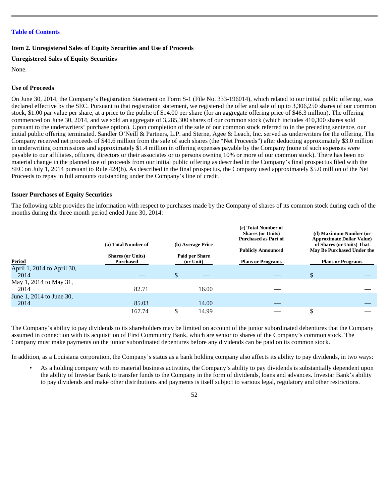# **Item 2. Unregistered Sales of Equity Securities and Use of Proceeds**

# **Unregistered Sales of Equity Securities**

None.

# **Use of Proceeds**

On June 30, 2014, the Company's Registration Statement on Form S-1 (File No. 333-196014), which related to our initial public offering, was declared effective by the SEC. Pursuant to that registration statement, we registered the offer and sale of up to 3,306,250 shares of our common stock, \$1.00 par value per share, at a price to the public of \$14.00 per share (for an aggregate offering price of \$46.3 million). The offering commenced on June 30, 2014, and we sold an aggregate of 3,285,300 shares of our common stock (which includes 410,300 shares sold pursuant to the underwriters' purchase option). Upon completion of the sale of our common stock referred to in the preceding sentence, our initial public offering terminated. Sandler O'Neill & Partners, L.P. and Sterne, Agee & Leach, Inc. served as underwriters for the offering. The Company received net proceeds of \$41.6 million from the sale of such shares (the "Net Proceeds") after deducting approximately \$3.0 million in underwriting commissions and approximately \$1.4 million in offering expenses payable by the Company (none of such expenses were payable to our affiliates, officers, directors or their associates or to persons owning 10% or more of our common stock). There has been no material change in the planned use of proceeds from our initial public offering as described in the Company's final prospectus filed with the SEC on July 1, 2014 pursuant to Rule 424(b). As described in the final prospectus, the Company used approximately \$5.0 million of the Net Proceeds to repay in full amounts outstanding under the Company's line of credit.

#### **Issuer Purchases of Equity Securities**

The following table provides the information with respect to purchases made by the Company of shares of its common stock during each of the months during the three month period ended June 30, 2014:

| <b>Period</b>                      | (a) Total Number of<br><b>Shares (or Units)</b><br>Purchased | (b) Average Price<br>Paid per Share<br>(or Unit) |       | (c) Total Number of<br><b>Shares (or Units)</b><br><b>Purchased as Part of</b><br><b>Publicly Announced</b><br><b>Plans or Programs</b> | (d) Maximum Number (or<br><b>Approximate Dollar Value)</b><br>of Shares (or Units) That<br>May Be Purchased Under the<br><b>Plans or Programs</b> |  |  |
|------------------------------------|--------------------------------------------------------------|--------------------------------------------------|-------|-----------------------------------------------------------------------------------------------------------------------------------------|---------------------------------------------------------------------------------------------------------------------------------------------------|--|--|
| April 1, 2014 to April 30,<br>2014 |                                                              | \$                                               |       |                                                                                                                                         | \$                                                                                                                                                |  |  |
| May 1, 2014 to May 31,<br>2014     | 82.71                                                        |                                                  | 16.00 |                                                                                                                                         |                                                                                                                                                   |  |  |
| June 1, 2014 to June 30,<br>2014   | 85.03                                                        |                                                  | 14.00 |                                                                                                                                         |                                                                                                                                                   |  |  |
|                                    | 167.74                                                       |                                                  | 14.99 |                                                                                                                                         |                                                                                                                                                   |  |  |

The Company's ability to pay dividends to its shareholders may be limited on account of the junior subordinated debentures that the Company assumed in connection with its acquisition of First Community Bank, which are senior to shares of the Company's common stock. The Company must make payments on the junior subordinated debentures before any dividends can be paid on its common stock.

In addition, as a Louisiana corporation, the Company's status as a bank holding company also affects its ability to pay dividends, in two ways:

- As a holding company with no material business activities, the Company's ability to pay dividends is substantially dependent upon the ability of Investar Bank to transfer funds to the Company in the form of dividends, loans and advances. Investar Bank's ability to pay dividends and make other distributions and payments is itself subject to various legal, regulatory and other restrictions.
	- 52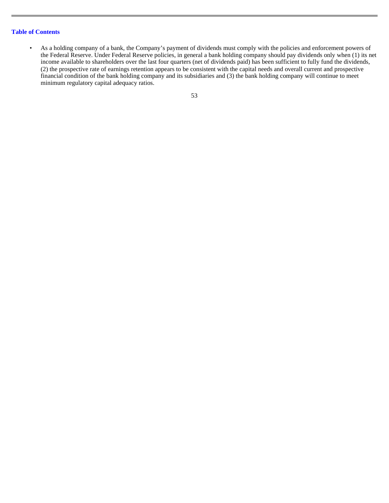• As a holding company of a bank, the Company's payment of dividends must comply with the policies and enforcement powers of the Federal Reserve. Under Federal Reserve policies, in general a bank holding company should pay dividends only when (1) its net income available to shareholders over the last four quarters (net of dividends paid) has been sufficient to fully fund the dividends, (2) the prospective rate of earnings retention appears to be consistent with the capital needs and overall current and prospective financial condition of the bank holding company and its subsidiaries and (3) the bank holding company will continue to meet minimum regulatory capital adequacy ratios.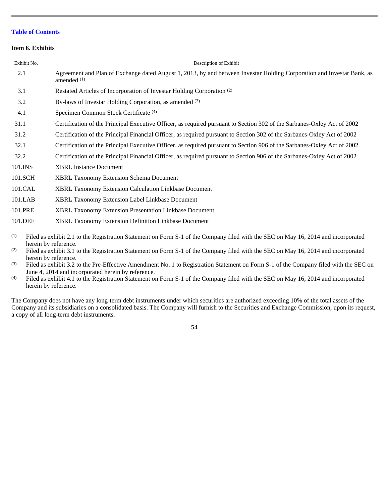# **Item 6. Exhibits**

| Exhibit No. |                      | Description of Exhibit                                                                                                                           |
|-------------|----------------------|--------------------------------------------------------------------------------------------------------------------------------------------------|
| 2.1         |                      | Agreement and Plan of Exchange dated August 1, 2013, by and between Investar Holding Corporation and Investar Bank, as<br>amended <sup>(1)</sup> |
| 3.1         |                      | Restated Articles of Incorporation of Investar Holding Corporation <sup>(2)</sup>                                                                |
| 3.2         |                      | By-laws of Investar Holding Corporation, as amended (3)                                                                                          |
| 4.1         |                      | Specimen Common Stock Certificate <sup>(4)</sup>                                                                                                 |
| 31.1        |                      | Certification of the Principal Executive Officer, as required pursuant to Section 302 of the Sarbanes-Oxley Act of 2002                          |
| 31.2        |                      | Certification of the Principal Financial Officer, as required pursuant to Section 302 of the Sarbanes-Oxley Act of 2002                          |
| 32.1        |                      | Certification of the Principal Executive Officer, as required pursuant to Section 906 of the Sarbanes-Oxley Act of 2002                          |
| 32.2        |                      | Certification of the Principal Financial Officer, as required pursuant to Section 906 of the Sarbanes-Oxley Act of 2002                          |
| 101.INS     |                      | <b>XBRL</b> Instance Document                                                                                                                    |
| 101.SCH     |                      | <b>XBRL Taxonomy Extension Schema Document</b>                                                                                                   |
| 101.CAL     |                      | <b>XBRL Taxonomy Extension Calculation Linkbase Document</b>                                                                                     |
| 101.LAB     |                      | XBRL Taxonomy Extension Label Linkbase Document                                                                                                  |
| 101.PRE     |                      | XBRL Taxonomy Extension Presentation Linkbase Document                                                                                           |
| 101.DEF     |                      | XBRL Taxonomy Extension Definition Linkbase Document                                                                                             |
| (1)         | herein by reference. | Filed as exhibit 2.1 to the Registration Statement on Form S-1 of the Company filed with the SEC on May 16, 2014 and incorporated                |
| (2)         |                      | Filed as exhibit 3.1 to the Registration Statement on Form S-1 of the Company filed with the SEC on May 16, 2014 and incorporated                |

herein by reference. (3) Filed as exhibit 3.2 to the Pre-Effective Amendment No. 1 to Registration Statement on Form S-1 of the Company filed with the SEC on

June 4, 2014 and incorporated herein by reference. (4) Filed as exhibit 4.1 to the Registration Statement on Form S-1 of the Company filed with the SEC on May 16, 2014 and incorporated herein by reference.

The Company does not have any long-term debt instruments under which securities are authorized exceeding 10% of the total assets of the Company and its subsidiaries on a consolidated basis. The Company will furnish to the Securities and Exchange Commission, upon its request, a copy of all long-term debt instruments.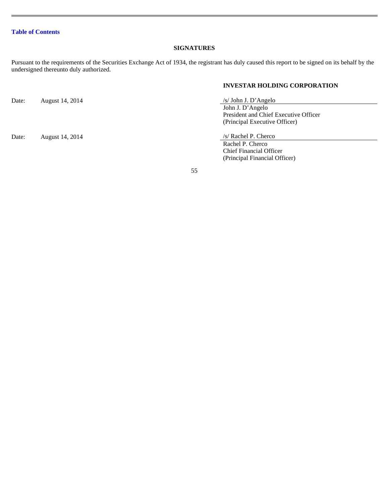# **SIGNATURES**

Pursuant to the requirements of the Securities Exchange Act of 1934, the registrant has duly caused this report to be signed on its behalf by the undersigned thereunto duly authorized.

John J. D'Angelo

#### **INVESTAR HOLDING CORPORATION**

President and Chief Executive Officer

Date: August 14, 2014  $\frac{\sqrt{s}}{\sqrt{5}}$  Angelo

Date: August 14, 2014 /s/ Rachel P. Cherco

 Rachel P. Cherco Chief Financial Officer (Principal Financial Officer)

(Principal Executive Officer)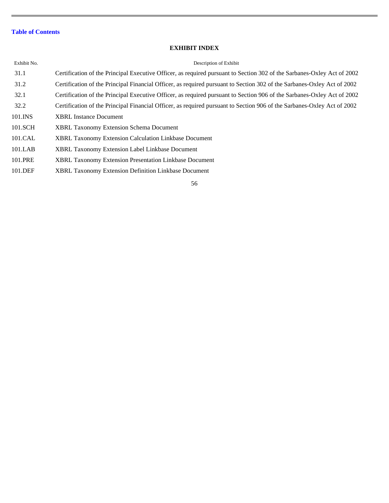# **EXHIBIT INDEX**

| Exhibit No. | Description of Exhibit                                                                                                  |
|-------------|-------------------------------------------------------------------------------------------------------------------------|
| 31.1        | Certification of the Principal Executive Officer, as required pursuant to Section 302 of the Sarbanes-Oxley Act of 2002 |
| 31.2        | Certification of the Principal Financial Officer, as required pursuant to Section 302 of the Sarbanes-Oxley Act of 2002 |
| 32.1        | Certification of the Principal Executive Officer, as required pursuant to Section 906 of the Sarbanes-Oxley Act of 2002 |
| 32.2        | Certification of the Principal Financial Officer, as required pursuant to Section 906 of the Sarbanes-Oxley Act of 2002 |
| 101.INS     | <b>XBRL</b> Instance Document                                                                                           |
| 101.SCH     | <b>XBRL Taxonomy Extension Schema Document</b>                                                                          |
| 101.CAL     | <b>XBRL Taxonomy Extension Calculation Linkbase Document</b>                                                            |
| 101.LAB     | <b>XBRL Taxonomy Extension Label Linkbase Document</b>                                                                  |
| 101.PRE     | <b>XBRL Taxonomy Extension Presentation Linkbase Document</b>                                                           |
| 101.DEF     | <b>XBRL Taxonomy Extension Definition Linkbase Document</b>                                                             |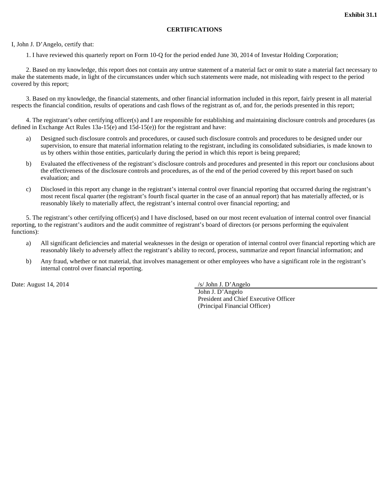# **CERTIFICATIONS**

#### I, John J. D'Angelo, certify that:

1. I have reviewed this quarterly report on Form 10-Q for the period ended June 30, 2014 of Investar Holding Corporation;

2. Based on my knowledge, this report does not contain any untrue statement of a material fact or omit to state a material fact necessary to make the statements made, in light of the circumstances under which such statements were made, not misleading with respect to the period covered by this report;

3. Based on my knowledge, the financial statements, and other financial information included in this report, fairly present in all material respects the financial condition, results of operations and cash flows of the registrant as of, and for, the periods presented in this report;

4. The registrant's other certifying officer(s) and I are responsible for establishing and maintaining disclosure controls and procedures (as defined in Exchange Act Rules 13a-15(e) and 15d-15(e)) for the registrant and have:

- a) Designed such disclosure controls and procedures, or caused such disclosure controls and procedures to be designed under our supervision, to ensure that material information relating to the registrant, including its consolidated subsidiaries, is made known to us by others within those entities, particularly during the period in which this report is being prepared;
- b) Evaluated the effectiveness of the registrant's disclosure controls and procedures and presented in this report our conclusions about the effectiveness of the disclosure controls and procedures, as of the end of the period covered by this report based on such evaluation; and
- c) Disclosed in this report any change in the registrant's internal control over financial reporting that occurred during the registrant's most recent fiscal quarter (the registrant's fourth fiscal quarter in the case of an annual report) that has materially affected, or is reasonably likely to materially affect, the registrant's internal control over financial reporting; and

5. The registrant's other certifying officer(s) and I have disclosed, based on our most recent evaluation of internal control over financial reporting, to the registrant's auditors and the audit committee of registrant's board of directors (or persons performing the equivalent functions):

- a) All significant deficiencies and material weaknesses in the design or operation of internal control over financial reporting which are reasonably likely to adversely affect the registrant's ability to record, process, summarize and report financial information; and
- b) Any fraud, whether or not material, that involves management or other employees who have a significant role in the registrant's internal control over financial reporting.

Date: August 14, 2014 /s/ John J. D'Angelo

 John J. D'Angelo President and Chief Executive Officer (Principal Financial Officer)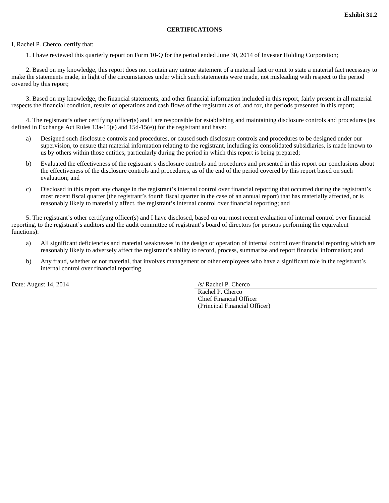# **CERTIFICATIONS**

#### I, Rachel P. Cherco, certify that:

1. I have reviewed this quarterly report on Form 10-Q for the period ended June 30, 2014 of Investar Holding Corporation;

2. Based on my knowledge, this report does not contain any untrue statement of a material fact or omit to state a material fact necessary to make the statements made, in light of the circumstances under which such statements were made, not misleading with respect to the period covered by this report;

3. Based on my knowledge, the financial statements, and other financial information included in this report, fairly present in all material respects the financial condition, results of operations and cash flows of the registrant as of, and for, the periods presented in this report;

4. The registrant's other certifying officer(s) and I are responsible for establishing and maintaining disclosure controls and procedures (as defined in Exchange Act Rules 13a-15(e) and 15d-15(e)) for the registrant and have:

- a) Designed such disclosure controls and procedures, or caused such disclosure controls and procedures to be designed under our supervision, to ensure that material information relating to the registrant, including its consolidated subsidiaries, is made known to us by others within those entities, particularly during the period in which this report is being prepared;
- b) Evaluated the effectiveness of the registrant's disclosure controls and procedures and presented in this report our conclusions about the effectiveness of the disclosure controls and procedures, as of the end of the period covered by this report based on such evaluation; and
- c) Disclosed in this report any change in the registrant's internal control over financial reporting that occurred during the registrant's most recent fiscal quarter (the registrant's fourth fiscal quarter in the case of an annual report) that has materially affected, or is reasonably likely to materially affect, the registrant's internal control over financial reporting; and

5. The registrant's other certifying officer(s) and I have disclosed, based on our most recent evaluation of internal control over financial reporting, to the registrant's auditors and the audit committee of registrant's board of directors (or persons performing the equivalent functions):

- a) All significant deficiencies and material weaknesses in the design or operation of internal control over financial reporting which are reasonably likely to adversely affect the registrant's ability to record, process, summarize and report financial information; and
- b) Any fraud, whether or not material, that involves management or other employees who have a significant role in the registrant's internal control over financial reporting.

Date: August 14, 2014 /s/ Rachel P. Cherco

 Rachel P. Cherco Chief Financial Officer (Principal Financial Officer)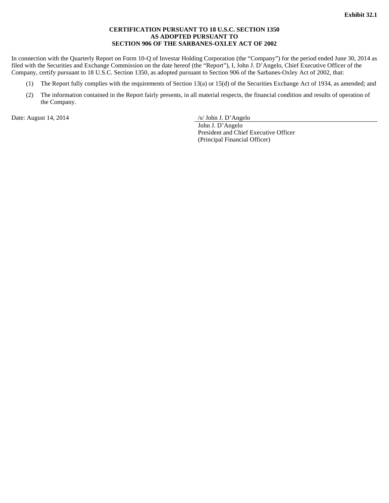#### **CERTIFICATION PURSUANT TO 18 U.S.C. SECTION 1350 AS ADOPTED PURSUANT TO SECTION 906 OF THE SARBANES-OXLEY ACT OF 2002**

In connection with the Quarterly Report on Form 10-Q of Investar Holding Corporation (the "Company") for the period ended June 30, 2014 as filed with the Securities and Exchange Commission on the date hereof (the "Report"), I, John J. D'Angelo, Chief Executive Officer of the Company, certify pursuant to 18 U.S.C. Section 1350, as adopted pursuant to Section 906 of the Sarbanes-Oxley Act of 2002, that:

- (1) The Report fully complies with the requirements of Section 13(a) or 15(d) of the Securities Exchange Act of 1934, as amended; and
- (2) The information contained in the Report fairly presents, in all material respects, the financial condition and results of operation of the Company.

Date: August 14, 2014 /s/ John J. D'Angelo

 John J. D'Angelo President and Chief Executive Officer (Principal Financial Officer)